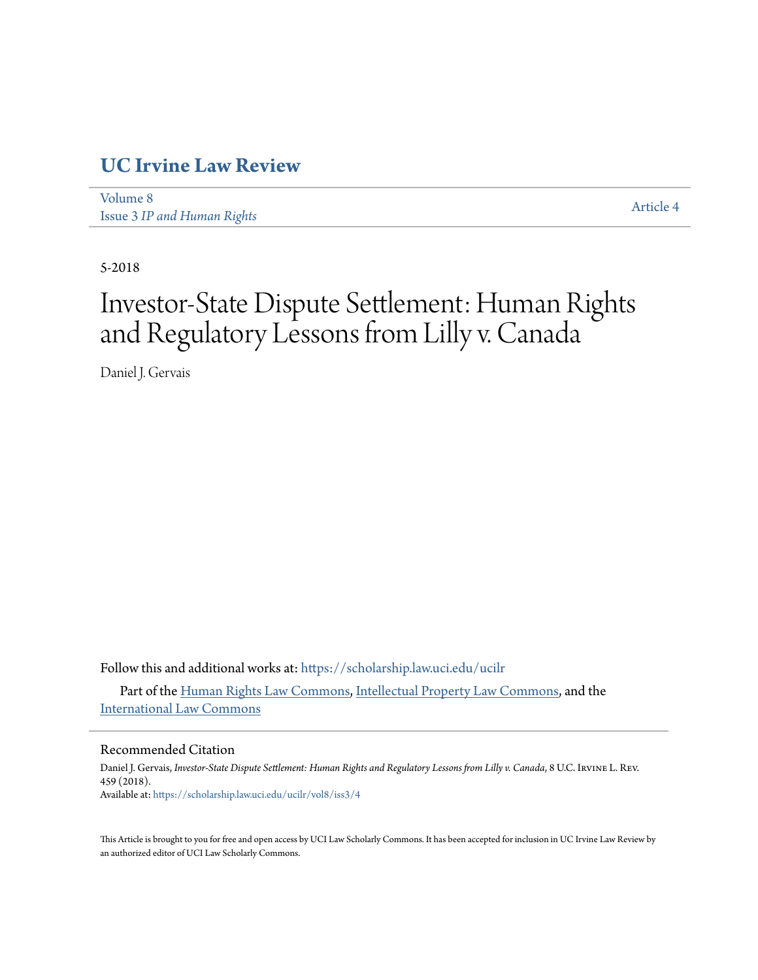# **[UC Irvine Law Review](https://scholarship.law.uci.edu/ucilr?utm_source=scholarship.law.uci.edu%2Fucilr%2Fvol8%2Fiss3%2F4&utm_medium=PDF&utm_campaign=PDFCoverPages)**

[Volume 8](https://scholarship.law.uci.edu/ucilr/vol8?utm_source=scholarship.law.uci.edu%2Fucilr%2Fvol8%2Fiss3%2F4&utm_medium=PDF&utm_campaign=PDFCoverPages) Issue 3 *[IP and Human Rights](https://scholarship.law.uci.edu/ucilr/vol8/iss3?utm_source=scholarship.law.uci.edu%2Fucilr%2Fvol8%2Fiss3%2F4&utm_medium=PDF&utm_campaign=PDFCoverPages)*

[Article 4](https://scholarship.law.uci.edu/ucilr/vol8/iss3/4?utm_source=scholarship.law.uci.edu%2Fucilr%2Fvol8%2Fiss3%2F4&utm_medium=PDF&utm_campaign=PDFCoverPages)

5-2018

# Investor-State Dispute Settlement: Human Rights and Regulatory Lessons from Lilly v. Canada

Daniel J. Gervais

Follow this and additional works at: [https://scholarship.law.uci.edu/ucilr](https://scholarship.law.uci.edu/ucilr?utm_source=scholarship.law.uci.edu%2Fucilr%2Fvol8%2Fiss3%2F4&utm_medium=PDF&utm_campaign=PDFCoverPages)

Part of the [Human Rights Law Commons,](http://network.bepress.com/hgg/discipline/847?utm_source=scholarship.law.uci.edu%2Fucilr%2Fvol8%2Fiss3%2F4&utm_medium=PDF&utm_campaign=PDFCoverPages) [Intellectual Property Law Commons](http://network.bepress.com/hgg/discipline/896?utm_source=scholarship.law.uci.edu%2Fucilr%2Fvol8%2Fiss3%2F4&utm_medium=PDF&utm_campaign=PDFCoverPages), and the [International Law Commons](http://network.bepress.com/hgg/discipline/609?utm_source=scholarship.law.uci.edu%2Fucilr%2Fvol8%2Fiss3%2F4&utm_medium=PDF&utm_campaign=PDFCoverPages)

# Recommended Citation

Daniel J. Gervais, *Investor-State Dispute Settlement: Human Rights and Regulatory Lessons from Lilly v. Canada*, 8 U.C. Irvine L. Rev. 459 (2018). Available at: [https://scholarship.law.uci.edu/ucilr/vol8/iss3/4](https://scholarship.law.uci.edu/ucilr/vol8/iss3/4?utm_source=scholarship.law.uci.edu%2Fucilr%2Fvol8%2Fiss3%2F4&utm_medium=PDF&utm_campaign=PDFCoverPages)

This Article is brought to you for free and open access by UCI Law Scholarly Commons. It has been accepted for inclusion in UC Irvine Law Review by an authorized editor of UCI Law Scholarly Commons.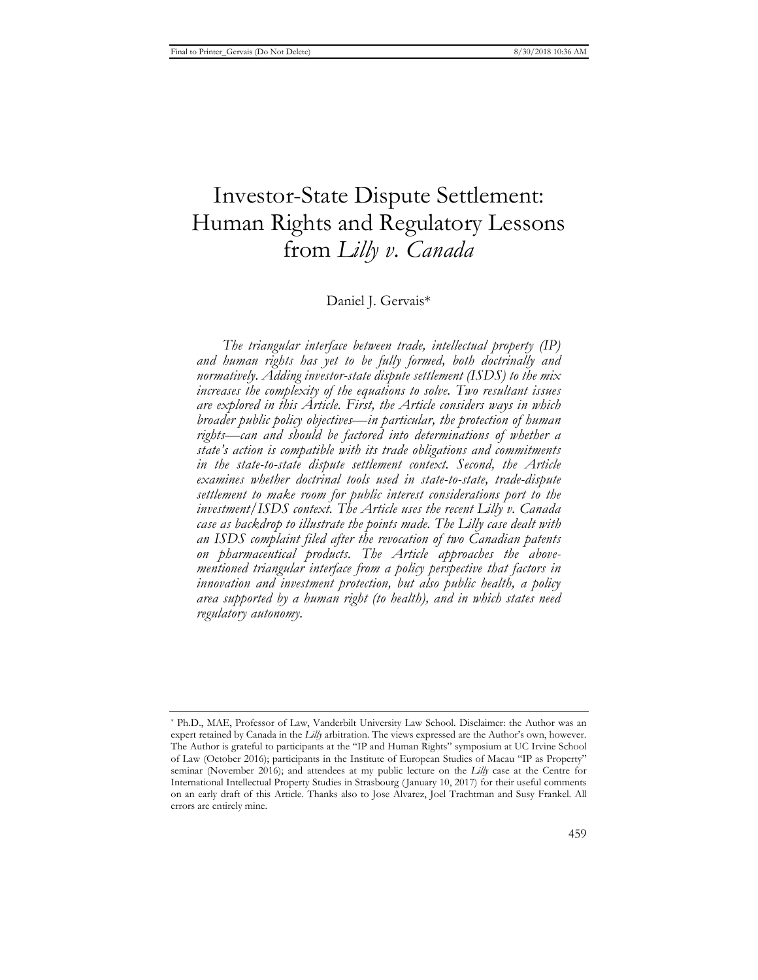# Investor-State Dispute Settlement: Human Rights and Regulatory Lessons from *Lilly v. Canada*

# Daniel J. Gervais\*

*The triangular interface between trade, intellectual property (IP) and human rights has yet to be fully formed, both doctrinally and normatively. Adding investor-state dispute settlement (ISDS) to the mix increases the complexity of the equations to solve. Two resultant issues are explored in this Article. First, the Article considers ways in which broader public policy objectives—in particular, the protection of human rights—can and should be factored into determinations of whether a state's action is compatible with its trade obligations and commitments in the state-to-state dispute settlement context. Second, the Article examines whether doctrinal tools used in state-to-state, trade-dispute settlement to make room for public interest considerations port to the investment/ISDS context. The Article uses the recent Lilly v. Canada case as backdrop to illustrate the points made. The Lilly case dealt with an ISDS complaint filed after the revocation of two Canadian patents on pharmaceutical products. The Article approaches the abovementioned triangular interface from a policy perspective that factors in innovation and investment protection, but also public health, a policy area supported by a human right (to health), and in which states need regulatory autonomy.* 

<sup>\*</sup> Ph.D., MAE, Professor of Law, Vanderbilt University Law School. Disclaimer: the Author was an expert retained by Canada in the *Lilly* arbitration. The views expressed are the Author's own, however. The Author is grateful to participants at the "IP and Human Rights" symposium at UC Irvine School of Law (October 2016); participants in the Institute of European Studies of Macau "IP as Property" seminar (November 2016); and attendees at my public lecture on the *Lilly* case at the Centre for International Intellectual Property Studies in Strasbourg ( January 10, 2017) for their useful comments on an early draft of this Article. Thanks also to Jose Alvarez, Joel Trachtman and Susy Frankel. All errors are entirely mine.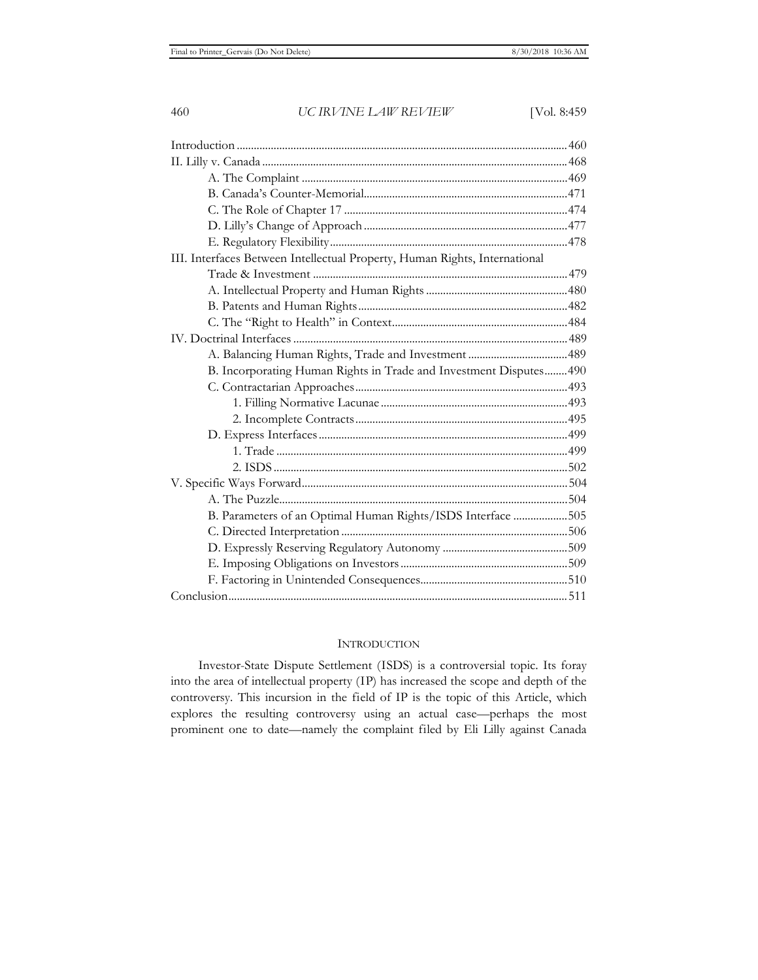| III. Interfaces Between Intellectual Property, Human Rights, International |  |
|----------------------------------------------------------------------------|--|
|                                                                            |  |
|                                                                            |  |
|                                                                            |  |
|                                                                            |  |
|                                                                            |  |
|                                                                            |  |
| B. Incorporating Human Rights in Trade and Investment Disputes 490         |  |
|                                                                            |  |
|                                                                            |  |
|                                                                            |  |
|                                                                            |  |
|                                                                            |  |
|                                                                            |  |
|                                                                            |  |
|                                                                            |  |
| B. Parameters of an Optimal Human Rights/ISDS Interface 505                |  |
|                                                                            |  |
|                                                                            |  |
|                                                                            |  |
|                                                                            |  |
|                                                                            |  |
|                                                                            |  |

# **INTRODUCTION**

Investor-State Dispute Settlement (ISDS) is a controversial topic. Its foray into the area of intellectual property (IP) has increased the scope and depth of the controversy. This incursion in the field of IP is the topic of this Article, which explores the resulting controversy using an actual case—perhaps the most prominent one to date—namely the complaint filed by Eli Lilly against Canada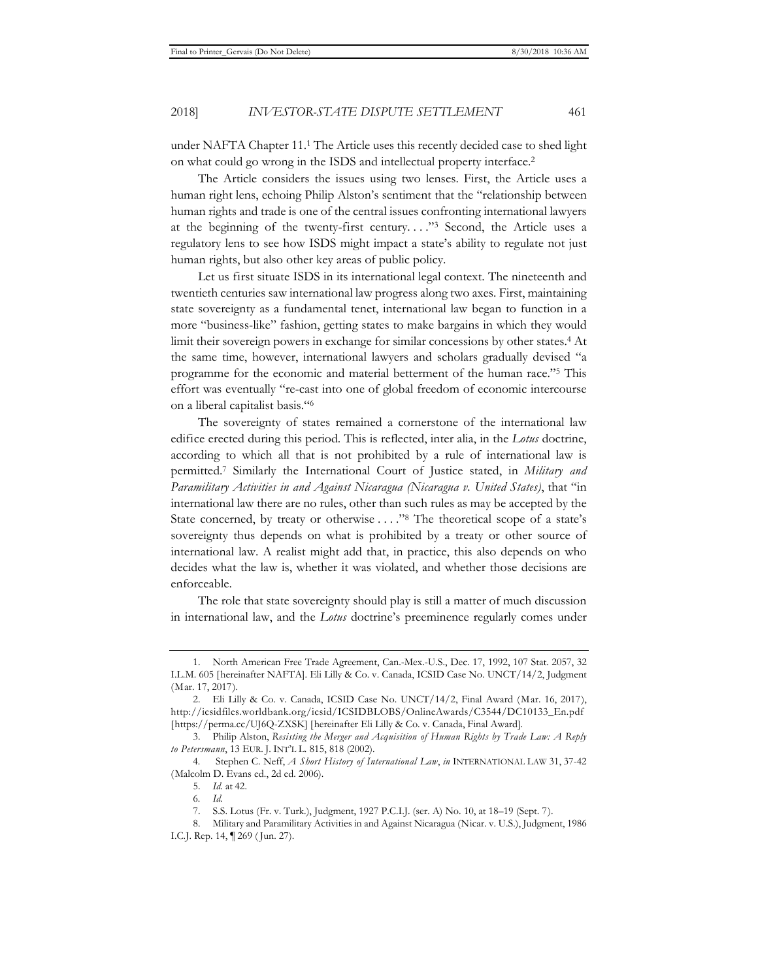under NAFTA Chapter 11.1 The Article uses this recently decided case to shed light on what could go wrong in the ISDS and intellectual property interface.2

The Article considers the issues using two lenses. First, the Article uses a human right lens, echoing Philip Alston's sentiment that the "relationship between human rights and trade is one of the central issues confronting international lawyers at the beginning of the twenty-first century. . . ."3 Second, the Article uses a regulatory lens to see how ISDS might impact a state's ability to regulate not just human rights, but also other key areas of public policy.

Let us first situate ISDS in its international legal context. The nineteenth and twentieth centuries saw international law progress along two axes. First, maintaining state sovereignty as a fundamental tenet, international law began to function in a more "business-like" fashion, getting states to make bargains in which they would limit their sovereign powers in exchange for similar concessions by other states.4 At the same time, however, international lawyers and scholars gradually devised "a programme for the economic and material betterment of the human race."5 This effort was eventually "re-cast into one of global freedom of economic intercourse on a liberal capitalist basis."6

The sovereignty of states remained a cornerstone of the international law edifice erected during this period. This is reflected, inter alia, in the *Lotus* doctrine, according to which all that is not prohibited by a rule of international law is permitted.7 Similarly the International Court of Justice stated, in *Military and Paramilitary Activities in and Against Nicaragua (Nicaragua v. United States)*, that "in international law there are no rules, other than such rules as may be accepted by the State concerned, by treaty or otherwise . . . ."8 The theoretical scope of a state's sovereignty thus depends on what is prohibited by a treaty or other source of international law. A realist might add that, in practice, this also depends on who decides what the law is, whether it was violated, and whether those decisions are enforceable.

The role that state sovereignty should play is still a matter of much discussion in international law, and the *Lotus* doctrine's preeminence regularly comes under

<sup>1.</sup> North American Free Trade Agreement, Can.-Mex.-U.S., Dec. 17, 1992, 107 Stat. 2057, 32 I.L.M. 605 [hereinafter NAFTA]. Eli Lilly & Co. v. Canada, ICSID Case No. UNCT/14/2, Judgment (Mar. 17, 2017).

<sup>2.</sup> Eli Lilly & Co. v. Canada, ICSID Case No. UNCT/14/2, Final Award (Mar. 16, 2017), http://icsidfiles.worldbank.org/icsid/ICSIDBLOBS/OnlineAwards/C3544/DC10133\_En.pdf [https://perma.cc/UJ6Q-ZXSK] [hereinafter Eli Lilly & Co. v. Canada, Final Award].

<sup>3.</sup> Philip Alston, *Resisting the Merger and Acquisition of Human Rights by Trade Law: A Reply to Petersmann*, 13 EUR. J. INT'L L. 815, 818 (2002).

<sup>4</sup>*.* Stephen C. Neff, *A Short History of International Law*, *in* INTERNATIONAL LAW 31, 37-42 (Malcolm D. Evans ed., 2d ed. 2006).

<sup>5.</sup> *Id*. at 42.

<sup>6</sup>*. Id.*

<sup>7.</sup> S.S. Lotus (Fr. v. Turk.), Judgment, 1927 P.C.I.J. (ser. A) No. 10, at 18–19 (Sept. 7).

<sup>8.</sup> Military and Paramilitary Activities in and Against Nicaragua (Nicar. v. U.S.), Judgment, 1986 I.C.J. Rep. 14, ¶ 269 ( Jun. 27).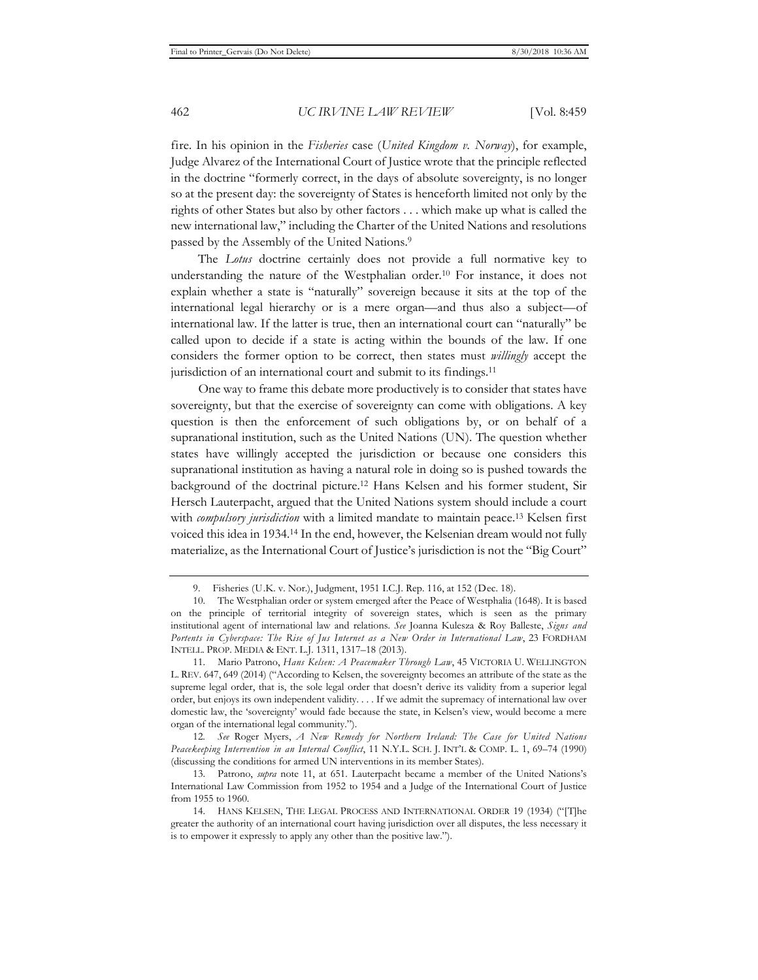fire. In his opinion in the *Fisheries* case (*United Kingdom v. Norway*), for example, Judge Alvarez of the International Court of Justice wrote that the principle reflected in the doctrine "formerly correct, in the days of absolute sovereignty, is no longer so at the present day: the sovereignty of States is henceforth limited not only by the rights of other States but also by other factors . . . which make up what is called the new international law," including the Charter of the United Nations and resolutions passed by the Assembly of the United Nations.9

The *Lotus* doctrine certainly does not provide a full normative key to understanding the nature of the Westphalian order.<sup>10</sup> For instance, it does not explain whether a state is "naturally" sovereign because it sits at the top of the international legal hierarchy or is a mere organ—and thus also a subject—of international law. If the latter is true, then an international court can "naturally" be called upon to decide if a state is acting within the bounds of the law. If one considers the former option to be correct, then states must *willingly* accept the jurisdiction of an international court and submit to its findings.<sup>11</sup>

One way to frame this debate more productively is to consider that states have sovereignty, but that the exercise of sovereignty can come with obligations. A key question is then the enforcement of such obligations by, or on behalf of a supranational institution, such as the United Nations (UN). The question whether states have willingly accepted the jurisdiction or because one considers this supranational institution as having a natural role in doing so is pushed towards the background of the doctrinal picture.12 Hans Kelsen and his former student, Sir Hersch Lauterpacht, argued that the United Nations system should include a court with *compulsory jurisdiction* with a limited mandate to maintain peace.13 Kelsen first voiced this idea in 1934.14 In the end, however, the Kelsenian dream would not fully materialize, as the International Court of Justice's jurisdiction is not the "Big Court"

12*. See* Roger Myers, *A New Remedy for Northern Ireland: The Case for United Nations Peacekeeping Intervention in an Internal Conflict*, 11 N.Y.L. SCH. J. INT'L & COMP. L. 1, 69–74 (1990) (discussing the conditions for armed UN interventions in its member States).

<sup>9.</sup> Fisheries (U.K. v. Nor.), Judgment, 1951 I.C.J. Rep. 116, at 152 (Dec. 18).

<sup>10.</sup> The Westphalian order or system emerged after the Peace of Westphalia (1648). It is based on the principle of territorial integrity of sovereign states, which is seen as the primary institutional agent of international law and relations. *See* Joanna Kulesza & Roy Balleste, *Signs and Portents in Cyberspace: The Rise of Jus Internet as a New Order in International Law*, 23 FORDHAM INTELL. PROP. MEDIA & ENT. L.J. 1311, 1317–18 (2013).

<sup>11.</sup> Mario Patrono, *Hans Kelsen: A Peacemaker Through Law*, 45 VICTORIA U. WELLINGTON L. REV. 647, 649 (2014) ("According to Kelsen, the sovereignty becomes an attribute of the state as the supreme legal order, that is, the sole legal order that doesn't derive its validity from a superior legal order, but enjoys its own independent validity. . . . If we admit the supremacy of international law over domestic law, the 'sovereignty' would fade because the state, in Kelsen's view, would become a mere organ of the international legal community.").

<sup>13.</sup> Patrono, *supra* note 11, at 651. Lauterpacht became a member of the United Nations's International Law Commission from 1952 to 1954 and a Judge of the International Court of Justice from 1955 to 1960.

<sup>14.</sup> HANS KELSEN, THE LEGAL PROCESS AND INTERNATIONAL ORDER 19 (1934) ("[T]he greater the authority of an international court having jurisdiction over all disputes, the less necessary it is to empower it expressly to apply any other than the positive law.").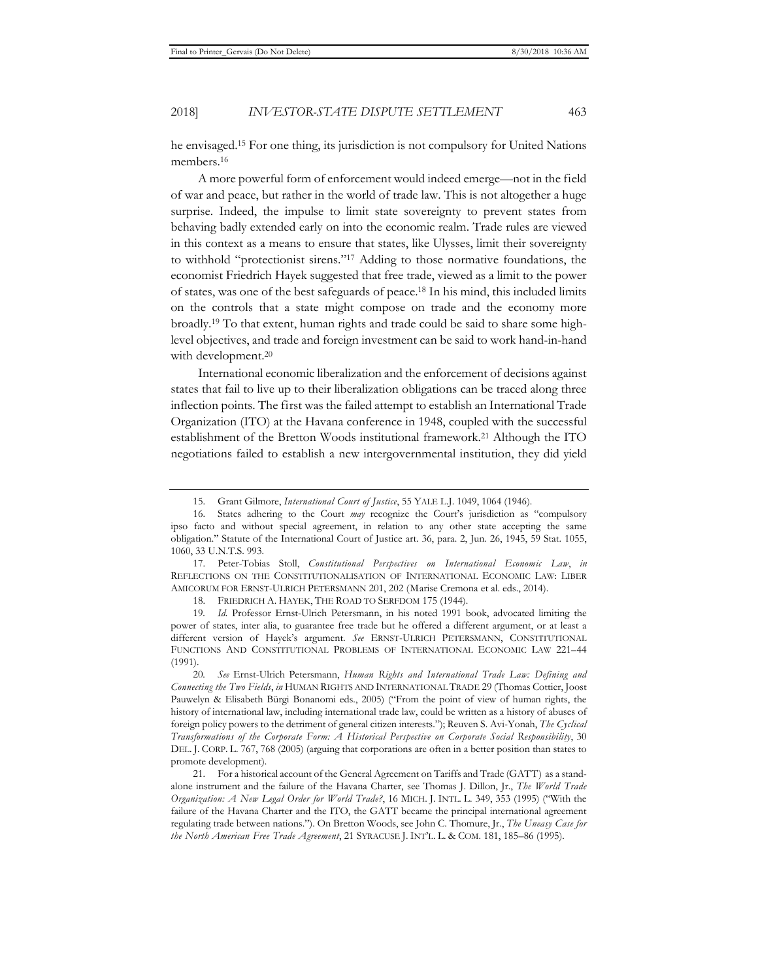he envisaged.15 For one thing, its jurisdiction is not compulsory for United Nations members.16

A more powerful form of enforcement would indeed emerge—not in the field of war and peace, but rather in the world of trade law. This is not altogether a huge surprise. Indeed, the impulse to limit state sovereignty to prevent states from behaving badly extended early on into the economic realm. Trade rules are viewed in this context as a means to ensure that states, like Ulysses, limit their sovereignty to withhold "protectionist sirens."17 Adding to those normative foundations, the economist Friedrich Hayek suggested that free trade, viewed as a limit to the power of states, was one of the best safeguards of peace.18 In his mind, this included limits on the controls that a state might compose on trade and the economy more broadly.19 To that extent, human rights and trade could be said to share some highlevel objectives, and trade and foreign investment can be said to work hand-in-hand with development.<sup>20</sup>

International economic liberalization and the enforcement of decisions against states that fail to live up to their liberalization obligations can be traced along three inflection points. The first was the failed attempt to establish an International Trade Organization (ITO) at the Havana conference in 1948, coupled with the successful establishment of the Bretton Woods institutional framework.21 Although the ITO negotiations failed to establish a new intergovernmental institution, they did yield

<sup>15.</sup> Grant Gilmore, *International Court of Justice*, 55 YALE L.J. 1049, 1064 (1946).

<sup>16.</sup> States adhering to the Court *may* recognize the Court's jurisdiction as "compulsory ipso facto and without special agreement, in relation to any other state accepting the same obligation." Statute of the International Court of Justice art. 36, para. 2, Jun. 26, 1945, 59 Stat. 1055, 1060, 33 U.N.T.S. 993.

<sup>17.</sup> Peter-Tobias Stoll, *Constitutional Perspectives on International Economic Law*, *in* REFLECTIONS ON THE CONSTITUTIONALISATION OF INTERNATIONAL ECONOMIC LAW: LIBER AMICORUM FOR ERNST-ULRICH PETERSMANN 201, 202 (Marise Cremona et al. eds., 2014).

<sup>18.</sup> FRIEDRICH A. HAYEK, THE ROAD TO SERFDOM 175 (1944).

<sup>19</sup>*. Id.* Professor Ernst-Ulrich Petersmann, in his noted 1991 book, advocated limiting the power of states, inter alia, to guarantee free trade but he offered a different argument, or at least a different version of Hayek's argument. *See* ERNST-ULRICH PETERSMANN, CONSTITUTIONAL FUNCTIONS AND CONSTITUTIONAL PROBLEMS OF INTERNATIONAL ECONOMIC LAW 221–44 (1991).

<sup>20</sup>*. See* Ernst-Ulrich Petersmann, *Human Rights and International Trade Law: Defining and Connecting the Two Fields*, *in* HUMAN RIGHTS AND INTERNATIONAL TRADE 29 (Thomas Cottier, Joost Pauwelyn & Elisabeth Bürgi Bonanomi eds., 2005) ("From the point of view of human rights, the history of international law, including international trade law, could be written as a history of abuses of foreign policy powers to the detriment of general citizen interests."); Reuven S. Avi-Yonah, *The Cyclical Transformations of the Corporate Form: A Historical Perspective on Corporate Social Responsibility*, 30 DEL. J. CORP. L. 767, 768 (2005) (arguing that corporations are often in a better position than states to promote development).

<sup>21.</sup> For a historical account of the General Agreement on Tariffs and Trade (GATT) as a standalone instrument and the failure of the Havana Charter, see Thomas J. Dillon, Jr., *The World Trade Organization: A New Legal Order for World Trade?*, 16 MICH. J. INTL. L. 349, 353 (1995) ("With the failure of the Havana Charter and the ITO, the GATT became the principal international agreement regulating trade between nations."). On Bretton Woods, see John C. Thomure, Jr., *The Uneasy Case for the North American Free Trade Agreement*, 21 SYRACUSE J. INT'L. L. & COM. 181, 185–86 (1995).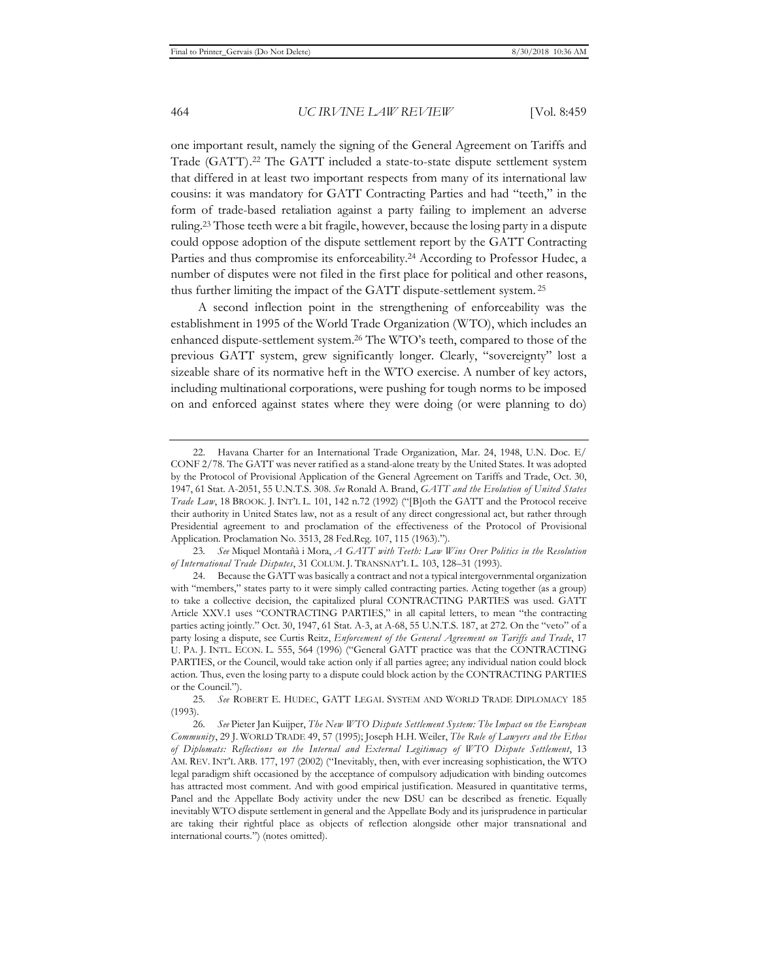one important result, namely the signing of the General Agreement on Tariffs and Trade (GATT).22 The GATT included a state-to-state dispute settlement system that differed in at least two important respects from many of its international law cousins: it was mandatory for GATT Contracting Parties and had "teeth," in the form of trade-based retaliation against a party failing to implement an adverse ruling.23 Those teeth were a bit fragile, however, because the losing party in a dispute could oppose adoption of the dispute settlement report by the GATT Contracting Parties and thus compromise its enforceability.24 According to Professor Hudec, a number of disputes were not filed in the first place for political and other reasons, thus further limiting the impact of the GATT dispute-settlement system. 25

A second inflection point in the strengthening of enforceability was the establishment in 1995 of the World Trade Organization (WTO), which includes an enhanced dispute-settlement system.26 The WTO's teeth, compared to those of the previous GATT system, grew significantly longer. Clearly, "sovereignty" lost a sizeable share of its normative heft in the WTO exercise. A number of key actors, including multinational corporations, were pushing for tough norms to be imposed on and enforced against states where they were doing (or were planning to do)

<sup>22.</sup> Havana Charter for an International Trade Organization, Mar. 24, 1948, U.N. Doc. E/ CONF 2/78. The GATT was never ratified as a stand-alone treaty by the United States. It was adopted by the Protocol of Provisional Application of the General Agreement on Tariffs and Trade, Oct. 30, 1947, 61 Stat. A-2051, 55 U.N.T.S. 308. *See* Ronald A. Brand, *GATT and the Evolution of United States Trade Law*, 18 BROOK. J. INT'L L. 101, 142 n.72 (1992) ("[B]oth the GATT and the Protocol receive their authority in United States law, not as a result of any direct congressional act, but rather through Presidential agreement to and proclamation of the effectiveness of the Protocol of Provisional Application. Proclamation No. 3513, 28 Fed.Reg. 107, 115 (1963).").

<sup>23</sup>*. See* Miquel Montañà i Mora, *A GATT with Teeth: Law Wins Over Politics in the Resolution of International Trade Disputes*, 31 COLUM. J. TRANSNAT'L L. 103, 128–31 (1993).

<sup>24.</sup> Because the GATT was basically a contract and not a typical intergovernmental organization with "members," states party to it were simply called contracting parties. Acting together (as a group) to take a collective decision, the capitalized plural CONTRACTING PARTIES was used. GATT Article XXV.1 uses "CONTRACTING PARTIES," in all capital letters, to mean "the contracting parties acting jointly." Oct. 30, 1947, 61 Stat. A-3, at A-68, 55 U.N.T.S. 187, at 272. On the "veto" of a party losing a dispute, see Curtis Reitz, *Enforcement of the General Agreement on Tariffs and Trade*, 17 U. PA. J. INTL. ECON. L. 555, 564 (1996) ("General GATT practice was that the CONTRACTING PARTIES, or the Council, would take action only if all parties agree; any individual nation could block action. Thus, even the losing party to a dispute could block action by the CONTRACTING PARTIES or the Council.").

<sup>25</sup>*. See* ROBERT E. HUDEC, GATT LEGAL SYSTEM AND WORLD TRADE DIPLOMACY 185 (1993).

<sup>26</sup>*. See* Pieter Jan Kuijper, *The New WTO Dispute Settlement System: The Impact on the European Community*, 29 J. WORLD TRADE 49, 57 (1995); Joseph H.H. Weiler, *The Rule of Lawyers and the Ethos of Diplomats: Reflections on the Internal and External Legitimacy of WTO Dispute Settlement*, 13 AM. REV. INT'L ARB. 177, 197 (2002) ("Inevitably, then, with ever increasing sophistication, the WTO legal paradigm shift occasioned by the acceptance of compulsory adjudication with binding outcomes has attracted most comment. And with good empirical justification. Measured in quantitative terms, Panel and the Appellate Body activity under the new DSU can be described as frenetic. Equally inevitably WTO dispute settlement in general and the Appellate Body and its jurisprudence in particular are taking their rightful place as objects of reflection alongside other major transnational and international courts.") (notes omitted).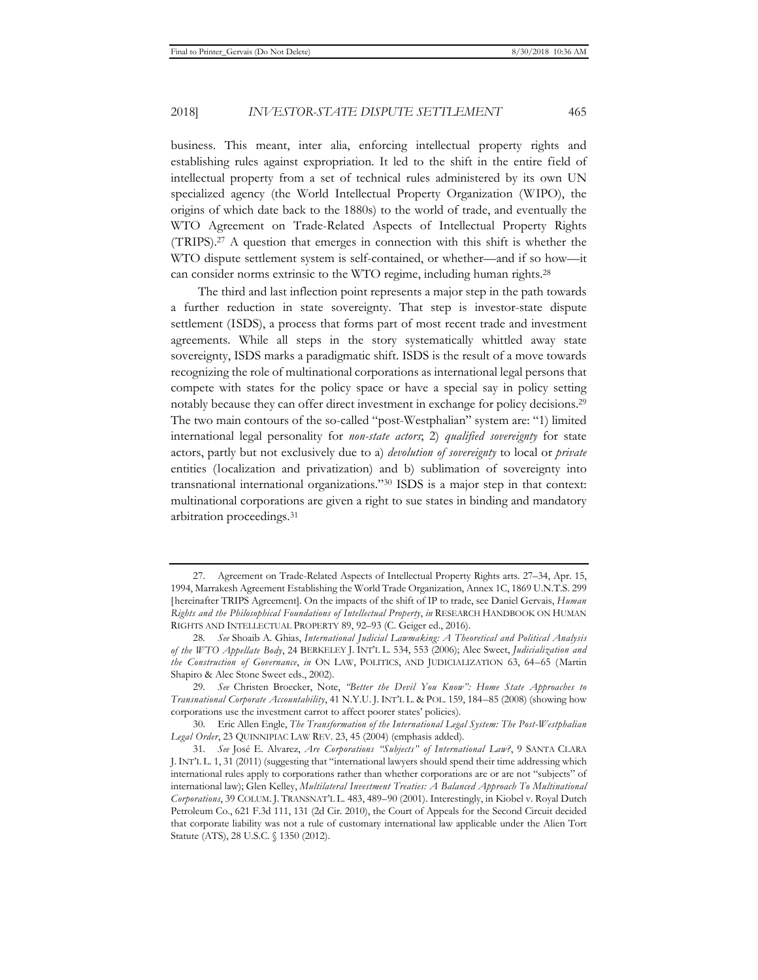business. This meant, inter alia, enforcing intellectual property rights and establishing rules against expropriation. It led to the shift in the entire field of intellectual property from a set of technical rules administered by its own UN specialized agency (the World Intellectual Property Organization (WIPO), the origins of which date back to the 1880s) to the world of trade, and eventually the WTO Agreement on Trade-Related Aspects of Intellectual Property Rights (TRIPS).27 A question that emerges in connection with this shift is whether the WTO dispute settlement system is self-contained, or whether—and if so how—it can consider norms extrinsic to the WTO regime, including human rights.<sup>28</sup>

The third and last inflection point represents a major step in the path towards a further reduction in state sovereignty. That step is investor-state dispute settlement (ISDS), a process that forms part of most recent trade and investment agreements. While all steps in the story systematically whittled away state sovereignty, ISDS marks a paradigmatic shift. ISDS is the result of a move towards recognizing the role of multinational corporations as international legal persons that compete with states for the policy space or have a special say in policy setting notably because they can offer direct investment in exchange for policy decisions.29 The two main contours of the so-called "post-Westphalian" system are: "1) limited international legal personality for *non-state actors*; 2) *qualified sovereignty* for state actors, partly but not exclusively due to a) *devolution of sovereignty* to local or *private* entities (localization and privatization) and b) sublimation of sovereignty into transnational international organizations."30 ISDS is a major step in that context: multinational corporations are given a right to sue states in binding and mandatory arbitration proceedings.31

<sup>27.</sup> Agreement on Trade-Related Aspects of Intellectual Property Rights arts. 27–34, Apr. 15, 1994, Marrakesh Agreement Establishing the World Trade Organization, Annex 1C, 1869 U.N.T.S. 299 [hereinafter TRIPS Agreement]. On the impacts of the shift of IP to trade, see Daniel Gervais, *Human Rights and the Philosophical Foundations of Intellectual Property*, *in* RESEARCH HANDBOOK ON HUMAN RIGHTS AND INTELLECTUAL PROPERTY 89, 92–93 (C. Geiger ed., 2016).

<sup>28</sup>*. See* Shoaib A. Ghias, *International Judicial Lawmaking: A Theoretical and Political Analysis of the WTO Appellate Body*, 24 BERKELEY J. INT'L L. 534, 553 (2006); Alec Sweet, *Judicialization and the Construction of Governance*, *in* ON LAW, POLITICS, AND JUDICIALIZATION 63, 64–65 (Martin Shapiro & Alec Stone Sweet eds., 2002).

<sup>29</sup>*. See* Christen Broecker, Note, *"Better the Devil You Know": Home State Approaches to Transnational Corporate Accountability*, 41 N.Y.U. J. INT'L L. & POL. 159, 184–85 (2008) (showing how corporations use the investment carrot to affect poorer states' policies).

<sup>30.</sup> Eric Allen Engle, *The Transformation of the International Legal System: The Post-Westphalian Legal Order*, 23 QUINNIPIAC LAW REV. 23, 45 (2004) (emphasis added).

<sup>31</sup>*. See* José E. Alvarez, *Are Corporations "Subjects" of International Law?*, 9 SANTA CLARA J.INT'L L. 1, 31 (2011) (suggesting that "international lawyers should spend their time addressing which international rules apply to corporations rather than whether corporations are or are not "subjects" of international law); Glen Kelley, *Multilateral Investment Treaties: A Balanced Approach To Multinational Corporations*, 39 COLUM. J. TRANSNAT'L L. 483, 489–90 (2001). Interestingly, in Kiobel v. Royal Dutch Petroleum Co., 621 F.3d 111, 131 (2d Cir. 2010), the Court of Appeals for the Second Circuit decided that corporate liability was not a rule of customary international law applicable under the Alien Tort Statute (ATS), 28 U.S.C. § 1350 (2012).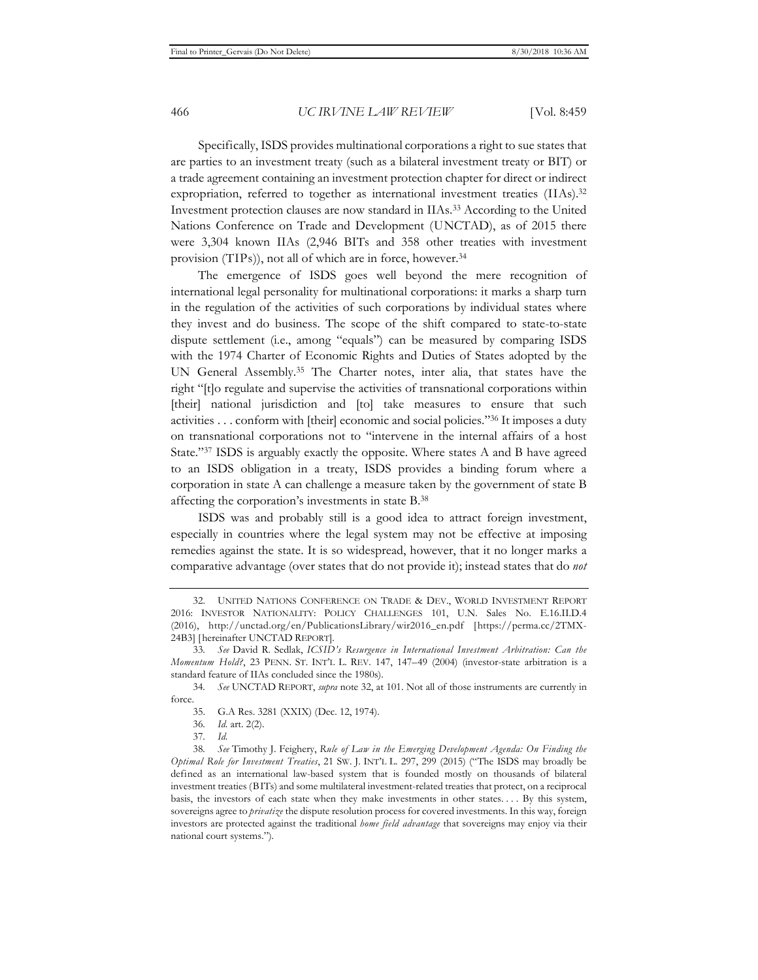Specifically, ISDS provides multinational corporations a right to sue states that are parties to an investment treaty (such as a bilateral investment treaty or BIT) or a trade agreement containing an investment protection chapter for direct or indirect expropriation, referred to together as international investment treaties (IIAs).<sup>32</sup> Investment protection clauses are now standard in IIAs.33 According to the United Nations Conference on Trade and Development (UNCTAD), as of 2015 there were 3,304 known IIAs (2,946 BITs and 358 other treaties with investment provision (TIPs)), not all of which are in force, however.34

The emergence of ISDS goes well beyond the mere recognition of international legal personality for multinational corporations: it marks a sharp turn in the regulation of the activities of such corporations by individual states where they invest and do business. The scope of the shift compared to state-to-state dispute settlement (i.e., among "equals") can be measured by comparing ISDS with the 1974 Charter of Economic Rights and Duties of States adopted by the UN General Assembly.35 The Charter notes, inter alia, that states have the right "[t]o regulate and supervise the activities of transnational corporations within [their] national jurisdiction and [to] take measures to ensure that such activities . . . conform with [their] economic and social policies."36 It imposes a duty on transnational corporations not to "intervene in the internal affairs of a host State."37 ISDS is arguably exactly the opposite. Where states A and B have agreed to an ISDS obligation in a treaty, ISDS provides a binding forum where a corporation in state A can challenge a measure taken by the government of state B affecting the corporation's investments in state B.38

ISDS was and probably still is a good idea to attract foreign investment, especially in countries where the legal system may not be effective at imposing remedies against the state. It is so widespread, however, that it no longer marks a comparative advantage (over states that do not provide it); instead states that do *not*

<sup>32.</sup> UNITED NATIONS CONFERENCE ON TRADE & DEV., WORLD INVESTMENT REPORT 2016: INVESTOR NATIONALITY: POLICY CHALLENGES 101, U.N. Sales No. E.16.II.D.4 (2016), http://unctad.org/en/PublicationsLibrary/wir2016\_en.pdf [https://perma.cc/2TMX-24B3] [hereinafter UNCTAD REPORT].

<sup>33</sup>*. See* David R. Sedlak, *ICSID's Resurgence in International Investment Arbitration: Can the Momentum Hold?*, 23 PENN. ST. INT'L L. REV. 147, 147–49 (2004) (investor-state arbitration is a standard feature of IIAs concluded since the 1980s).

<sup>34</sup>*. See* UNCTAD REPORT, *supra* note 32, at 101. Not all of those instruments are currently in force.

<sup>35.</sup> G.A Res. 3281 (XXIX) (Dec. 12, 1974).

<sup>36</sup>*. Id.* art. 2(2).

<sup>37</sup>*. Id.*

<sup>38</sup>*. See* Timothy J. Feighery, *Rule of Law in the Emerging Development Agenda: On Finding the Optimal Role for Investment Treaties*, 21 SW. J. INT'L L. 297, 299 (2015) ("The ISDS may broadly be defined as an international law-based system that is founded mostly on thousands of bilateral investment treaties (BITs) and some multilateral investment-related treaties that protect, on a reciprocal basis, the investors of each state when they make investments in other states. . . . By this system, sovereigns agree to *privatize* the dispute resolution process for covered investments. In this way, foreign investors are protected against the traditional *home field advantage* that sovereigns may enjoy via their national court systems.").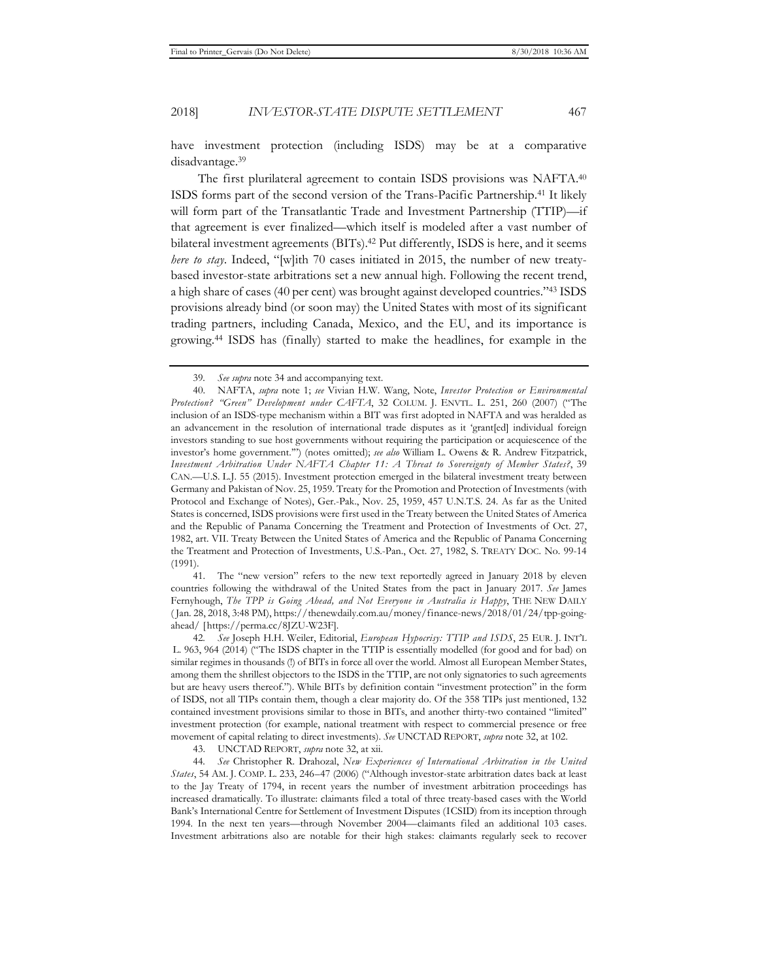have investment protection (including ISDS) may be at a comparative disadvantage.39

The first plurilateral agreement to contain ISDS provisions was NAFTA.40 ISDS forms part of the second version of the Trans-Pacific Partnership.41 It likely will form part of the Transatlantic Trade and Investment Partnership (TTIP)—if that agreement is ever finalized—which itself is modeled after a vast number of bilateral investment agreements (BITs).42 Put differently, ISDS is here, and it seems *here to stay*. Indeed, "[w]ith 70 cases initiated in 2015, the number of new treatybased investor-state arbitrations set a new annual high. Following the recent trend, a high share of cases (40 per cent) was brought against developed countries."43 ISDS provisions already bind (or soon may) the United States with most of its significant trading partners, including Canada, Mexico, and the EU, and its importance is growing.44 ISDS has (finally) started to make the headlines, for example in the

41. The "new version" refers to the new text reportedly agreed in January 2018 by eleven countries following the withdrawal of the United States from the pact in January 2017. *See* James Fernyhough, *The TPP is Going Ahead, and Not Everyone in Australia is Happy*, THE NEW DAILY ( Jan. 28, 2018, 3:48 PM), https://thenewdaily.com.au/money/finance-news/2018/01/24/tpp-goingahead/ [https://perma.cc/8JZU-W23F].

42*. See* Joseph H.H. Weiler, Editorial, *European Hypocrisy: TTIP and ISDS*, 25 EUR. J. INT'L L. 963, 964 (2014) ("The ISDS chapter in the TTIP is essentially modelled (for good and for bad) on similar regimes in thousands (!) of BITs in force all over the world. Almost all European Member States, among them the shrillest objectors to the ISDS in the TTIP, are not only signatories to such agreements but are heavy users thereof."). While BITs by definition contain "investment protection" in the form of ISDS, not all TIPs contain them, though a clear majority do. Of the 358 TIPs just mentioned, 132 contained investment provisions similar to those in BITs, and another thirty-two contained "limited" investment protection (for example, national treatment with respect to commercial presence or free movement of capital relating to direct investments). *See* UNCTAD REPORT, *supra* note 32, at 102.

43. UNCTAD REPORT, *supra* note 32, at xii.

44*. See* Christopher R. Drahozal, *New Experiences of International Arbitration in the United States*, 54 AM. J. COMP. L. 233, 246–47 (2006) ("Although investor-state arbitration dates back at least to the Jay Treaty of 1794, in recent years the number of investment arbitration proceedings has increased dramatically. To illustrate: claimants filed a total of three treaty-based cases with the World Bank's International Centre for Settlement of Investment Disputes (ICSID) from its inception through 1994. In the next ten years—through November 2004—claimants filed an additional 103 cases. Investment arbitrations also are notable for their high stakes: claimants regularly seek to recover

<sup>39</sup>*. See supra* note 34 and accompanying text.

<sup>40.</sup> NAFTA, *supra* note 1; *see* Vivian H.W. Wang, Note, *Investor Protection or Environmental Protection? "Green" Development under CAFTA*, 32 COLUM. J. ENVTL. L. 251, 260 (2007) ("The inclusion of an ISDS-type mechanism within a BIT was first adopted in NAFTA and was heralded as an advancement in the resolution of international trade disputes as it 'grant[ed] individual foreign investors standing to sue host governments without requiring the participation or acquiescence of the investor's home government.'") (notes omitted); *see also* William L. Owens & R. Andrew Fitzpatrick, *Investment Arbitration Under NAFTA Chapter 11: A Threat to Sovereignty of Member States?*, 39 CAN.—U.S. L.J. 55 (2015). Investment protection emerged in the bilateral investment treaty between Germany and Pakistan of Nov. 25, 1959. Treaty for the Promotion and Protection of Investments (with Protocol and Exchange of Notes), Ger.-Pak., Nov. 25, 1959, 457 U.N.T.S. 24. As far as the United States is concerned, ISDS provisions were first used in the Treaty between the United States of America and the Republic of Panama Concerning the Treatment and Protection of Investments of Oct. 27, 1982, art. VII. Treaty Between the United States of America and the Republic of Panama Concerning the Treatment and Protection of Investments, U.S.-Pan., Oct. 27, 1982, S. TREATY DOC. No. 99-14 (1991).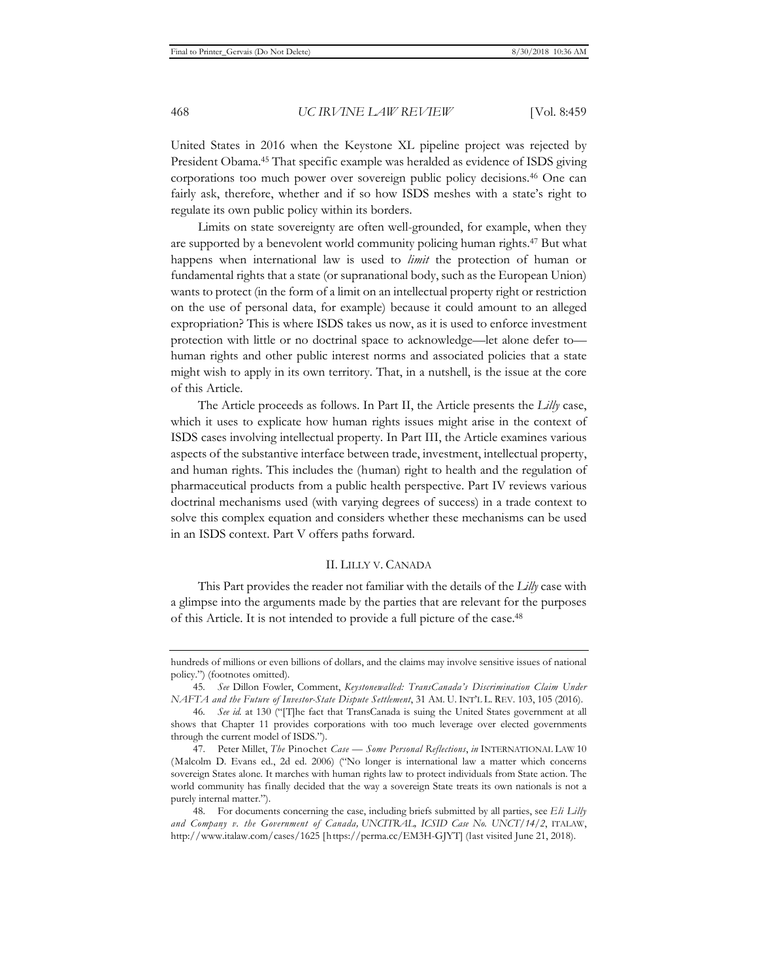United States in 2016 when the Keystone XL pipeline project was rejected by President Obama.45 That specific example was heralded as evidence of ISDS giving corporations too much power over sovereign public policy decisions.46 One can fairly ask, therefore, whether and if so how ISDS meshes with a state's right to regulate its own public policy within its borders.

Limits on state sovereignty are often well-grounded, for example, when they are supported by a benevolent world community policing human rights.47 But what happens when international law is used to *limit* the protection of human or fundamental rights that a state (or supranational body, such as the European Union) wants to protect (in the form of a limit on an intellectual property right or restriction on the use of personal data, for example) because it could amount to an alleged expropriation? This is where ISDS takes us now, as it is used to enforce investment protection with little or no doctrinal space to acknowledge—let alone defer to human rights and other public interest norms and associated policies that a state might wish to apply in its own territory. That, in a nutshell, is the issue at the core of this Article.

The Article proceeds as follows. In Part II, the Article presents the *Lilly* case, which it uses to explicate how human rights issues might arise in the context of ISDS cases involving intellectual property. In Part III, the Article examines various aspects of the substantive interface between trade, investment, intellectual property, and human rights. This includes the (human) right to health and the regulation of pharmaceutical products from a public health perspective. Part IV reviews various doctrinal mechanisms used (with varying degrees of success) in a trade context to solve this complex equation and considers whether these mechanisms can be used in an ISDS context. Part V offers paths forward.

#### II. LILLY V. CANADA

This Part provides the reader not familiar with the details of the *Lilly* case with a glimpse into the arguments made by the parties that are relevant for the purposes of this Article. It is not intended to provide a full picture of the case.48

hundreds of millions or even billions of dollars, and the claims may involve sensitive issues of national policy.") (footnotes omitted).

<sup>45</sup>*. See* Dillon Fowler, Comment, *Keystonewalled: TransCanada's Discrimination Claim Under NAFTA and the Future of Investor-State Dispute Settlement*, 31 AM. U. INT'L L. REV. 103, 105 (2016).

<sup>46</sup>*. See id.* at 130 ("[T]he fact that TransCanada is suing the United States government at all shows that Chapter 11 provides corporations with too much leverage over elected governments through the current model of ISDS.").

<sup>47.</sup> Peter Millet, *The* Pinochet *Case — Some Personal Reflections*, *in* INTERNATIONAL LAW 10 (Malcolm D. Evans ed., 2d ed. 2006) ("No longer is international law a matter which concerns sovereign States alone. It marches with human rights law to protect individuals from State action. The world community has finally decided that the way a sovereign State treats its own nationals is not a purely internal matter.").

<sup>48.</sup> For documents concerning the case, including briefs submitted by all parties, see *Eli Lilly and Company v. the Government of Canada, UNCITRAL, ICSID Case No. UNCT/14/2*, ITALAW, http://www.italaw.com/cases/1625 [https://perma.cc/EM3H-GJYT] (last visited June 21, 2018).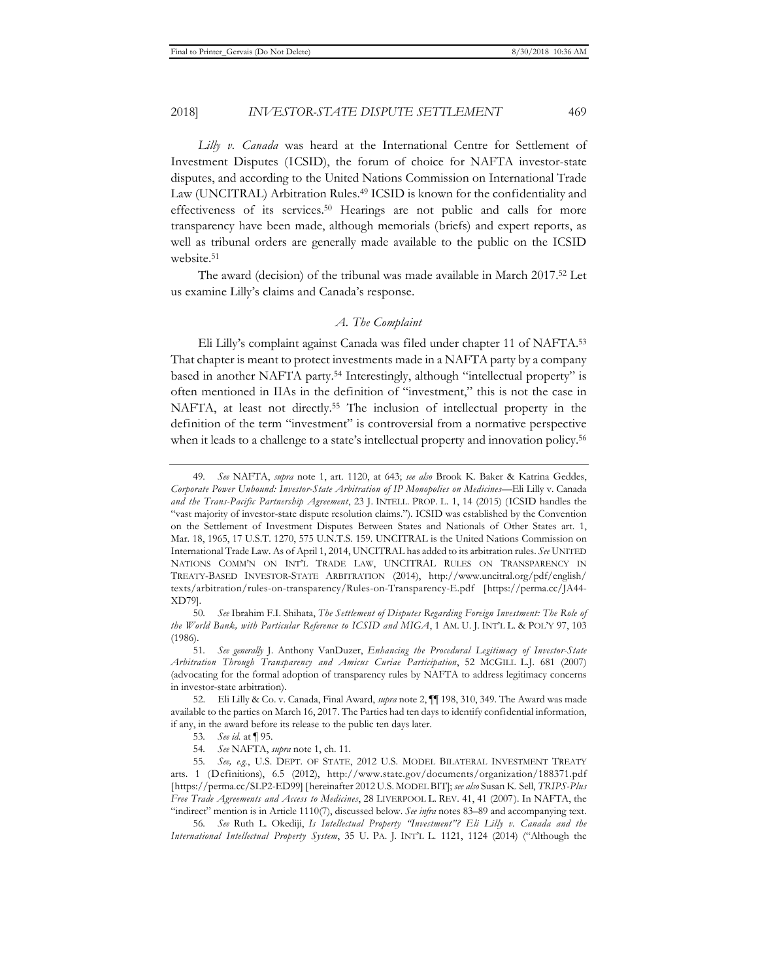*Lilly v. Canada* was heard at the International Centre for Settlement of Investment Disputes (ICSID), the forum of choice for NAFTA investor-state disputes, and according to the United Nations Commission on International Trade Law (UNCITRAL) Arbitration Rules.49 ICSID is known for the confidentiality and effectiveness of its services.50 Hearings are not public and calls for more transparency have been made, although memorials (briefs) and expert reports, as well as tribunal orders are generally made available to the public on the ICSID website.<sup>51</sup>

The award (decision) of the tribunal was made available in March 2017.52 Let us examine Lilly's claims and Canada's response.

# *A. The Complaint*

Eli Lilly's complaint against Canada was filed under chapter 11 of NAFTA.53 That chapter is meant to protect investments made in a NAFTA party by a company based in another NAFTA party.54 Interestingly, although "intellectual property" is often mentioned in IIAs in the definition of "investment," this is not the case in NAFTA, at least not directly.55 The inclusion of intellectual property in the definition of the term "investment" is controversial from a normative perspective when it leads to a challenge to a state's intellectual property and innovation policy.<sup>56</sup>

<sup>49</sup>*. See* NAFTA, *supra* note 1, art. 1120, at 643; *see also* Brook K. Baker & Katrina Geddes, *Corporate Power Unbound: Investor-State Arbitration of IP Monopolies on Medicines—*Eli Lilly v. Canada *and the Trans-Pacific Partnership Agreement*, 23 J. INTELL. PROP. L. 1, 14 (2015) (ICSID handles the "vast majority of investor-state dispute resolution claims."). ICSID was established by the Convention on the Settlement of Investment Disputes Between States and Nationals of Other States art. 1, Mar. 18, 1965, 17 U.S.T. 1270, 575 U.N.T.S. 159. UNCITRAL is the United Nations Commission on International Trade Law. As of April 1, 2014, UNCITRAL has added to its arbitration rules. *See* UNITED NATIONS COMM'N ON INT'L TRADE LAW, UNCITRAL RULES ON TRANSPARENCY IN TREATY-BASED INVESTOR-STATE ARBITRATION (2014), http://www.uncitral.org/pdf/english/ texts/arbitration/rules-on-transparency/Rules-on-Transparency-E.pdf [https://perma.cc/JA44- XD79].

<sup>50</sup>*. See* Ibrahim F.I. Shihata, *The Settlement of Disputes Regarding Foreign Investment: The Role of the World Bank, with Particular Reference to ICSID and MIGA*, 1 AM. U. J. INT'L L. & POL'Y 97, 103 (1986).

<sup>51</sup>*. See generally* J. Anthony VanDuzer, *Enhancing the Procedural Legitimacy of Investor-State Arbitration Through Transparency and Amicus Curiae Participation*, 52 MCGILL L.J. 681 (2007) (advocating for the formal adoption of transparency rules by NAFTA to address legitimacy concerns in investor-state arbitration).

<sup>52.</sup> Eli Lilly & Co. v. Canada, Final Award, *supra* note 2, ¶¶ 198, 310, 349. The Award was made available to the parties on March 16, 2017. The Parties had ten days to identify confidential information, if any, in the award before its release to the public ten days later.

<sup>53</sup>*. See id.* at ¶ 95.

<sup>54</sup>*. See* NAFTA, *supra* note 1, ch. 11.

<sup>55</sup>*. See, e.g.*, U.S. DEPT. OF STATE, 2012 U.S. MODEL BILATERAL INVESTMENT TREATY arts. 1 (Definitions), 6.5 (2012), http://www.state.gov/documents/organization/188371.pdf [https://perma.cc/SLP2-ED99] [hereinafter 2012 U.S. MODEL BIT]; *see also* Susan K. Sell, *TRIPS-Plus Free Trade Agreements and Access to Medicines*, 28 LIVERPOOL L. REV. 41, 41 (2007). In NAFTA, the "indirect" mention is in Article 1110(7), discussed below. *See infra* notes 83–89 and accompanying text.

<sup>56</sup>*. See* Ruth L. Okediji, *Is Intellectual Property "Investment"? Eli Lilly v. Canada and the International Intellectual Property System*, 35 U. PA. J. INT'L L. 1121, 1124 (2014) ("Although the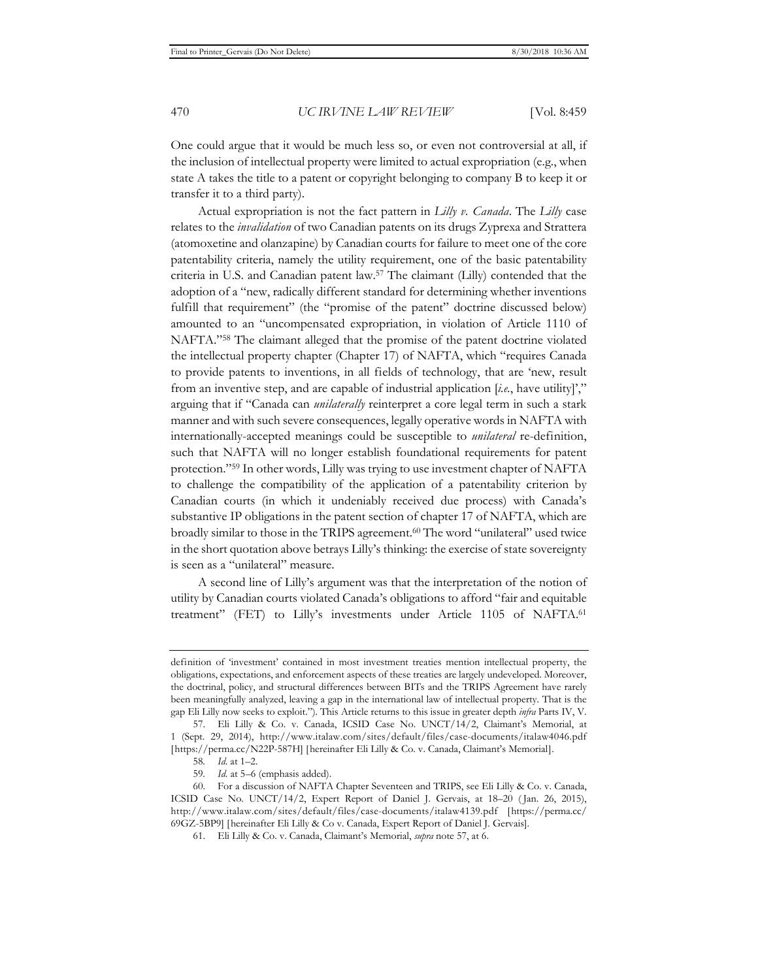One could argue that it would be much less so, or even not controversial at all, if the inclusion of intellectual property were limited to actual expropriation (e.g., when state A takes the title to a patent or copyright belonging to company B to keep it or transfer it to a third party).

Actual expropriation is not the fact pattern in *Lilly v. Canada*. The *Lilly* case relates to the *invalidation* of two Canadian patents on its drugs Zyprexa and Strattera (atomoxetine and olanzapine) by Canadian courts for failure to meet one of the core patentability criteria, namely the utility requirement, one of the basic patentability criteria in U.S. and Canadian patent law.57 The claimant (Lilly) contended that the adoption of a "new, radically different standard for determining whether inventions fulfill that requirement" (the "promise of the patent" doctrine discussed below) amounted to an "uncompensated expropriation, in violation of Article 1110 of NAFTA."58 The claimant alleged that the promise of the patent doctrine violated the intellectual property chapter (Chapter 17) of NAFTA, which "requires Canada to provide patents to inventions, in all fields of technology, that are 'new, result from an inventive step, and are capable of industrial application [*i.e.*, have utility]'," arguing that if "Canada can *unilaterally* reinterpret a core legal term in such a stark manner and with such severe consequences, legally operative words in NAFTA with internationally-accepted meanings could be susceptible to *unilateral* re-definition, such that NAFTA will no longer establish foundational requirements for patent protection."59 In other words, Lilly was trying to use investment chapter of NAFTA to challenge the compatibility of the application of a patentability criterion by Canadian courts (in which it undeniably received due process) with Canada's substantive IP obligations in the patent section of chapter 17 of NAFTA, which are broadly similar to those in the TRIPS agreement.60 The word "unilateral" used twice in the short quotation above betrays Lilly's thinking: the exercise of state sovereignty is seen as a "unilateral" measure.

A second line of Lilly's argument was that the interpretation of the notion of utility by Canadian courts violated Canada's obligations to afford "fair and equitable treatment" (FET) to Lilly's investments under Article 1105 of NAFTA.61

definition of 'investment' contained in most investment treaties mention intellectual property, the obligations, expectations, and enforcement aspects of these treaties are largely undeveloped. Moreover, the doctrinal, policy, and structural differences between BITs and the TRIPS Agreement have rarely been meaningfully analyzed, leaving a gap in the international law of intellectual property. That is the gap Eli Lilly now seeks to exploit."). This Article returns to this issue in greater depth *infra* Parts IV, V.

<sup>57.</sup> Eli Lilly & Co. v. Canada, ICSID Case No. UNCT/14/2, Claimant's Memorial, at 1 (Sept. 29, 2014), http://www.italaw.com/sites/default/files/case-documents/italaw4046.pdf [https://perma.cc/N22P-587H] [hereinafter Eli Lilly & Co. v. Canada, Claimant's Memorial].

<sup>58</sup>*. Id.* at 1–2.

<sup>59</sup>*. Id.* at 5–6 (emphasis added).

<sup>60.</sup> For a discussion of NAFTA Chapter Seventeen and TRIPS, see Eli Lilly & Co. v. Canada, ICSID Case No. UNCT/14/2, Expert Report of Daniel J. Gervais, at 18–20 ( Jan. 26, 2015), http://www.italaw.com/sites/default/files/case-documents/italaw4139.pdf [https://perma.cc/ 69GZ-5BP9] [hereinafter Eli Lilly & Co v. Canada, Expert Report of Daniel J. Gervais].

<sup>61.</sup> Eli Lilly & Co. v. Canada, Claimant's Memorial, *supra* note 57, at 6.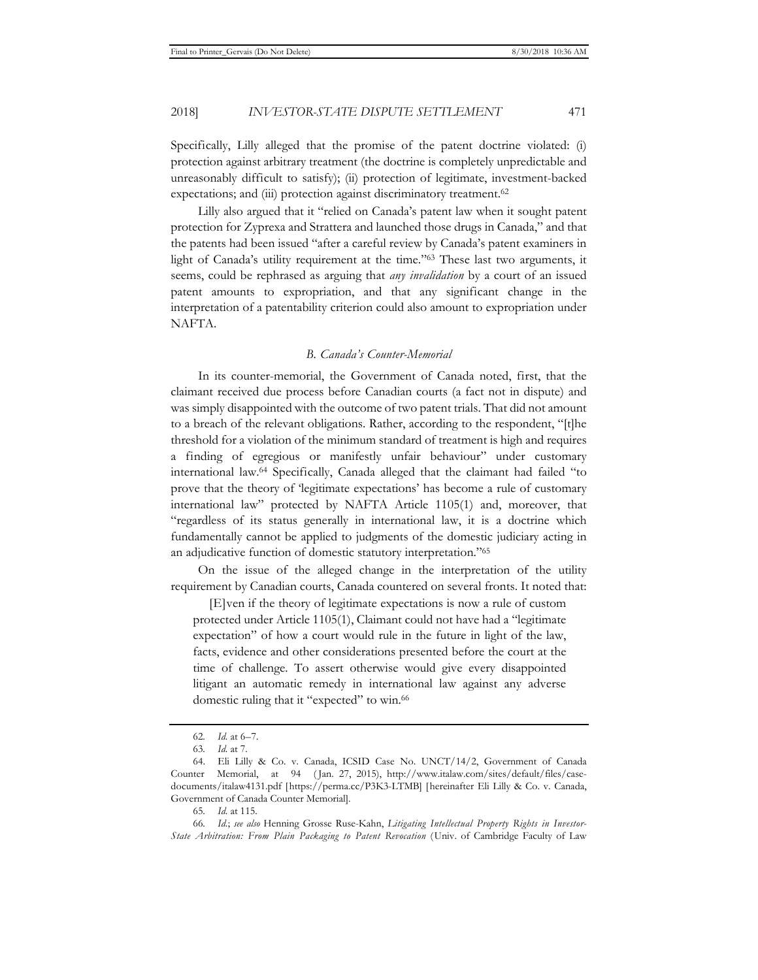Specifically, Lilly alleged that the promise of the patent doctrine violated: (i) protection against arbitrary treatment (the doctrine is completely unpredictable and unreasonably difficult to satisfy); (ii) protection of legitimate, investment-backed expectations; and (iii) protection against discriminatory treatment.<sup>62</sup>

Lilly also argued that it "relied on Canada's patent law when it sought patent protection for Zyprexa and Strattera and launched those drugs in Canada," and that the patents had been issued "after a careful review by Canada's patent examiners in light of Canada's utility requirement at the time."63 These last two arguments, it seems, could be rephrased as arguing that *any invalidation* by a court of an issued patent amounts to expropriation, and that any significant change in the interpretation of a patentability criterion could also amount to expropriation under NAFTA.

#### *B. Canada's Counter-Memorial*

In its counter-memorial, the Government of Canada noted, first, that the claimant received due process before Canadian courts (a fact not in dispute) and was simply disappointed with the outcome of two patent trials. That did not amount to a breach of the relevant obligations. Rather, according to the respondent, "[t]he threshold for a violation of the minimum standard of treatment is high and requires a finding of egregious or manifestly unfair behaviour" under customary international law.64 Specifically, Canada alleged that the claimant had failed "to prove that the theory of 'legitimate expectations' has become a rule of customary international law" protected by NAFTA Article 1105(1) and, moreover, that "regardless of its status generally in international law, it is a doctrine which fundamentally cannot be applied to judgments of the domestic judiciary acting in an adjudicative function of domestic statutory interpretation."65

On the issue of the alleged change in the interpretation of the utility requirement by Canadian courts, Canada countered on several fronts. It noted that:

 [E]ven if the theory of legitimate expectations is now a rule of custom protected under Article 1105(1), Claimant could not have had a "legitimate expectation" of how a court would rule in the future in light of the law, facts, evidence and other considerations presented before the court at the time of challenge. To assert otherwise would give every disappointed litigant an automatic remedy in international law against any adverse domestic ruling that it "expected" to win.<sup>66</sup>

<sup>62</sup>*. Id.* at 6–7.

<sup>63</sup>*. Id.* at 7.

<sup>64.</sup> Eli Lilly & Co. v. Canada, ICSID Case No. UNCT/14/2, Government of Canada Counter Memorial, at 94 ( Jan. 27, 2015), http://www.italaw.com/sites/default/files/casedocuments/italaw4131.pdf [https://perma.cc/P3K3-LTMB] [hereinafter Eli Lilly & Co. v. Canada, Government of Canada Counter Memorial].

<sup>65</sup>*. Id.* at 115.

<sup>66</sup>*. Id.*; *see also* Henning Grosse Ruse-Kahn, *Litigating Intellectual Property Rights in Investor-State Arbitration: From Plain Packaging to Patent Revocation* (Univ. of Cambridge Faculty of Law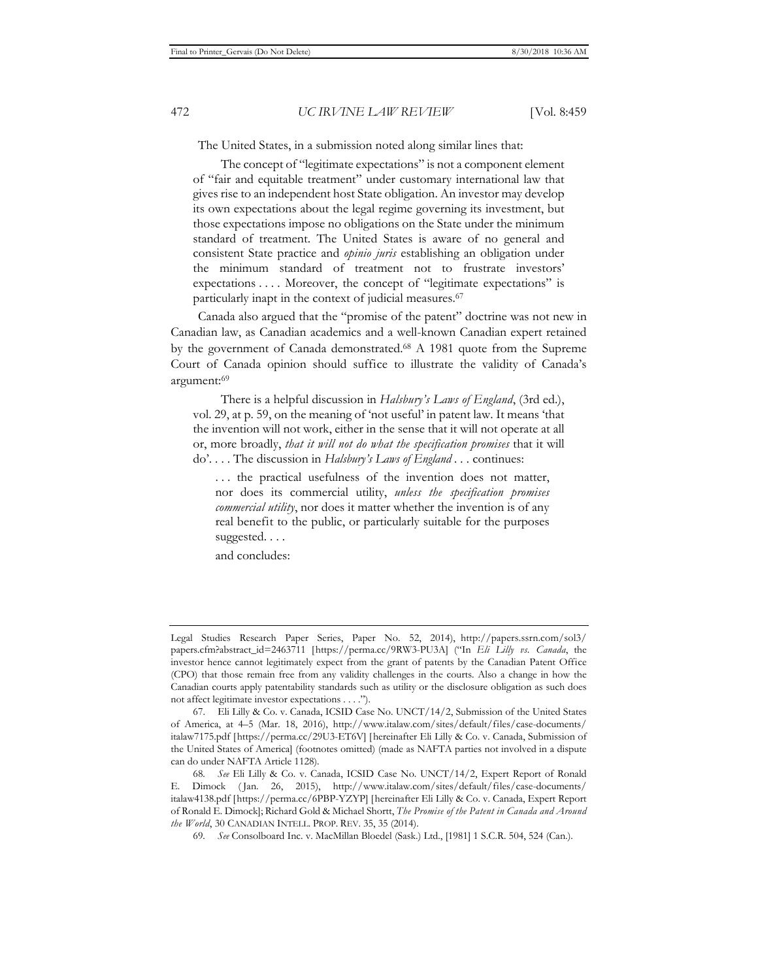The United States, in a submission noted along similar lines that:

The concept of "legitimate expectations" is not a component element of "fair and equitable treatment" under customary international law that gives rise to an independent host State obligation. An investor may develop its own expectations about the legal regime governing its investment, but those expectations impose no obligations on the State under the minimum standard of treatment. The United States is aware of no general and consistent State practice and *opinio juris* establishing an obligation under the minimum standard of treatment not to frustrate investors' expectations . . . . Moreover, the concept of "legitimate expectations" is particularly inapt in the context of judicial measures.67

Canada also argued that the "promise of the patent" doctrine was not new in Canadian law, as Canadian academics and a well-known Canadian expert retained by the government of Canada demonstrated.68 A 1981 quote from the Supreme Court of Canada opinion should suffice to illustrate the validity of Canada's argument:69

There is a helpful discussion in *Halsbury's Laws of England*, (3rd ed.), vol. 29, at p. 59, on the meaning of 'not useful' in patent law. It means 'that the invention will not work, either in the sense that it will not operate at all or, more broadly, *that it will not do what the specification promises* that it will do'. . . . The discussion in *Halsbury's Laws of England . . .* continues:

. . . the practical usefulness of the invention does not matter, nor does its commercial utility, *unless the specification promises commercial utility*, nor does it matter whether the invention is of any real benefit to the public, or particularly suitable for the purposes suggested. . . .

and concludes:

Legal Studies Research Paper Series, Paper No. 52, 2014), http://papers.ssrn.com/sol3/ papers.cfm?abstract\_id=2463711 [https://perma.cc/9RW3-PU3A] ("In *Eli Lilly vs. Canada*, the investor hence cannot legitimately expect from the grant of patents by the Canadian Patent Office (CPO) that those remain free from any validity challenges in the courts. Also a change in how the Canadian courts apply patentability standards such as utility or the disclosure obligation as such does not affect legitimate investor expectations . . . .").

<sup>67.</sup> Eli Lilly & Co. v. Canada, ICSID Case No. UNCT/14/2, Submission of the United States of America, at 4–5 (Mar. 18, 2016), http://www.italaw.com/sites/default/files/case-documents/ italaw7175.pdf [https://perma.cc/29U3-ET6V] [hereinafter Eli Lilly & Co. v. Canada, Submission of the United States of America] (footnotes omitted) (made as NAFTA parties not involved in a dispute can do under NAFTA Article 1128).

<sup>68</sup>*. See* Eli Lilly & Co. v. Canada, ICSID Case No. UNCT/14/2, Expert Report of Ronald E. Dimock ( Jan. 26, 2015), http://www.italaw.com/sites/default/files/case-documents/ italaw4138.pdf [https://perma.cc/6PBP-YZYP] [hereinafter Eli Lilly & Co. v. Canada, Expert Report of Ronald E. Dimock]; Richard Gold & Michael Shortt, *The Promise of the Patent in Canada and Around the World*, 30 CANADIAN INTELL. PROP. REV. 35, 35 (2014).

<sup>69</sup>*. See* Consolboard Inc. v. MacMillan Bloedel (Sask.) Ltd., [1981] 1 S.C.R. 504, 524 (Can.).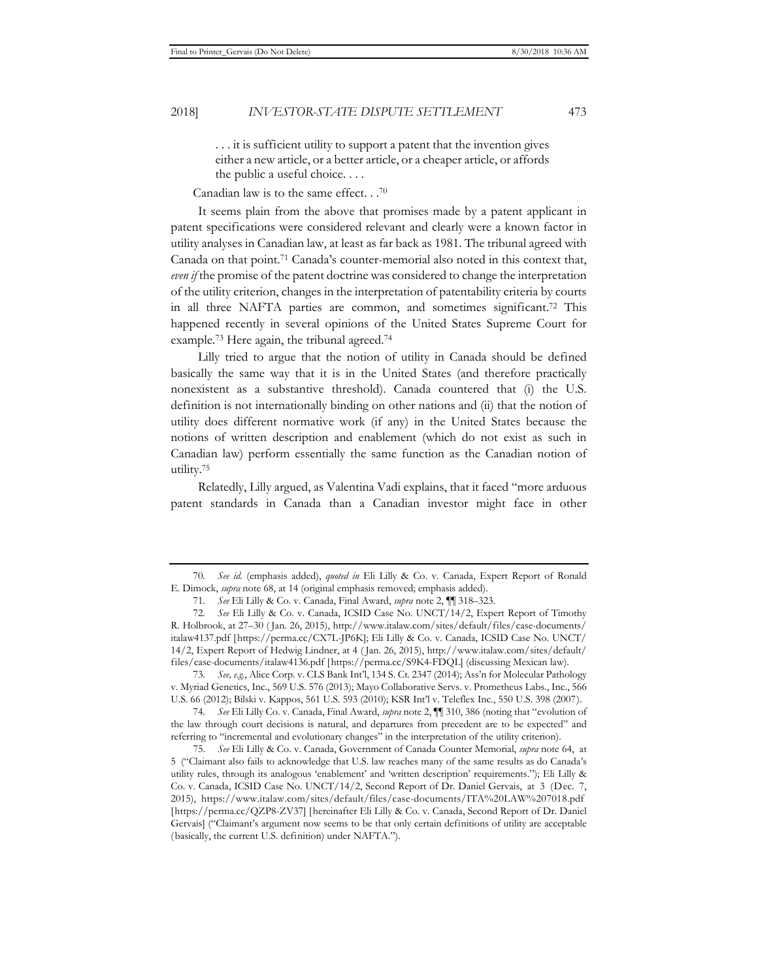. . . it is sufficient utility to support a patent that the invention gives either a new article, or a better article, or a cheaper article, or affords the public a useful choice. . . .

Canadian law is to the same effect. . .70

It seems plain from the above that promises made by a patent applicant in patent specifications were considered relevant and clearly were a known factor in utility analyses in Canadian law, at least as far back as 1981. The tribunal agreed with Canada on that point.71 Canada's counter-memorial also noted in this context that, *even if* the promise of the patent doctrine was considered to change the interpretation of the utility criterion, changes in the interpretation of patentability criteria by courts in all three NAFTA parties are common, and sometimes significant.72 This happened recently in several opinions of the United States Supreme Court for example.73 Here again, the tribunal agreed.74

Lilly tried to argue that the notion of utility in Canada should be defined basically the same way that it is in the United States (and therefore practically nonexistent as a substantive threshold). Canada countered that (i) the U.S. definition is not internationally binding on other nations and (ii) that the notion of utility does different normative work (if any) in the United States because the notions of written description and enablement (which do not exist as such in Canadian law) perform essentially the same function as the Canadian notion of utility.75

Relatedly, Lilly argued, as Valentina Vadi explains, that it faced "more arduous patent standards in Canada than a Canadian investor might face in other

73*. See, e.g.*, Alice Corp. v. CLS Bank Int'l, 134 S. Ct. 2347 (2014); Ass'n for Molecular Pathology v. Myriad Genetics, Inc., 569 U.S. 576 (2013); Mayo Collaborative Servs. v. Prometheus Labs., Inc., 566 U.S. 66 (2012); Bilski v. Kappos, 561 U.S. 593 (2010); KSR Int'l v. Teleflex Inc., 550 U.S. 398 (2007).

74*. See* Eli Lilly Co. v. Canada, Final Award, *supra* note 2, ¶¶ 310, 386 (noting that "evolution of the law through court decisions is natural, and departures from precedent are to be expected" and referring to "incremental and evolutionary changes" in the interpretation of the utility criterion).

75*. See* Eli Lilly & Co. v. Canada, Government of Canada Counter Memorial, *supra* note 64, at 5 ("Claimant also fails to acknowledge that U.S. law reaches many of the same results as do Canada's utility rules, through its analogous 'enablement' and 'written description' requirements."); Eli Lilly & Co. v. Canada, ICSID Case No. UNCT/14/2, Second Report of Dr. Daniel Gervais, at 3 (Dec. 7, 2015), https://www.italaw.com/sites/default/files/case-documents/ITA%20LAW%207018.pdf [https://perma.cc/QZP8-ZV37] [hereinafter Eli Lilly & Co. v. Canada, Second Report of Dr. Daniel Gervais] ("Claimant's argument now seems to be that only certain definitions of utility are acceptable (basically, the current U.S. definition) under NAFTA.").

<sup>70</sup>*. See id.* (emphasis added), *quoted in* Eli Lilly & Co. v. Canada, Expert Report of Ronald E. Dimock, *supra* note 68, at 14 (original emphasis removed; emphasis added).

<sup>71</sup>*. See* Eli Lilly & Co. v. Canada, Final Award, *supra* note 2, ¶¶ 318–323.

<sup>72</sup>*. See* Eli Lilly & Co. v. Canada, ICSID Case No. UNCT/14/2, Expert Report of Timothy R. Holbrook, at 27–30 ( Jan. 26, 2015), http://www.italaw.com/sites/default/files/case-documents/ italaw4137.pdf [https://perma.cc/CX7L-JP6K]; Eli Lilly & Co. v. Canada, ICSID Case No. UNCT/ 14/2, Expert Report of Hedwig Lindner, at 4 ( Jan. 26, 2015), http://www.italaw.com/sites/default/ files/case-documents/italaw4136.pdf [https://perma.cc/S9K4-FDQL] (discussing Mexican law).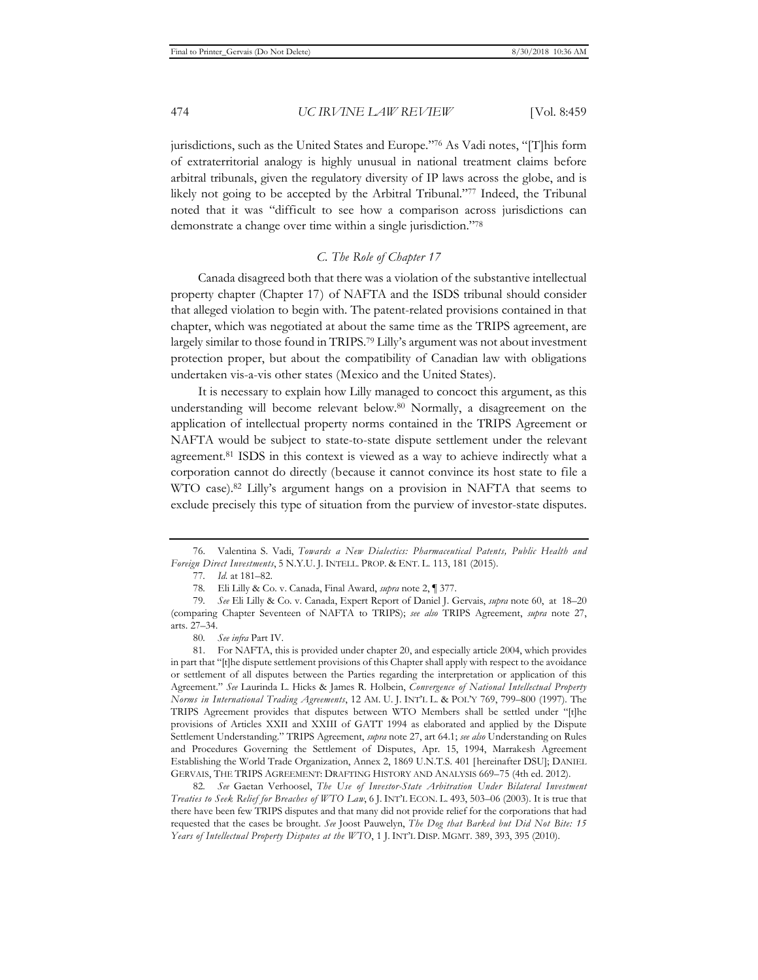jurisdictions, such as the United States and Europe."76 As Vadi notes, "[T]his form of extraterritorial analogy is highly unusual in national treatment claims before arbitral tribunals, given the regulatory diversity of IP laws across the globe, and is likely not going to be accepted by the Arbitral Tribunal."77 Indeed, the Tribunal noted that it was "difficult to see how a comparison across jurisdictions can demonstrate a change over time within a single jurisdiction."78

# *C. The Role of Chapter 17*

Canada disagreed both that there was a violation of the substantive intellectual property chapter (Chapter 17) of NAFTA and the ISDS tribunal should consider that alleged violation to begin with. The patent-related provisions contained in that chapter, which was negotiated at about the same time as the TRIPS agreement, are largely similar to those found in TRIPS.79 Lilly's argument was not about investment protection proper, but about the compatibility of Canadian law with obligations undertaken vis-a-vis other states (Mexico and the United States).

It is necessary to explain how Lilly managed to concoct this argument, as this understanding will become relevant below.80 Normally, a disagreement on the application of intellectual property norms contained in the TRIPS Agreement or NAFTA would be subject to state-to-state dispute settlement under the relevant agreement.81 ISDS in this context is viewed as a way to achieve indirectly what a corporation cannot do directly (because it cannot convince its host state to file a WTO case).82 Lilly's argument hangs on a provision in NAFTA that seems to exclude precisely this type of situation from the purview of investor-state disputes.

<sup>76.</sup> Valentina S. Vadi, *Towards a New Dialectics: Pharmaceutical Patents, Public Health and Foreign Direct Investments*, 5 N.Y.U. J. INTELL. PROP. & ENT. L. 113, 181 (2015).

<sup>77</sup>*. Id.* at 181–82.

<sup>78</sup>*.* Eli Lilly & Co. v. Canada, Final Award, *supra* note 2, ¶ 377.

<sup>79</sup>*. See* Eli Lilly & Co. v. Canada, Expert Report of Daniel J. Gervais, *supra* note 60, at 18–20 (comparing Chapter Seventeen of NAFTA to TRIPS); *see also* TRIPS Agreement, *supra* note 27, arts. 27–34.

<sup>80</sup>*. See infra* Part IV.

<sup>81.</sup> For NAFTA, this is provided under chapter 20, and especially article 2004, which provides in part that "[t]he dispute settlement provisions of this Chapter shall apply with respect to the avoidance or settlement of all disputes between the Parties regarding the interpretation or application of this Agreement." *See* Laurinda L. Hicks & James R. Holbein, *Convergence of National Intellectual Property Norms in International Trading Agreements*, 12 AM. U. J. INT'L L. & POL'Y 769, 799–800 (1997). The TRIPS Agreement provides that disputes between WTO Members shall be settled under "[t]he provisions of Articles XXII and XXIII of GATT 1994 as elaborated and applied by the Dispute Settlement Understanding." TRIPS Agreement, *supra* note 27, art 64.1; *see also* Understanding on Rules and Procedures Governing the Settlement of Disputes, Apr. 15, 1994, Marrakesh Agreement Establishing the World Trade Organization, Annex 2, 1869 U.N.T.S. 401 [hereinafter DSU]; DANIEL GERVAIS, THE TRIPS AGREEMENT: DRAFTING HISTORY AND ANALYSIS 669–75 (4th ed. 2012).

<sup>82</sup>*. See* Gaetan Verhoosel, *The Use of Investor-State Arbitration Under Bilateral Investment Treaties to Seek Relief for Breaches of WTO Law*, 6 J. INT'L ECON. L. 493, 503–06 (2003). It is true that there have been few TRIPS disputes and that many did not provide relief for the corporations that had requested that the cases be brought. *See* Joost Pauwelyn, *The Dog that Barked but Did Not Bite: 15 Years of Intellectual Property Disputes at the WTO*, 1 J. INT'L DISP. MGMT. 389, 393, 395 (2010).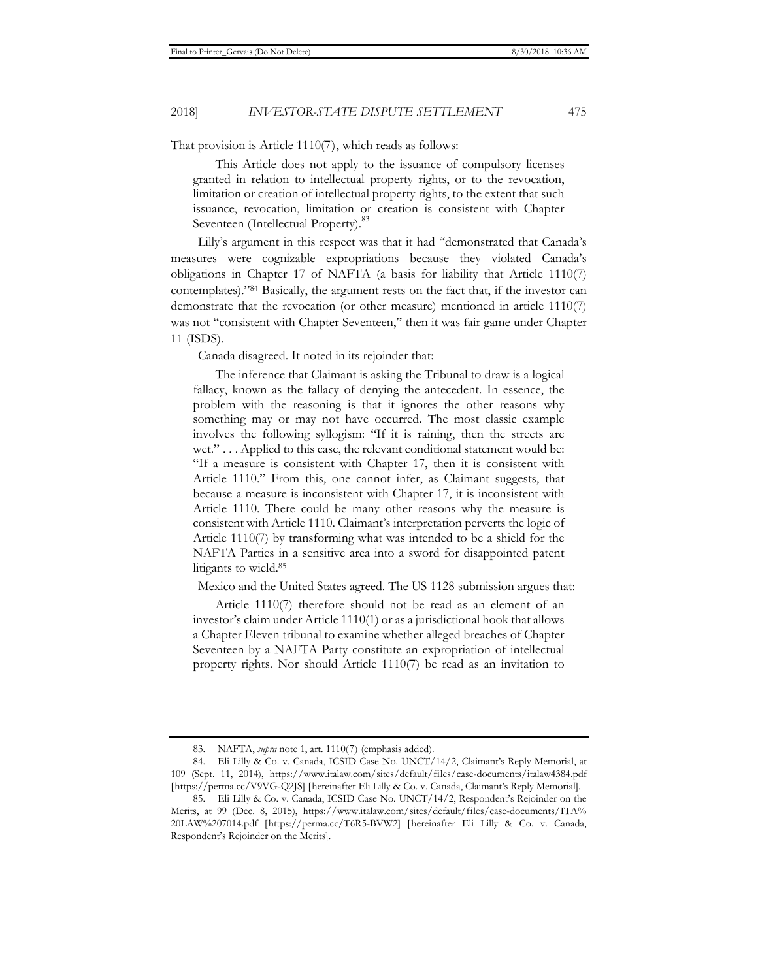That provision is Article 1110(7), which reads as follows:

This Article does not apply to the issuance of compulsory licenses granted in relation to intellectual property rights, or to the revocation, limitation or creation of intellectual property rights, to the extent that such issuance, revocation, limitation or creation is consistent with Chapter Seventeen (Intellectual Property).<sup>83</sup>

Lilly's argument in this respect was that it had "demonstrated that Canada's measures were cognizable expropriations because they violated Canada's obligations in Chapter 17 of NAFTA (a basis for liability that Article 1110(7) contemplates)."84 Basically, the argument rests on the fact that, if the investor can demonstrate that the revocation (or other measure) mentioned in article 1110(7) was not "consistent with Chapter Seventeen," then it was fair game under Chapter 11 (ISDS).

Canada disagreed. It noted in its rejoinder that:

The inference that Claimant is asking the Tribunal to draw is a logical fallacy, known as the fallacy of denying the antecedent. In essence, the problem with the reasoning is that it ignores the other reasons why something may or may not have occurred. The most classic example involves the following syllogism: "If it is raining, then the streets are wet." . . . Applied to this case, the relevant conditional statement would be: "If a measure is consistent with Chapter 17, then it is consistent with Article 1110." From this, one cannot infer, as Claimant suggests, that because a measure is inconsistent with Chapter 17, it is inconsistent with Article 1110. There could be many other reasons why the measure is consistent with Article 1110. Claimant's interpretation perverts the logic of Article 1110(7) by transforming what was intended to be a shield for the NAFTA Parties in a sensitive area into a sword for disappointed patent litigants to wield.85

Mexico and the United States agreed. The US 1128 submission argues that:

Article 1110(7) therefore should not be read as an element of an investor's claim under Article 1110(1) or as a jurisdictional hook that allows a Chapter Eleven tribunal to examine whether alleged breaches of Chapter Seventeen by a NAFTA Party constitute an expropriation of intellectual property rights. Nor should Article 1110(7) be read as an invitation to

<sup>83.</sup> NAFTA, *supra* note 1, art. 1110(7) (emphasis added).

<sup>84.</sup> Eli Lilly & Co. v. Canada, ICSID Case No. UNCT/14/2, Claimant's Reply Memorial, at 109 (Sept. 11, 2014), https://www.italaw.com/sites/default/files/case-documents/italaw4384.pdf [https://perma.cc/V9VG-Q2JS] [hereinafter Eli Lilly & Co. v. Canada, Claimant's Reply Memorial].

<sup>85.</sup> Eli Lilly & Co. v. Canada, ICSID Case No. UNCT/14/2, Respondent's Rejoinder on the Merits, at 99 (Dec. 8, 2015), https://www.italaw.com/sites/default/files/case-documents/ITA% 20LAW%207014.pdf [https://perma.cc/T6R5-BVW2] [hereinafter Eli Lilly & Co. v. Canada, Respondent's Rejoinder on the Merits].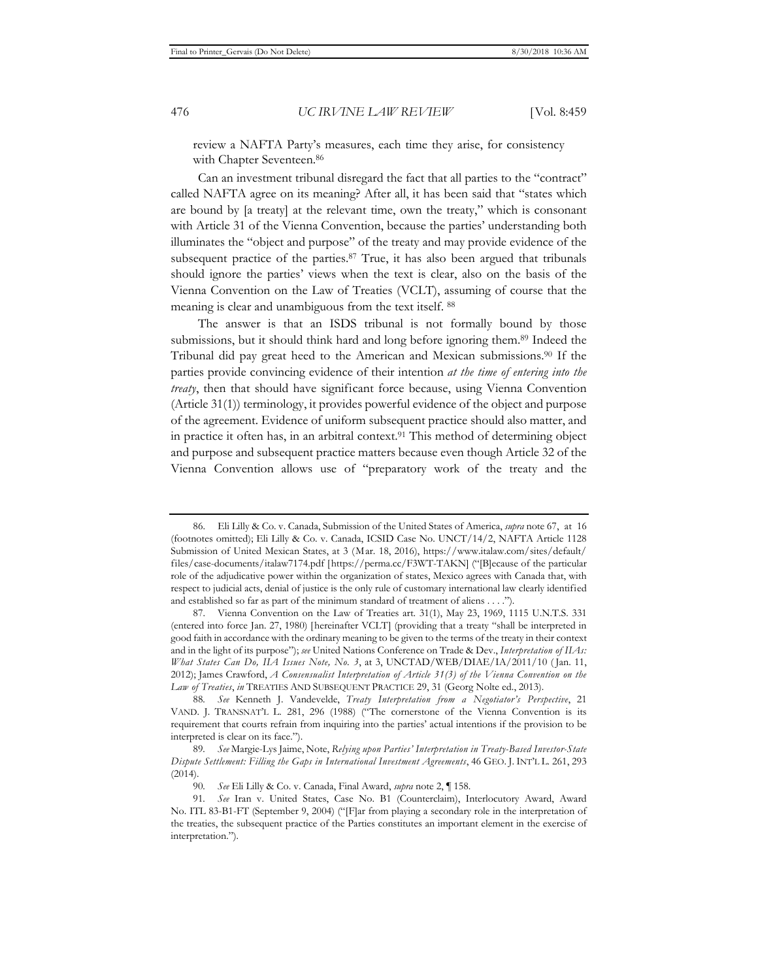review a NAFTA Party's measures, each time they arise, for consistency with Chapter Seventeen.<sup>86</sup>

Can an investment tribunal disregard the fact that all parties to the "contract" called NAFTA agree on its meaning? After all, it has been said that "states which are bound by [a treaty] at the relevant time, own the treaty," which is consonant with Article 31 of the Vienna Convention, because the parties' understanding both illuminates the "object and purpose" of the treaty and may provide evidence of the subsequent practice of the parties.<sup>87</sup> True, it has also been argued that tribunals should ignore the parties' views when the text is clear, also on the basis of the Vienna Convention on the Law of Treaties (VCLT), assuming of course that the meaning is clear and unambiguous from the text itself. 88

The answer is that an ISDS tribunal is not formally bound by those submissions, but it should think hard and long before ignoring them.89 Indeed the Tribunal did pay great heed to the American and Mexican submissions.90 If the parties provide convincing evidence of their intention *at the time of entering into the treaty*, then that should have significant force because, using Vienna Convention (Article 31(1)) terminology, it provides powerful evidence of the object and purpose of the agreement. Evidence of uniform subsequent practice should also matter, and in practice it often has, in an arbitral context.<sup>91</sup> This method of determining object and purpose and subsequent practice matters because even though Article 32 of the Vienna Convention allows use of "preparatory work of the treaty and the

<sup>86.</sup> Eli Lilly & Co. v. Canada, Submission of the United States of America, *supra* note 67, at 16 (footnotes omitted); Eli Lilly & Co. v. Canada, ICSID Case No. UNCT/14/2, NAFTA Article 1128 Submission of United Mexican States, at 3 (Mar. 18, 2016), https://www.italaw.com/sites/default/ files/case-documents/italaw7174.pdf [https://perma.cc/F3WT-TAKN] ("[B]ecause of the particular role of the adjudicative power within the organization of states, Mexico agrees with Canada that, with respect to judicial acts, denial of justice is the only rule of customary international law clearly identified and established so far as part of the minimum standard of treatment of aliens . . . .").

<sup>87.</sup> Vienna Convention on the Law of Treaties art. 31(1), May 23, 1969, 1115 U.N.T.S. 331 (entered into force Jan. 27, 1980) [hereinafter VCLT] (providing that a treaty "shall be interpreted in good faith in accordance with the ordinary meaning to be given to the terms of the treaty in their context and in the light of its purpose"); *see* United Nations Conference on Trade & Dev., *Interpretation of IIAs: What States Can Do, IIA Issues Note, No. 3*, at 3, UNCTAD/WEB/DIAE/IA/2011/10 ( Jan. 11, 2012); James Crawford, *A Consensualist Interpretation of Article 31(3) of the Vienna Convention on the Law of Treaties*, *in* TREATIES AND SUBSEQUENT PRACTICE 29, 31 (Georg Nolte ed., 2013).

<sup>88</sup>*. See* Kenneth J. Vandevelde, *Treaty Interpretation from a Negotiator's Perspective*, 21 VAND. J. TRANSNAT'L L. 281, 296 (1988) ("The cornerstone of the Vienna Convention is its requirement that courts refrain from inquiring into the parties' actual intentions if the provision to be interpreted is clear on its face.").

<sup>89</sup>*. See* Margie-Lys Jaime, Note, *Relying upon Parties' Interpretation in Treaty-Based Investor-State Dispute Settlement: Filling the Gaps in International Investment Agreements*, 46 GEO. J. INT'L L. 261, 293 (2014).

<sup>90</sup>*. See* Eli Lilly & Co. v. Canada, Final Award, *supra* note 2, ¶ 158.

<sup>91</sup>*. See* Iran v. United States, Case No. B1 (Counterclaim), Interlocutory Award, Award No. ITL 83-B1-FT (September 9, 2004) ("[F]ar from playing a secondary role in the interpretation of the treaties, the subsequent practice of the Parties constitutes an important element in the exercise of interpretation.").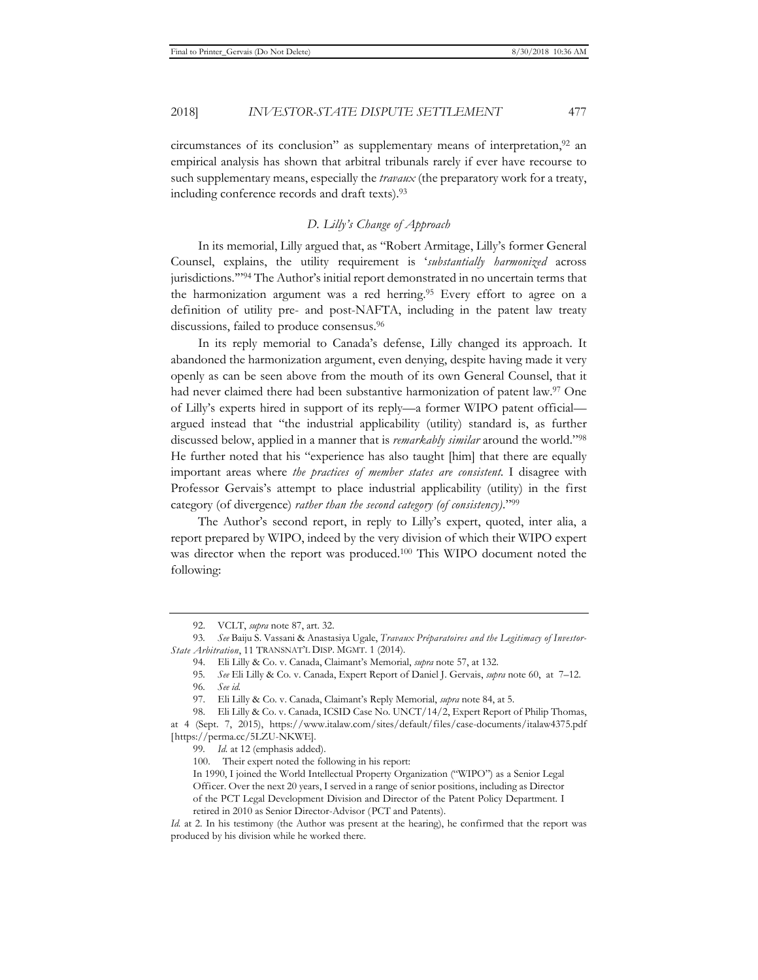2018] *INVESTOR-STATE DISPUTE SETTLEMENT* 477

circumstances of its conclusion" as supplementary means of interpretation,  $92$  an empirical analysis has shown that arbitral tribunals rarely if ever have recourse to such supplementary means, especially the *travaux* (the preparatory work for a treaty, including conference records and draft texts).93

# *D. Lilly's Change of Approach*

In its memorial, Lilly argued that, as "Robert Armitage, Lilly's former General Counsel, explains, the utility requirement is '*substantially harmonized* across jurisdictions.'"94 The Author's initial report demonstrated in no uncertain terms that the harmonization argument was a red herring.95 Every effort to agree on a definition of utility pre- and post-NAFTA, including in the patent law treaty discussions, failed to produce consensus.<sup>96</sup>

In its reply memorial to Canada's defense, Lilly changed its approach. It abandoned the harmonization argument, even denying, despite having made it very openly as can be seen above from the mouth of its own General Counsel, that it had never claimed there had been substantive harmonization of patent law.97 One of Lilly's experts hired in support of its reply—a former WIPO patent official argued instead that "the industrial applicability (utility) standard is, as further discussed below, applied in a manner that is *remarkably similar* around the world."98 He further noted that his "experience has also taught [him] that there are equally important areas where *the practices of member states are consistent.* I disagree with Professor Gervais's attempt to place industrial applicability (utility) in the first category (of divergence) *rather than the second category (of consistency)*."99

The Author's second report, in reply to Lilly's expert, quoted, inter alia, a report prepared by WIPO, indeed by the very division of which their WIPO expert was director when the report was produced.100 This WIPO document noted the following:

<sup>92.</sup> VCLT, *supra* note 87, art. 32.

<sup>93</sup>*. See* Baiju S. Vassani & Anastasiya Ugale, *Travaux Préparatoires and the Legitimacy of Investor-State Arbitration*, 11 TRANSNAT'L DISP. MGMT. 1 (2014).

<sup>94.</sup> Eli Lilly & Co. v. Canada, Claimant's Memorial, *supra* note 57, at 132.

<sup>95</sup>*. See* Eli Lilly & Co. v. Canada, Expert Report of Daniel J. Gervais, *supra* note 60, at 7–12.

<sup>96</sup>*. See id.* 

<sup>97.</sup> Eli Lilly & Co. v. Canada, Claimant's Reply Memorial, *supra* note 84, at 5.

<sup>98.</sup> Eli Lilly & Co. v. Canada, ICSID Case No. UNCT/14/2, Expert Report of Philip Thomas, at 4 (Sept. 7, 2015), https://www.italaw.com/sites/default/files/case-documents/italaw4375.pdf [https://perma.cc/5LZU-NKWE].

<sup>99</sup>*. Id.* at 12 (emphasis added).

<sup>100.</sup> Their expert noted the following in his report:

In 1990, I joined the World Intellectual Property Organization ("WIPO") as a Senior Legal Officer. Over the next 20 years, I served in a range of senior positions, including as Director of the PCT Legal Development Division and Director of the Patent Policy Department. I retired in 2010 as Senior Director-Advisor (PCT and Patents).

*Id.* at 2. In his testimony (the Author was present at the hearing), he confirmed that the report was produced by his division while he worked there.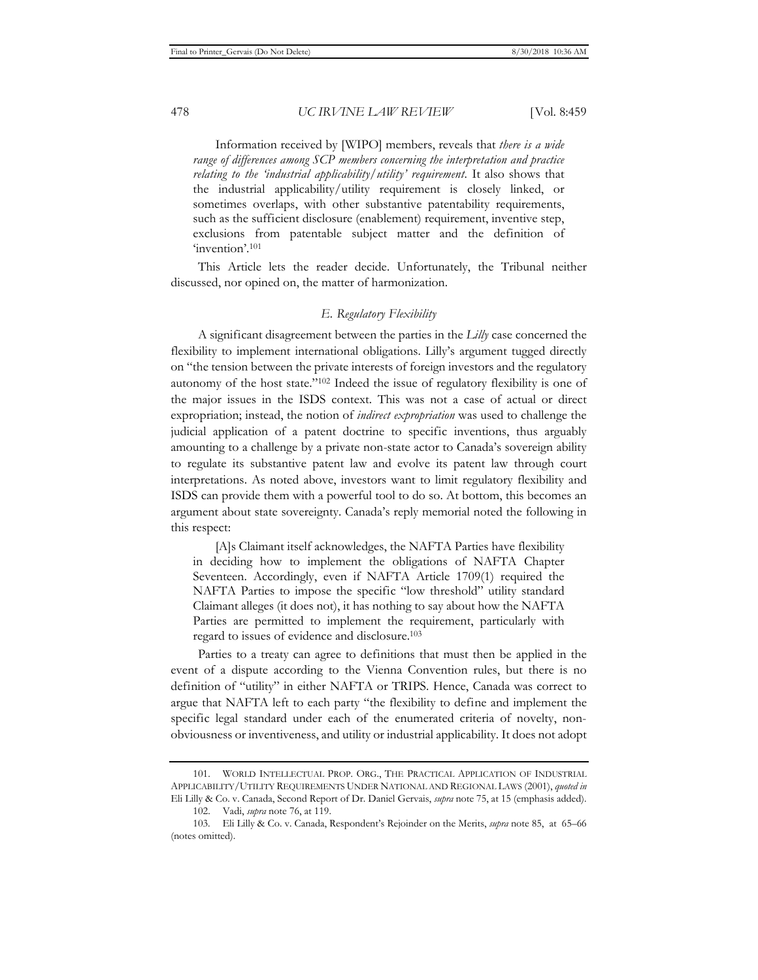Information received by [WIPO] members, reveals that *there is a wide range of differences among SCP members concerning the interpretation and practice relating to the 'industrial applicability/utility' requirement*. It also shows that the industrial applicability/utility requirement is closely linked, or sometimes overlaps, with other substantive patentability requirements, such as the sufficient disclosure (enablement) requirement, inventive step, exclusions from patentable subject matter and the definition of 'invention'.101

This Article lets the reader decide. Unfortunately, the Tribunal neither discussed, nor opined on, the matter of harmonization.

# *E. Regulatory Flexibility*

A significant disagreement between the parties in the *Lilly* case concerned the flexibility to implement international obligations. Lilly's argument tugged directly on "the tension between the private interests of foreign investors and the regulatory autonomy of the host state."102 Indeed the issue of regulatory flexibility is one of the major issues in the ISDS context. This was not a case of actual or direct expropriation; instead, the notion of *indirect expropriation* was used to challenge the judicial application of a patent doctrine to specific inventions, thus arguably amounting to a challenge by a private non-state actor to Canada's sovereign ability to regulate its substantive patent law and evolve its patent law through court interpretations. As noted above, investors want to limit regulatory flexibility and ISDS can provide them with a powerful tool to do so. At bottom, this becomes an argument about state sovereignty. Canada's reply memorial noted the following in this respect:

[A]s Claimant itself acknowledges, the NAFTA Parties have flexibility in deciding how to implement the obligations of NAFTA Chapter Seventeen. Accordingly, even if NAFTA Article 1709(1) required the NAFTA Parties to impose the specific "low threshold" utility standard Claimant alleges (it does not), it has nothing to say about how the NAFTA Parties are permitted to implement the requirement, particularly with regard to issues of evidence and disclosure.103

Parties to a treaty can agree to definitions that must then be applied in the event of a dispute according to the Vienna Convention rules, but there is no definition of "utility" in either NAFTA or TRIPS. Hence, Canada was correct to argue that NAFTA left to each party "the flexibility to define and implement the specific legal standard under each of the enumerated criteria of novelty, nonobviousness or inventiveness, and utility or industrial applicability. It does not adopt

<sup>101.</sup> WORLD INTELLECTUAL PROP. ORG., THE PRACTICAL APPLICATION OF INDUSTRIAL APPLICABILITY/UTILITY REQUIREMENTS UNDER NATIONAL AND REGIONAL LAWS (2001), *quoted in* Eli Lilly & Co. v. Canada, Second Report of Dr. Daniel Gervais, *supra* note 75, at 15 (emphasis added).

<sup>102.</sup> Vadi, *supra* note 76, at 119.

<sup>103.</sup> Eli Lilly & Co. v. Canada, Respondent's Rejoinder on the Merits, *supra* note 85, at 65–66 (notes omitted).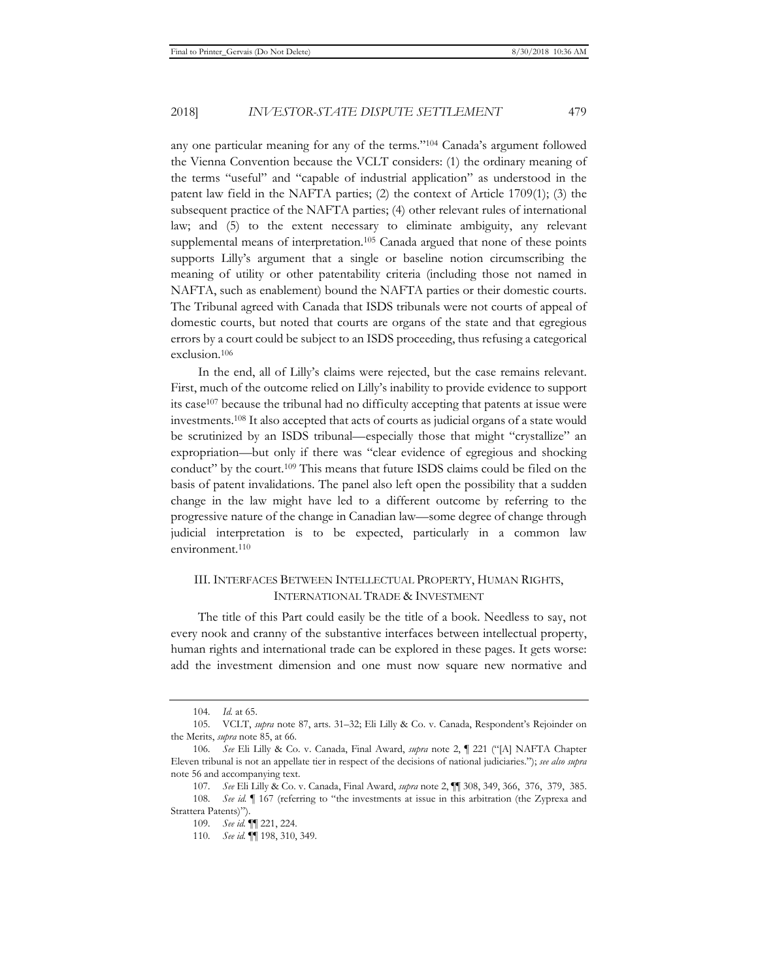any one particular meaning for any of the terms."104 Canada's argument followed the Vienna Convention because the VCLT considers: (1) the ordinary meaning of the terms "useful" and "capable of industrial application" as understood in the patent law field in the NAFTA parties; (2) the context of Article 1709(1); (3) the subsequent practice of the NAFTA parties; (4) other relevant rules of international law; and (5) to the extent necessary to eliminate ambiguity, any relevant supplemental means of interpretation.<sup>105</sup> Canada argued that none of these points supports Lilly's argument that a single or baseline notion circumscribing the meaning of utility or other patentability criteria (including those not named in NAFTA, such as enablement) bound the NAFTA parties or their domestic courts. The Tribunal agreed with Canada that ISDS tribunals were not courts of appeal of domestic courts, but noted that courts are organs of the state and that egregious errors by a court could be subject to an ISDS proceeding, thus refusing a categorical exclusion.106

In the end, all of Lilly's claims were rejected, but the case remains relevant. First, much of the outcome relied on Lilly's inability to provide evidence to support its case107 because the tribunal had no difficulty accepting that patents at issue were investments.108 It also accepted that acts of courts as judicial organs of a state would be scrutinized by an ISDS tribunal—especially those that might "crystallize" an expropriation—but only if there was "clear evidence of egregious and shocking conduct" by the court.109 This means that future ISDS claims could be filed on the basis of patent invalidations. The panel also left open the possibility that a sudden change in the law might have led to a different outcome by referring to the progressive nature of the change in Canadian law—some degree of change through judicial interpretation is to be expected, particularly in a common law environment.110

# III. INTERFACES BETWEEN INTELLECTUAL PROPERTY, HUMAN RIGHTS, INTERNATIONAL TRADE & INVESTMENT

The title of this Part could easily be the title of a book. Needless to say, not every nook and cranny of the substantive interfaces between intellectual property, human rights and international trade can be explored in these pages. It gets worse: add the investment dimension and one must now square new normative and

<sup>104</sup>*. Id.* at 65.

<sup>105.</sup> VCLT, *supra* note 87, arts. 31–32; Eli Lilly & Co. v. Canada, Respondent's Rejoinder on the Merits, *supra* note 85, at 66.

<sup>106</sup>*. See* Eli Lilly & Co. v. Canada, Final Award, *supra* note 2, ¶ 221 ("[A] NAFTA Chapter Eleven tribunal is not an appellate tier in respect of the decisions of national judiciaries."); *see also supra* note 56 and accompanying text.

<sup>107</sup>*. See* Eli Lilly & Co. v. Canada, Final Award, *supra* note 2, ¶¶ 308, 349, 366, 376, 379, 385. 108*. See id.* ¶ 167 (referring to "the investments at issue in this arbitration (the Zyprexa and Strattera Patents)").

<sup>109</sup>*. See id.* ¶¶ 221, 224.

<sup>110</sup>*. See id.* ¶¶ 198, 310, 349.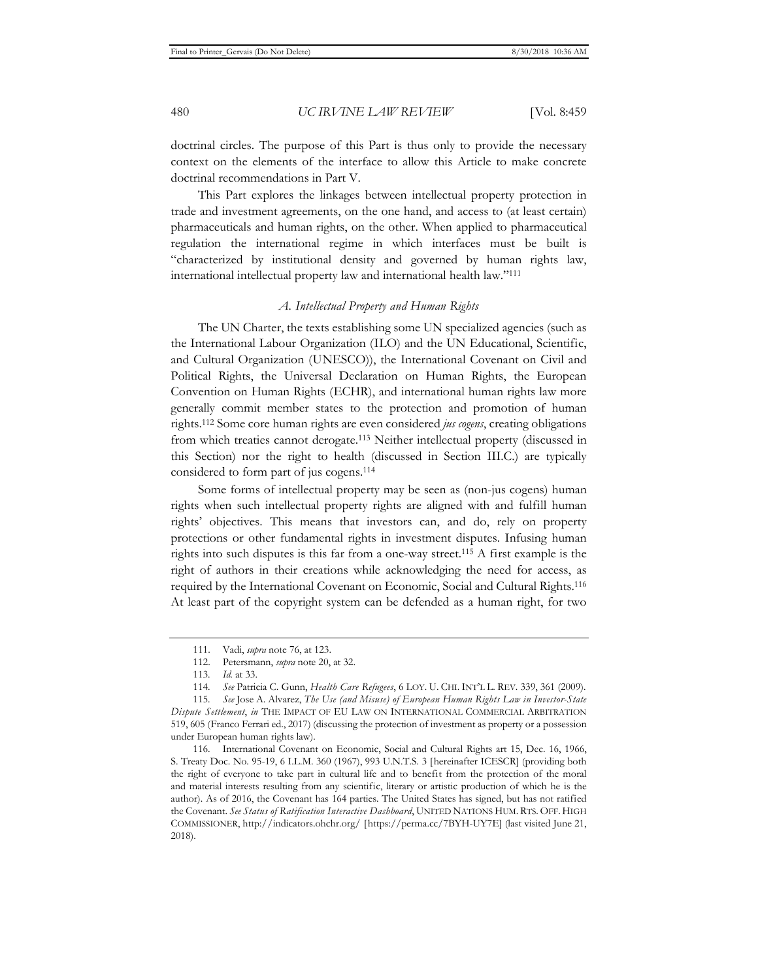doctrinal circles. The purpose of this Part is thus only to provide the necessary context on the elements of the interface to allow this Article to make concrete doctrinal recommendations in Part V.

This Part explores the linkages between intellectual property protection in trade and investment agreements, on the one hand, and access to (at least certain) pharmaceuticals and human rights, on the other. When applied to pharmaceutical regulation the international regime in which interfaces must be built is "characterized by institutional density and governed by human rights law, international intellectual property law and international health law."111

# *A. Intellectual Property and Human Rights*

The UN Charter, the texts establishing some UN specialized agencies (such as the International Labour Organization (ILO) and the UN Educational, Scientific, and Cultural Organization (UNESCO)), the International Covenant on Civil and Political Rights, the Universal Declaration on Human Rights, the European Convention on Human Rights (ECHR), and international human rights law more generally commit member states to the protection and promotion of human rights.112 Some core human rights are even considered *jus cogens*, creating obligations from which treaties cannot derogate.113 Neither intellectual property (discussed in this Section) nor the right to health (discussed in Section III.C.) are typically considered to form part of jus cogens.114

Some forms of intellectual property may be seen as (non-jus cogens) human rights when such intellectual property rights are aligned with and fulfill human rights' objectives. This means that investors can, and do, rely on property protections or other fundamental rights in investment disputes. Infusing human rights into such disputes is this far from a one-way street.115 A first example is the right of authors in their creations while acknowledging the need for access, as required by the International Covenant on Economic, Social and Cultural Rights.116 At least part of the copyright system can be defended as a human right, for two

<sup>111.</sup> Vadi, *supra* note 76, at 123.

<sup>112.</sup> Petersmann, *supra* note 20, at 32.

<sup>113</sup>*. Id.* at 33.

<sup>114</sup>*. See* Patricia C. Gunn, *Health Care Refugees*, 6 LOY. U. CHI. INT'L L. REV. 339, 361 (2009).

<sup>115</sup>*. See* Jose A. Alvarez, *The Use (and Misuse) of European Human Rights Law in Investor-State Dispute Settlement*, *in* THE IMPACT OF EU LAW ON INTERNATIONAL COMMERCIAL ARBITRATION 519, 605 (Franco Ferrari ed., 2017) (discussing the protection of investment as property or a possession under European human rights law).

<sup>116.</sup> International Covenant on Economic, Social and Cultural Rights art 15, Dec. 16, 1966, S. Treaty Doc. No. 95-19, 6 I.L.M. 360 (1967), 993 U.N.T.S. 3 [hereinafter ICESCR] (providing both the right of everyone to take part in cultural life and to benefit from the protection of the moral and material interests resulting from any scientific, literary or artistic production of which he is the author). As of 2016, the Covenant has 164 parties. The United States has signed, but has not ratified the Covenant. *See Status of Ratification Interactive Dashboard*, UNITED NATIONS HUM. RTS. OFF. HIGH COMMISSIONER, http://indicators.ohchr.org/ [https://perma.cc/7BYH-UY7E] (last visited June 21, 2018).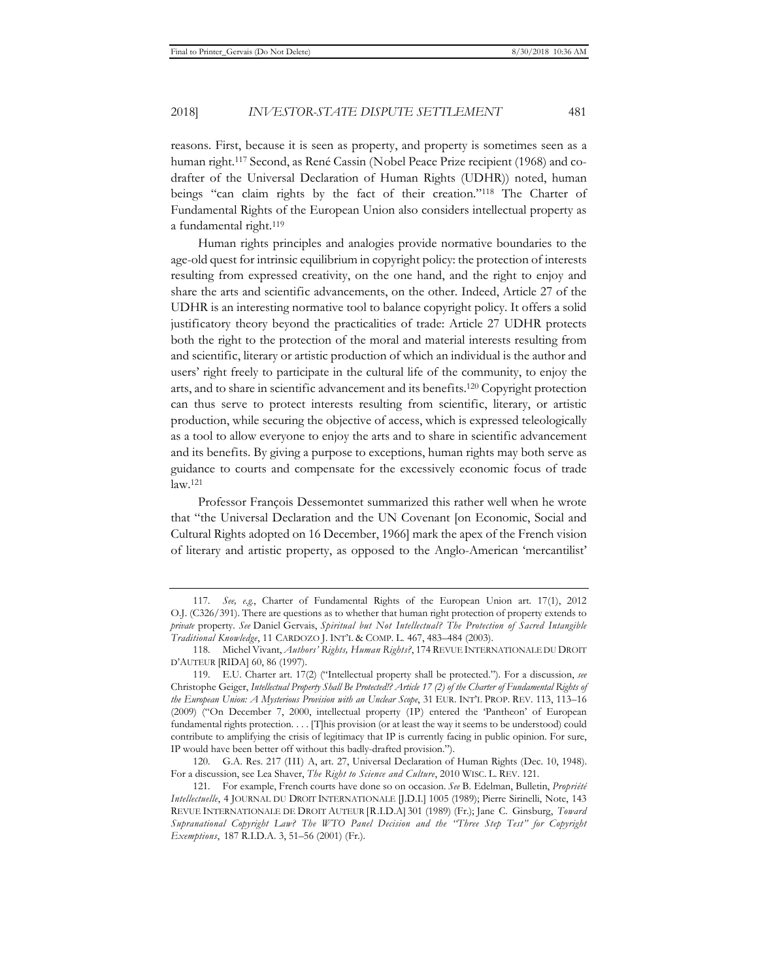reasons. First, because it is seen as property, and property is sometimes seen as a human right.117 Second, as René Cassin (Nobel Peace Prize recipient (1968) and codrafter of the Universal Declaration of Human Rights (UDHR)) noted, human beings "can claim rights by the fact of their creation."118 The Charter of Fundamental Rights of the European Union also considers intellectual property as a fundamental right.119

Human rights principles and analogies provide normative boundaries to the age-old quest for intrinsic equilibrium in copyright policy: the protection of interests resulting from expressed creativity, on the one hand, and the right to enjoy and share the arts and scientific advancements, on the other. Indeed, Article 27 of the UDHR is an interesting normative tool to balance copyright policy. It offers a solid justificatory theory beyond the practicalities of trade: Article 27 UDHR protects both the right to the protection of the moral and material interests resulting from and scientific, literary or artistic production of which an individual is the author and users' right freely to participate in the cultural life of the community, to enjoy the arts, and to share in scientific advancement and its benefits.120 Copyright protection can thus serve to protect interests resulting from scientific, literary, or artistic production, while securing the objective of access, which is expressed teleologically as a tool to allow everyone to enjoy the arts and to share in scientific advancement and its benefits. By giving a purpose to exceptions, human rights may both serve as guidance to courts and compensate for the excessively economic focus of trade law.121

Professor François Dessemontet summarized this rather well when he wrote that "the Universal Declaration and the UN Covenant [on Economic, Social and Cultural Rights adopted on 16 December, 1966] mark the apex of the French vision of literary and artistic property, as opposed to the Anglo-American 'mercantilist'

<sup>117</sup>*. See, e.g.*, Charter of Fundamental Rights of the European Union art. 17(1), 2012 O.J. (C326/391). There are questions as to whether that human right protection of property extends to *private* property. *See* Daniel Gervais, *Spiritual but Not Intellectual? The Protection of Sacred Intangible Traditional Knowledge*, 11 CARDOZO J. INT'L & COMP. L. 467, 483–484 (2003).

<sup>118.</sup> Michel Vivant, *Authors' Rights, Human Rights?*, 174 REVUE INTERNATIONALE DU DROIT D'AUTEUR [RIDA] 60, 86 (1997).

<sup>119.</sup> E.U. Charter art. 17(2) ("Intellectual property shall be protected."). For a discussion, *see* Christophe Geiger, *Intellectual Property Shall Be Protected!? Article 17 (2) of the Charter of Fundamental Rights of the European Union: A Mysterious Provision with an Unclear Scope*, 31 EUR. INT'L PROP. REV. 113, 113–16 (2009) ("On December 7, 2000, intellectual property (IP) entered the 'Pantheon' of European fundamental rights protection. . . . [T]his provision (or at least the way it seems to be understood) could contribute to amplifying the crisis of legitimacy that IP is currently facing in public opinion. For sure, IP would have been better off without this badly-drafted provision.").

<sup>120.</sup> G.A. Res. 217 (III) A, art. 27, Universal Declaration of Human Rights (Dec. 10, 1948). For a discussion, see Lea Shaver, *The Right to Science and Culture*, 2010 WISC. L. REV. 121.

<sup>121.</sup> For example, French courts have done so on occasion. *See* B. Edelman, Bulletin, *Propriété Intellectuelle*, 4 JOURNAL DU DROIT INTERNATIONALE [J.D.I.] 1005 (1989); Pierre Sirinelli, Note, 143 REVUE INTERNATIONALE DE DROIT AUTEUR [R.I.D.A] 301 (1989) (Fr.); Jane C. Ginsburg, *Toward Supranational Copyright Law? The WTO Panel Decision and the ''Three Step Test" for Copyright Exemptions*, 187 R.I.D.A. 3, 51–56 (2001) (Fr.).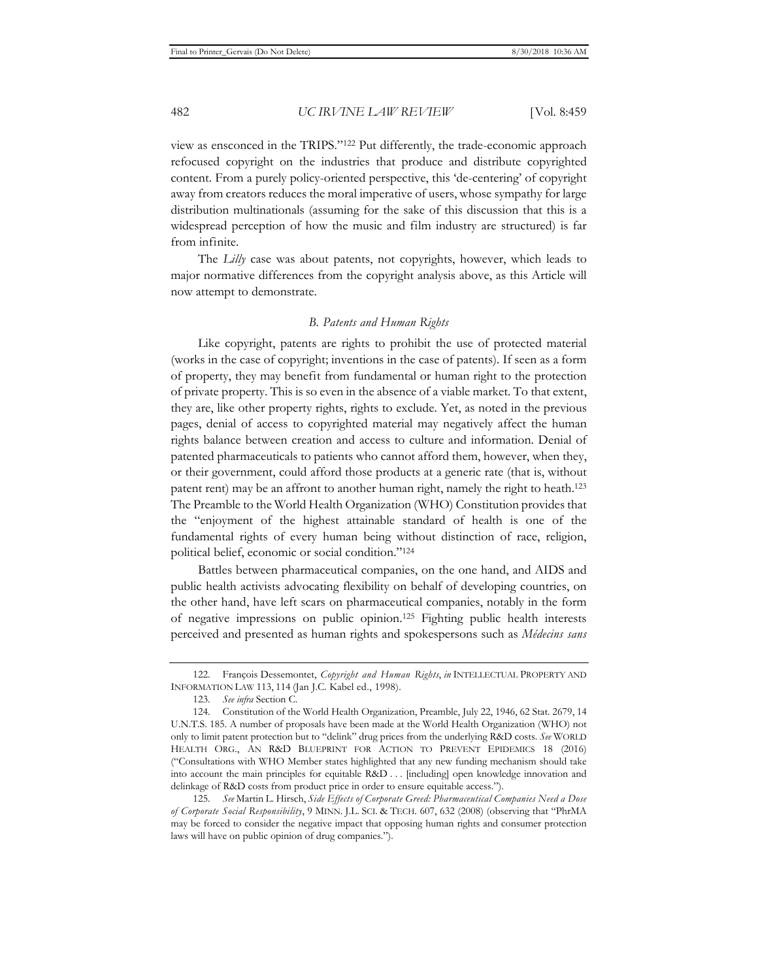view as ensconced in the TRIPS."122 Put differently, the trade-economic approach refocused copyright on the industries that produce and distribute copyrighted content. From a purely policy-oriented perspective, this 'de-centering' of copyright away from creators reduces the moral imperative of users, whose sympathy for large distribution multinationals (assuming for the sake of this discussion that this is a widespread perception of how the music and film industry are structured) is far from infinite.

The *Lilly* case was about patents, not copyrights, however, which leads to major normative differences from the copyright analysis above, as this Article will now attempt to demonstrate.

# *B. Patents and Human Rights*

Like copyright, patents are rights to prohibit the use of protected material (works in the case of copyright; inventions in the case of patents). If seen as a form of property, they may benefit from fundamental or human right to the protection of private property. This is so even in the absence of a viable market. To that extent, they are, like other property rights, rights to exclude. Yet, as noted in the previous pages, denial of access to copyrighted material may negatively affect the human rights balance between creation and access to culture and information. Denial of patented pharmaceuticals to patients who cannot afford them, however, when they, or their government, could afford those products at a generic rate (that is, without patent rent) may be an affront to another human right, namely the right to heath.123 The Preamble to the World Health Organization (WHO) Constitution provides that the "enjoyment of the highest attainable standard of health is one of the fundamental rights of every human being without distinction of race, religion, political belief, economic or social condition."124

Battles between pharmaceutical companies, on the one hand, and AIDS and public health activists advocating flexibility on behalf of developing countries, on the other hand, have left scars on pharmaceutical companies, notably in the form of negative impressions on public opinion.125 Fighting public health interests perceived and presented as human rights and spokespersons such as *Médecins sans* 

<sup>122.</sup> François Dessemontet, *Copyright and Human Rights*, *in* INTELLECTUAL PROPERTY AND INFORMATION LAW 113, 114 (Jan J.C. Kabel ed., 1998).

<sup>123</sup>*. See infra* Section C.

<sup>124.</sup> Constitution of the World Health Organization, Preamble, July 22, 1946, 62 Stat. 2679, 14 U.N.T.S. 185. A number of proposals have been made at the World Health Organization (WHO) not only to limit patent protection but to "delink" drug prices from the underlying R&D costs. *See* WORLD HEALTH ORG., AN R&D BLUEPRINT FOR ACTION TO PREVENT EPIDEMICS 18 (2016) ("Consultations with WHO Member states highlighted that any new funding mechanism should take into account the main principles for equitable R&D . . . [including] open knowledge innovation and delinkage of R&D costs from product price in order to ensure equitable access.").

<sup>125</sup>*. See* Martin L. Hirsch, *Side Effects of Corporate Greed: Pharmaceutical Companies Need a Dose of Corporate Social Responsibility*, 9 MINN. J.L. SCI. & TECH. 607, 632 (2008) (observing that "PhrMA may be forced to consider the negative impact that opposing human rights and consumer protection laws will have on public opinion of drug companies.").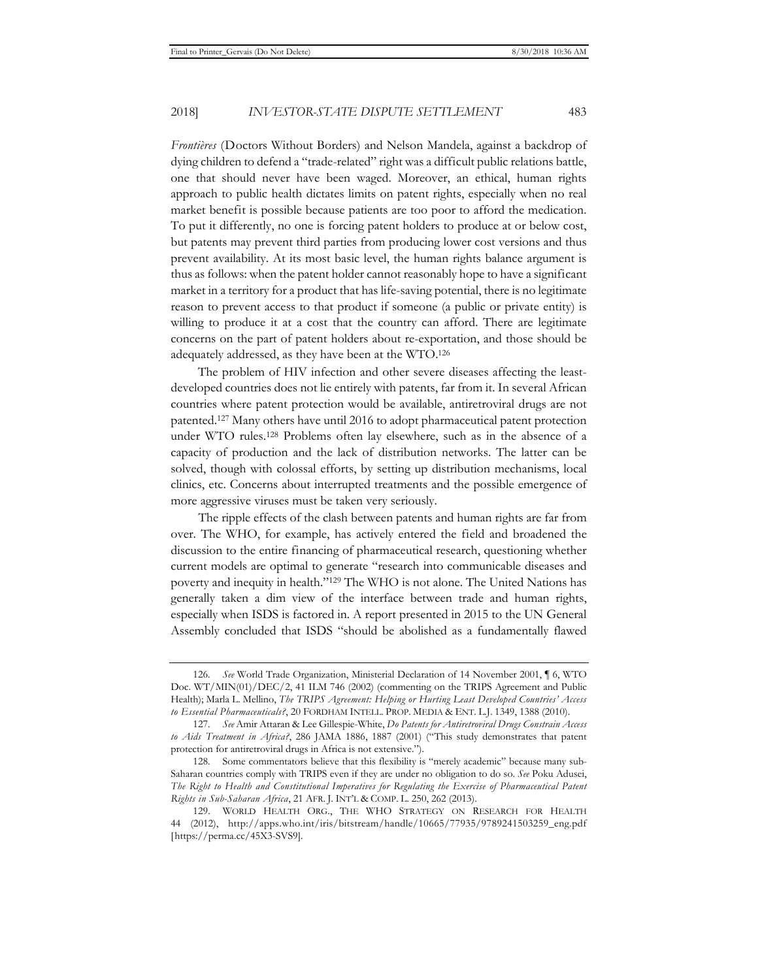*Frontières* (Doctors Without Borders) and Nelson Mandela, against a backdrop of dying children to defend a "trade-related" right was a difficult public relations battle, one that should never have been waged. Moreover, an ethical, human rights approach to public health dictates limits on patent rights, especially when no real market benefit is possible because patients are too poor to afford the medication. To put it differently, no one is forcing patent holders to produce at or below cost, but patents may prevent third parties from producing lower cost versions and thus prevent availability. At its most basic level, the human rights balance argument is thus as follows: when the patent holder cannot reasonably hope to have a significant market in a territory for a product that has life-saving potential, there is no legitimate reason to prevent access to that product if someone (a public or private entity) is willing to produce it at a cost that the country can afford. There are legitimate concerns on the part of patent holders about re-exportation, and those should be adequately addressed, as they have been at the WTO.126

The problem of HIV infection and other severe diseases affecting the leastdeveloped countries does not lie entirely with patents, far from it. In several African countries where patent protection would be available, antiretroviral drugs are not patented.127 Many others have until 2016 to adopt pharmaceutical patent protection under WTO rules.128 Problems often lay elsewhere, such as in the absence of a capacity of production and the lack of distribution networks. The latter can be solved, though with colossal efforts, by setting up distribution mechanisms, local clinics, etc. Concerns about interrupted treatments and the possible emergence of more aggressive viruses must be taken very seriously.

The ripple effects of the clash between patents and human rights are far from over. The WHO, for example, has actively entered the field and broadened the discussion to the entire financing of pharmaceutical research, questioning whether current models are optimal to generate "research into communicable diseases and poverty and inequity in health."129 The WHO is not alone. The United Nations has generally taken a dim view of the interface between trade and human rights, especially when ISDS is factored in. A report presented in 2015 to the UN General Assembly concluded that ISDS "should be abolished as a fundamentally flawed

<sup>126</sup>*. See* World Trade Organization, Ministerial Declaration of 14 November 2001, ¶ 6, WTO Doc. WT/MIN(01)/DEC/2, 41 ILM 746 (2002) (commenting on the TRIPS Agreement and Public Health); Marla L. Mellino, *The TRIPS Agreement: Helping or Hurting Least Developed Countries' Access to Essential Pharmaceuticals?*, 20 FORDHAM INTELL. PROP. MEDIA & ENT. L.J. 1349, 1388 (2010).

<sup>127</sup>*. See* Amir Attaran & Lee Gillespie-White, *Do Patents for Antiretroviral Drugs Constrain Access to Aids Treatment in Africa?*, 286 JAMA 1886, 1887 (2001) ("This study demonstrates that patent protection for antiretroviral drugs in Africa is not extensive.").

<sup>128.</sup> Some commentators believe that this flexibility is "merely academic" because many sub-Saharan countries comply with TRIPS even if they are under no obligation to do so. *See* Poku Adusei, *The Right to Health and Constitutional Imperatives for Regulating the Exercise of Pharmaceutical Patent Rights in Sub-Saharan Africa*, 21 AFR. J. INT'L & COMP. L. 250, 262 (2013).

<sup>129.</sup> WORLD HEALTH ORG., THE WHO STRATEGY ON RESEARCH FOR HEALTH 44 (2012), http://apps.who.int/iris/bitstream/handle/10665/77935/9789241503259\_eng.pdf [https://perma.cc/45X3-SVS9].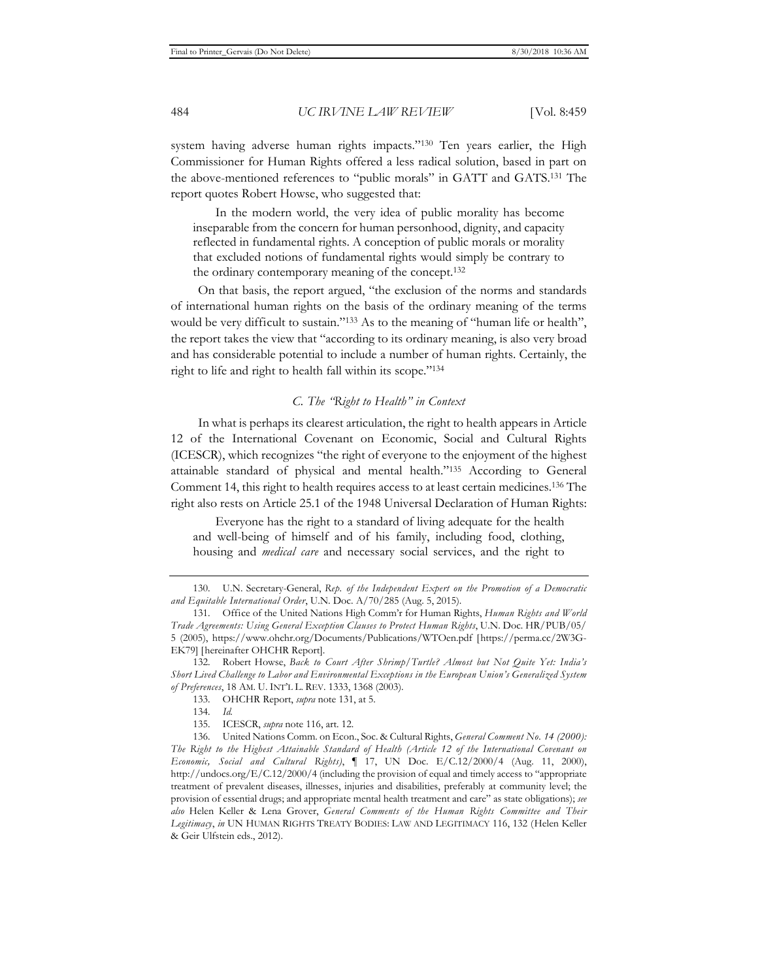system having adverse human rights impacts."<sup>130</sup> Ten years earlier, the High Commissioner for Human Rights offered a less radical solution, based in part on the above-mentioned references to "public morals" in GATT and GATS.131 The report quotes Robert Howse, who suggested that:

In the modern world, the very idea of public morality has become inseparable from the concern for human personhood, dignity, and capacity reflected in fundamental rights. A conception of public morals or morality that excluded notions of fundamental rights would simply be contrary to the ordinary contemporary meaning of the concept.132

On that basis, the report argued, "the exclusion of the norms and standards of international human rights on the basis of the ordinary meaning of the terms would be very difficult to sustain."<sup>133</sup> As to the meaning of "human life or health", the report takes the view that "according to its ordinary meaning, is also very broad and has considerable potential to include a number of human rights. Certainly, the right to life and right to health fall within its scope."134

# *C. The "Right to Health" in Context*

In what is perhaps its clearest articulation, the right to health appears in Article 12 of the International Covenant on Economic, Social and Cultural Rights (ICESCR), which recognizes "the right of everyone to the enjoyment of the highest attainable standard of physical and mental health."135 According to General Comment 14, this right to health requires access to at least certain medicines.136 The right also rests on Article 25.1 of the 1948 Universal Declaration of Human Rights:

Everyone has the right to a standard of living adequate for the health and well-being of himself and of his family, including food, clothing, housing and *medical care* and necessary social services, and the right to

133. OHCHR Report, *supra* note 131, at 5.

135. ICESCR, *supra* note 116, art. 12.

<sup>130.</sup> U.N. Secretary-General, *Rep. of the Independent Expert on the Promotion of a Democratic and Equitable International Order*, U.N. Doc. A/70/285 (Aug. 5, 2015).

<sup>131.</sup> Office of the United Nations High Comm'r for Human Rights, *Human Rights and World Trade Agreements: Using General Exception Clauses to Protect Human Rights*, U.N. Doc. HR/PUB/05/ 5 (2005), https://www.ohchr.org/Documents/Publications/WTOen.pdf [https://perma.cc/2W3G-EK79] [hereinafter OHCHR Report].

<sup>132.</sup> Robert Howse, *Back to Court After Shrimp/Turtle? Almost but Not Quite Yet: India's Short Lived Challenge to Labor and Environmental Exceptions in the European Union's Generalized System of Preferences*, 18 AM. U. INT'L L. REV. 1333, 1368 (2003).

<sup>134</sup>*. Id.*

<sup>136.</sup> United Nations Comm. on Econ., Soc. & Cultural Rights, *General Comment No. 14 (2000): The Right to the Highest Attainable Standard of Health (Article 12 of the International Covenant on Economic, Social and Cultural Rights)*, ¶ 17, UN Doc. E/C.12/2000/4 (Aug. 11, 2000), http://undocs.org/E/C.12/2000/4 (including the provision of equal and timely access to "appropriate treatment of prevalent diseases, illnesses, injuries and disabilities, preferably at community level; the provision of essential drugs; and appropriate mental health treatment and care" as state obligations); *see also* Helen Keller & Lena Grover, *General Comments of the Human Rights Committee and Their Legitimacy*, *in* UN HUMAN RIGHTS TREATY BODIES: LAW AND LEGITIMACY 116, 132 (Helen Keller & Geir Ulfstein eds., 2012).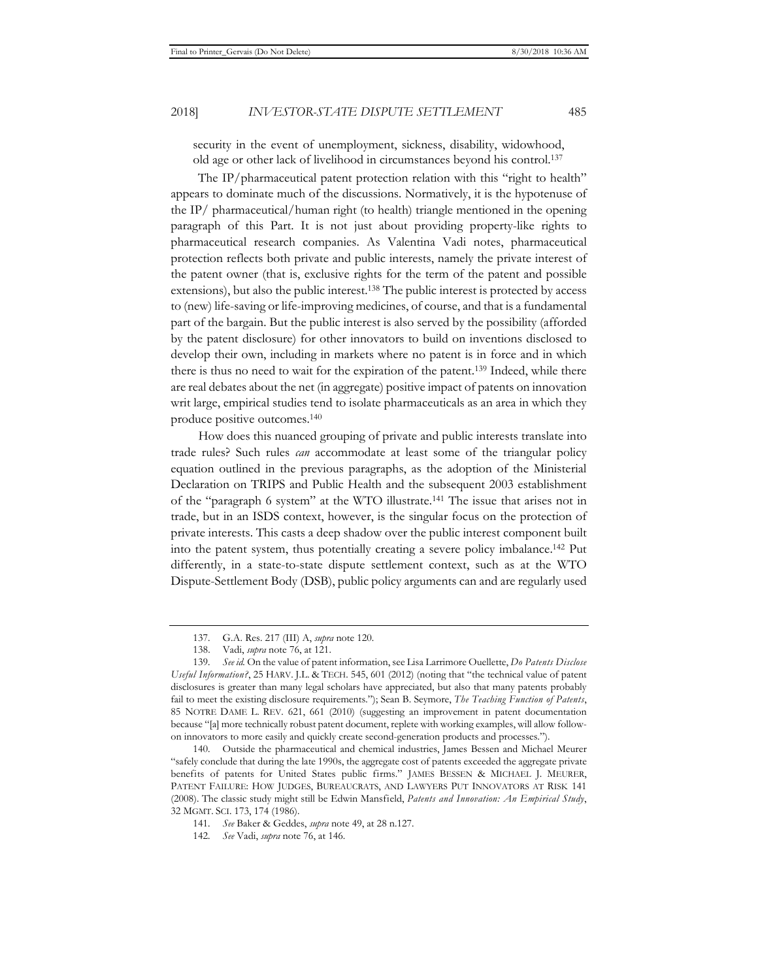security in the event of unemployment, sickness, disability, widowhood, old age or other lack of livelihood in circumstances beyond his control.137

The IP/pharmaceutical patent protection relation with this "right to health" appears to dominate much of the discussions. Normatively, it is the hypotenuse of the IP/ pharmaceutical/human right (to health) triangle mentioned in the opening paragraph of this Part. It is not just about providing property-like rights to pharmaceutical research companies. As Valentina Vadi notes, pharmaceutical protection reflects both private and public interests, namely the private interest of the patent owner (that is, exclusive rights for the term of the patent and possible extensions), but also the public interest.138 The public interest is protected by access to (new) life-saving or life-improving medicines, of course, and that is a fundamental part of the bargain. But the public interest is also served by the possibility (afforded by the patent disclosure) for other innovators to build on inventions disclosed to develop their own, including in markets where no patent is in force and in which there is thus no need to wait for the expiration of the patent.139 Indeed, while there are real debates about the net (in aggregate) positive impact of patents on innovation writ large, empirical studies tend to isolate pharmaceuticals as an area in which they produce positive outcomes.140

How does this nuanced grouping of private and public interests translate into trade rules? Such rules *can* accommodate at least some of the triangular policy equation outlined in the previous paragraphs, as the adoption of the Ministerial Declaration on TRIPS and Public Health and the subsequent 2003 establishment of the "paragraph 6 system" at the WTO illustrate.141 The issue that arises not in trade, but in an ISDS context, however, is the singular focus on the protection of private interests. This casts a deep shadow over the public interest component built into the patent system, thus potentially creating a severe policy imbalance.142 Put differently, in a state-to-state dispute settlement context, such as at the WTO Dispute-Settlement Body (DSB), public policy arguments can and are regularly used

<sup>137.</sup> G.A. Res. 217 (III) A, *supra* note 120.

<sup>138.</sup> Vadi, *supra* note 76, at 121.

<sup>139</sup>*. See id.* On the value of patent information, see Lisa Larrimore Ouellette, *Do Patents Disclose Useful Information?*, 25 HARV. J.L. & TECH. 545, 601 (2012) (noting that "the technical value of patent disclosures is greater than many legal scholars have appreciated, but also that many patents probably fail to meet the existing disclosure requirements."); Sean B. Seymore, *The Teaching Function of Patents*, 85 NOTRE DAME L. REV. 621, 661 (2010) (suggesting an improvement in patent documentation because "[a] more technically robust patent document, replete with working examples, will allow followon innovators to more easily and quickly create second-generation products and processes.").

<sup>140.</sup> Outside the pharmaceutical and chemical industries, James Bessen and Michael Meurer "safely conclude that during the late 1990s, the aggregate cost of patents exceeded the aggregate private benefits of patents for United States public firms." JAMES BESSEN & MICHAEL J. MEURER, PATENT FAILURE: HOW JUDGES, BUREAUCRATS, AND LAWYERS PUT INNOVATORS AT RISK 141 (2008). The classic study might still be Edwin Mansfield, *Patents and Innovation: An Empirical Study*, 32 MGMT. SCI. 173, 174 (1986).

<sup>141</sup>*. See* Baker & Geddes, *supra* note 49, at 28 n.127.

<sup>142</sup>*. See* Vadi, *supra* note 76, at 146.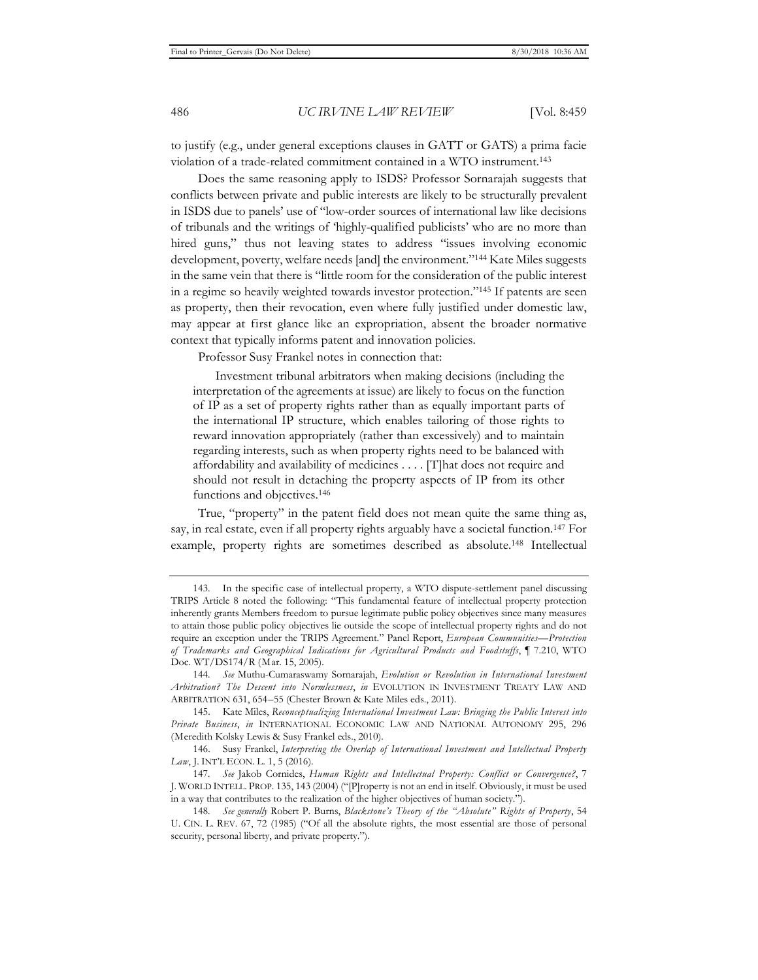to justify (e.g., under general exceptions clauses in GATT or GATS) a prima facie violation of a trade-related commitment contained in a WTO instrument.143

Does the same reasoning apply to ISDS? Professor Sornarajah suggests that conflicts between private and public interests are likely to be structurally prevalent in ISDS due to panels' use of "low-order sources of international law like decisions of tribunals and the writings of 'highly-qualified publicists' who are no more than hired guns," thus not leaving states to address "issues involving economic development, poverty, welfare needs [and] the environment."<sup>144</sup> Kate Miles suggests in the same vein that there is "little room for the consideration of the public interest in a regime so heavily weighted towards investor protection."145 If patents are seen as property, then their revocation, even where fully justified under domestic law, may appear at first glance like an expropriation, absent the broader normative context that typically informs patent and innovation policies.

Professor Susy Frankel notes in connection that:

Investment tribunal arbitrators when making decisions (including the interpretation of the agreements at issue) are likely to focus on the function of IP as a set of property rights rather than as equally important parts of the international IP structure, which enables tailoring of those rights to reward innovation appropriately (rather than excessively) and to maintain regarding interests, such as when property rights need to be balanced with affordability and availability of medicines . . . . [T]hat does not require and should not result in detaching the property aspects of IP from its other functions and objectives.<sup>146</sup>

True, "property" in the patent field does not mean quite the same thing as, say, in real estate, even if all property rights arguably have a societal function.147 For example, property rights are sometimes described as absolute.148 Intellectual

<sup>143.</sup> In the specific case of intellectual property, a WTO dispute-settlement panel discussing TRIPS Article 8 noted the following: "This fundamental feature of intellectual property protection inherently grants Members freedom to pursue legitimate public policy objectives since many measures to attain those public policy objectives lie outside the scope of intellectual property rights and do not require an exception under the TRIPS Agreement." Panel Report, *European Communities—Protection of Trademarks and Geographical Indications for Agricultural Products and Foodstuffs*, ¶ 7.210, WTO Doc. WT/DS174/R (Mar. 15, 2005).

<sup>144</sup>*. See* Muthu-Cumaraswamy Sornarajah, *Evolution or Revolution in International Investment Arbitration? The Descent into Normlessness*, *in* EVOLUTION IN INVESTMENT TREATY LAW AND ARBITRATION 631, 654–55 (Chester Brown & Kate Miles eds., 2011).

<sup>145.</sup> Kate Miles, *Reconceptualizing International Investment Law: Bringing the Public Interest into Private Business*, *in* INTERNATIONAL ECONOMIC LAW AND NATIONAL AUTONOMY 295, 296 (Meredith Kolsky Lewis & Susy Frankel eds., 2010).

<sup>146.</sup> Susy Frankel, *Interpreting the Overlap of International Investment and Intellectual Property Law*, J. INT'L ECON. L. 1, 5 (2016).

<sup>147</sup>*. See* Jakob Cornides, *Human Rights and Intellectual Property: Conflict or Convergence?*, 7 J. WORLD INTELL. PROP. 135, 143 (2004) ("[P]roperty is not an end in itself. Obviously, it must be used in a way that contributes to the realization of the higher objectives of human society.").

<sup>148</sup>*. See generally* Robert P. Burns, *Blackstone's Theory of the "Absolute" Rights of Property*, 54 U. CIN. L. REV. 67, 72 (1985) ("Of all the absolute rights, the most essential are those of personal security, personal liberty, and private property.").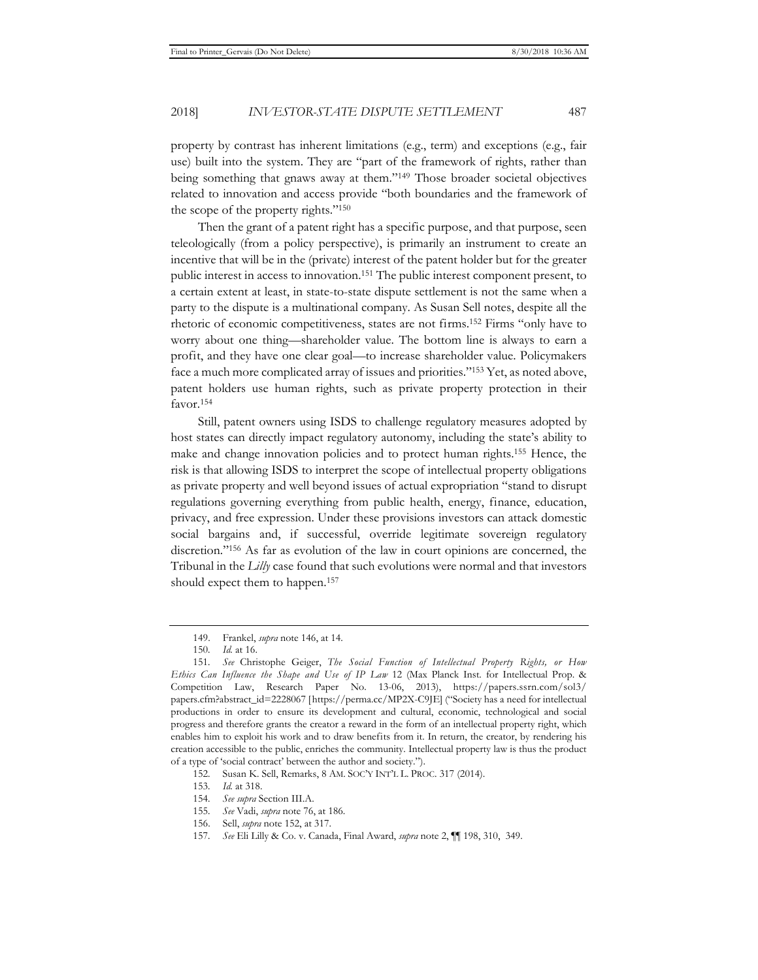property by contrast has inherent limitations (e.g., term) and exceptions (e.g., fair use) built into the system. They are "part of the framework of rights, rather than being something that gnaws away at them."149 Those broader societal objectives related to innovation and access provide "both boundaries and the framework of the scope of the property rights."150

Then the grant of a patent right has a specific purpose, and that purpose, seen teleologically (from a policy perspective), is primarily an instrument to create an incentive that will be in the (private) interest of the patent holder but for the greater public interest in access to innovation.151 The public interest component present, to a certain extent at least, in state-to-state dispute settlement is not the same when a party to the dispute is a multinational company. As Susan Sell notes, despite all the rhetoric of economic competitiveness, states are not firms.152 Firms "only have to worry about one thing—shareholder value. The bottom line is always to earn a profit, and they have one clear goal—to increase shareholder value. Policymakers face a much more complicated array of issues and priorities."153 Yet, as noted above, patent holders use human rights, such as private property protection in their favor.154

Still, patent owners using ISDS to challenge regulatory measures adopted by host states can directly impact regulatory autonomy, including the state's ability to make and change innovation policies and to protect human rights.155 Hence, the risk is that allowing ISDS to interpret the scope of intellectual property obligations as private property and well beyond issues of actual expropriation "stand to disrupt regulations governing everything from public health, energy, finance, education, privacy, and free expression. Under these provisions investors can attack domestic social bargains and, if successful, override legitimate sovereign regulatory discretion."156 As far as evolution of the law in court opinions are concerned, the Tribunal in the *Lilly* case found that such evolutions were normal and that investors should expect them to happen.157

153*. Id.* at 318.

<sup>149.</sup> Frankel, *supra* note 146, at 14.

<sup>150</sup>*. Id.* at 16.

<sup>151</sup>*. See* Christophe Geiger, *The Social Function of Intellectual Property Rights, or How Ethics Can Influence the Shape and Use of IP Law* 12 (Max Planck Inst. for Intellectual Prop. & Competition Law, Research Paper No. 13-06, 2013), https://papers.ssrn.com/sol3/ papers.cfm?abstract\_id=2228067 [https://perma.cc/MP2X-C9JE] ("Society has a need for intellectual productions in order to ensure its development and cultural, economic, technological and social progress and therefore grants the creator a reward in the form of an intellectual property right, which enables him to exploit his work and to draw benefits from it. In return, the creator, by rendering his creation accessible to the public, enriches the community. Intellectual property law is thus the product of a type of 'social contract' between the author and society.").

<sup>152.</sup> Susan K. Sell, Remarks, 8 AM. SOC'Y INT'L L. PROC. 317 (2014).

<sup>154</sup>*. See supra* Section III.A.

<sup>155</sup>*. See* Vadi, *supra* note 76, at 186.

<sup>156.</sup> Sell, *supra* note 152, at 317.

<sup>157</sup>*. See* Eli Lilly & Co. v. Canada, Final Award, *supra* note 2, ¶¶ 198, 310, 349.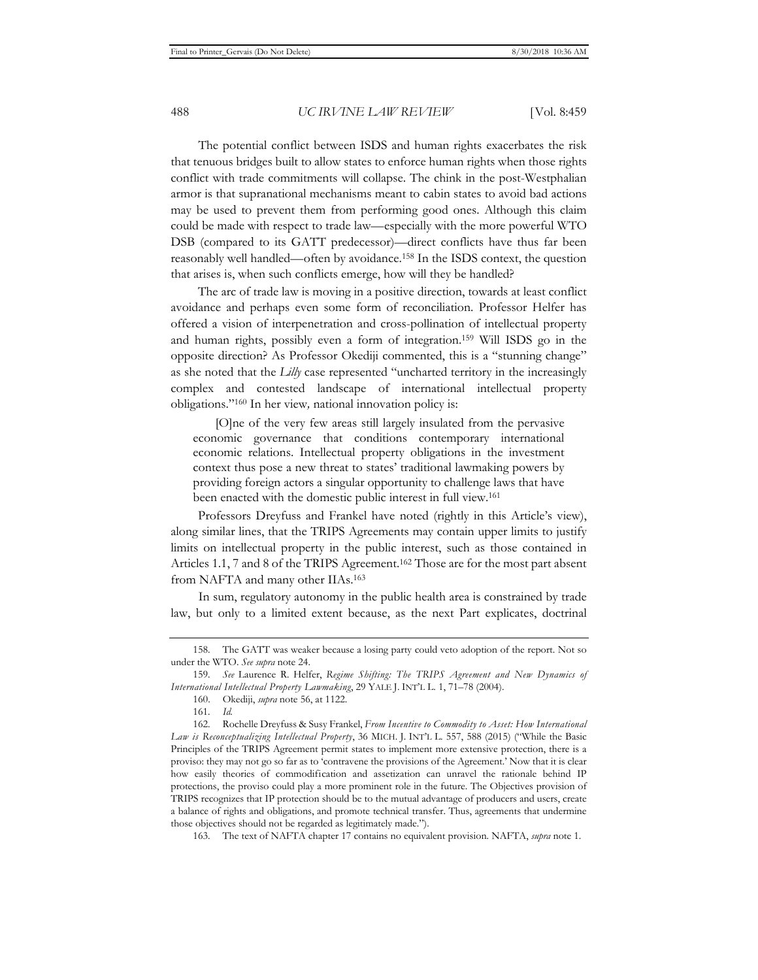The potential conflict between ISDS and human rights exacerbates the risk that tenuous bridges built to allow states to enforce human rights when those rights conflict with trade commitments will collapse. The chink in the post-Westphalian armor is that supranational mechanisms meant to cabin states to avoid bad actions may be used to prevent them from performing good ones. Although this claim could be made with respect to trade law—especially with the more powerful WTO DSB (compared to its GATT predecessor)—direct conflicts have thus far been reasonably well handled—often by avoidance.158 In the ISDS context, the question that arises is, when such conflicts emerge, how will they be handled?

The arc of trade law is moving in a positive direction, towards at least conflict avoidance and perhaps even some form of reconciliation. Professor Helfer has offered a vision of interpenetration and cross-pollination of intellectual property and human rights, possibly even a form of integration.159 Will ISDS go in the opposite direction? As Professor Okediji commented, this is a "stunning change" as she noted that the *Lilly* case represented "uncharted territory in the increasingly complex and contested landscape of international intellectual property obligations."160 In her view*,* national innovation policy is:

[O]ne of the very few areas still largely insulated from the pervasive economic governance that conditions contemporary international economic relations. Intellectual property obligations in the investment context thus pose a new threat to states' traditional lawmaking powers by providing foreign actors a singular opportunity to challenge laws that have been enacted with the domestic public interest in full view.161

Professors Dreyfuss and Frankel have noted (rightly in this Article's view), along similar lines, that the TRIPS Agreements may contain upper limits to justify limits on intellectual property in the public interest, such as those contained in Articles 1.1, 7 and 8 of the TRIPS Agreement.162 Those are for the most part absent from NAFTA and many other IIAs.163

In sum, regulatory autonomy in the public health area is constrained by trade law, but only to a limited extent because, as the next Part explicates, doctrinal

<sup>158.</sup> The GATT was weaker because a losing party could veto adoption of the report. Not so under the WTO. *See supra* note 24.

<sup>159</sup>*. See* Laurence R. Helfer, *Regime Shifting: The TRIPS Agreement and New Dynamics of International Intellectual Property Lawmaking*, 29 YALE J. INT'L L. 1, 71–78 (2004).

<sup>160.</sup> Okediji, *supra* note 56, at 1122.

<sup>161</sup>*. Id.*

<sup>162.</sup> Rochelle Dreyfuss & Susy Frankel, *From Incentive to Commodity to Asset: How International Law is Reconceptualizing Intellectual Property*, 36 MICH. J. INT'L L. 557, 588 (2015) ("While the Basic Principles of the TRIPS Agreement permit states to implement more extensive protection, there is a proviso: they may not go so far as to 'contravene the provisions of the Agreement.' Now that it is clear how easily theories of commodification and assetization can unravel the rationale behind IP protections, the proviso could play a more prominent role in the future. The Objectives provision of TRIPS recognizes that IP protection should be to the mutual advantage of producers and users, create a balance of rights and obligations, and promote technical transfer. Thus, agreements that undermine those objectives should not be regarded as legitimately made.").

<sup>163.</sup> The text of NAFTA chapter 17 contains no equivalent provision. NAFTA, *supra* note 1.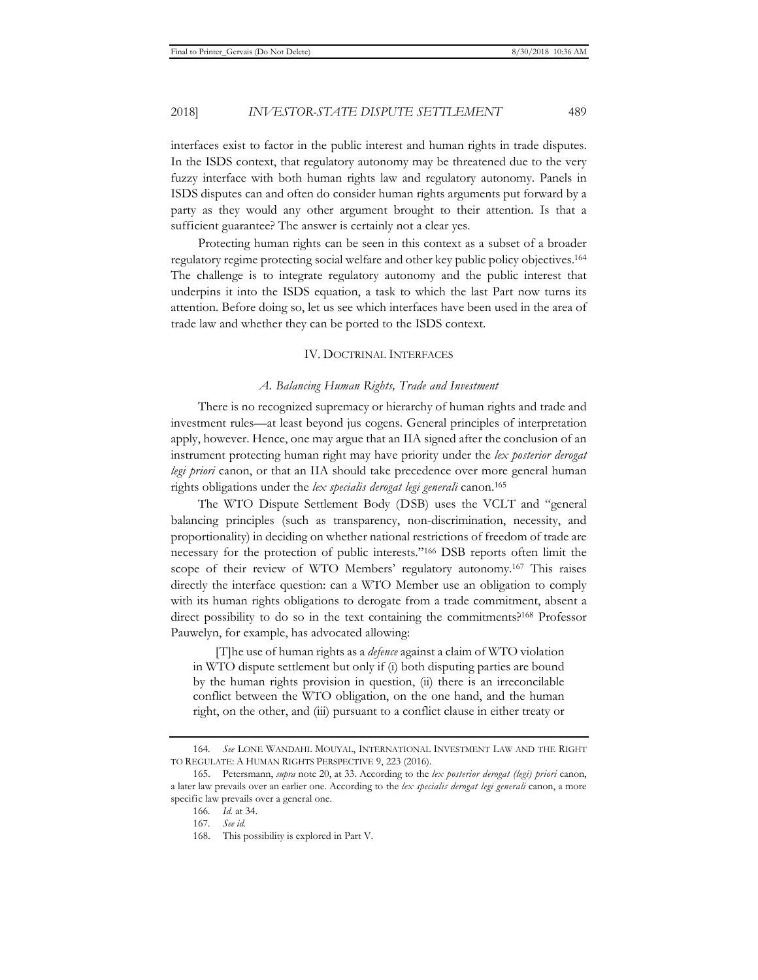interfaces exist to factor in the public interest and human rights in trade disputes. In the ISDS context, that regulatory autonomy may be threatened due to the very fuzzy interface with both human rights law and regulatory autonomy. Panels in ISDS disputes can and often do consider human rights arguments put forward by a party as they would any other argument brought to their attention. Is that a sufficient guarantee? The answer is certainly not a clear yes.

Protecting human rights can be seen in this context as a subset of a broader regulatory regime protecting social welfare and other key public policy objectives.164 The challenge is to integrate regulatory autonomy and the public interest that underpins it into the ISDS equation, a task to which the last Part now turns its attention. Before doing so, let us see which interfaces have been used in the area of trade law and whether they can be ported to the ISDS context.

#### IV. DOCTRINAL INTERFACES

#### *A. Balancing Human Rights, Trade and Investment*

There is no recognized supremacy or hierarchy of human rights and trade and investment rules—at least beyond jus cogens. General principles of interpretation apply, however. Hence, one may argue that an IIA signed after the conclusion of an instrument protecting human right may have priority under the *lex posterior derogat legi priori* canon, or that an IIA should take precedence over more general human rights obligations under the *lex specialis derogat legi generali* canon.165

The WTO Dispute Settlement Body (DSB) uses the VCLT and "general balancing principles (such as transparency, non-discrimination, necessity, and proportionality) in deciding on whether national restrictions of freedom of trade are necessary for the protection of public interests."166 DSB reports often limit the scope of their review of WTO Members' regulatory autonomy.167 This raises directly the interface question: can a WTO Member use an obligation to comply with its human rights obligations to derogate from a trade commitment, absent a direct possibility to do so in the text containing the commitments?<sup>168</sup> Professor Pauwelyn, for example, has advocated allowing:

[T]he use of human rights as a *defence* against a claim of WTO violation in WTO dispute settlement but only if (i) both disputing parties are bound by the human rights provision in question, (ii) there is an irreconcilable conflict between the WTO obligation, on the one hand, and the human right, on the other, and (iii) pursuant to a conflict clause in either treaty or

<sup>164</sup>*. See* LONE WANDAHL MOUYAL, INTERNATIONAL INVESTMENT LAW AND THE RIGHT TO REGULATE: A HUMAN RIGHTS PERSPECTIVE 9, 223 (2016).

<sup>165.</sup> Petersmann, *supra* note 20, at 33. According to the *lex posterior derogat (legi) priori* canon, a later law prevails over an earlier one. According to the *lex specialis derogat legi generali* canon, a more specific law prevails over a general one.

<sup>166</sup>*. Id.* at 34.

<sup>167</sup>*. See id.*

<sup>168.</sup> This possibility is explored in Part V.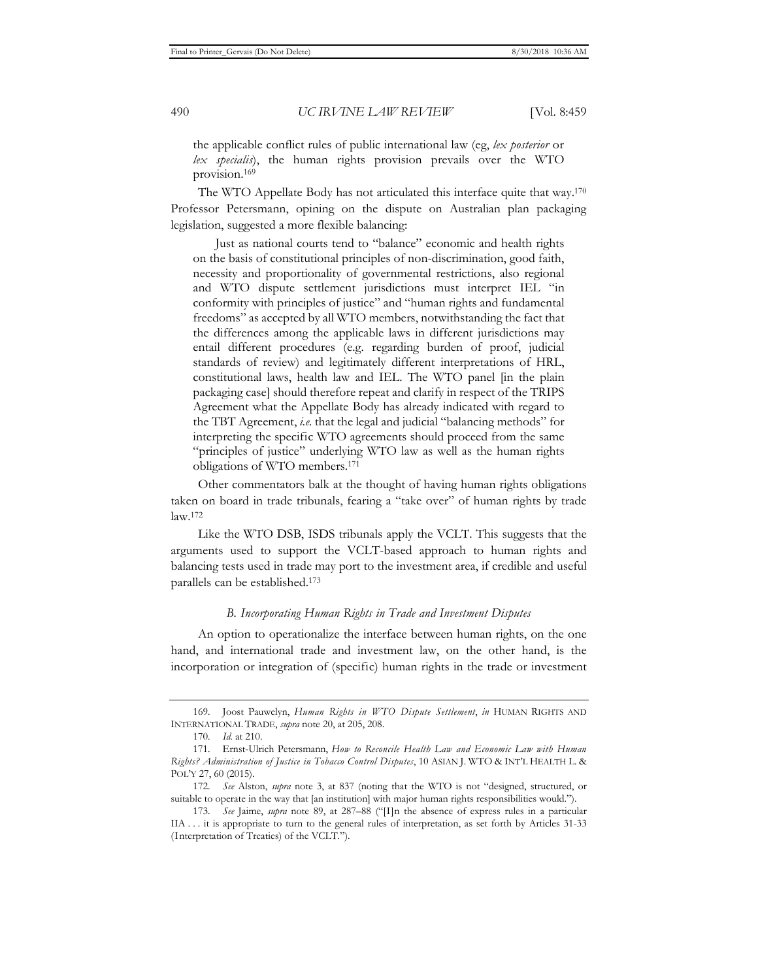the applicable conflict rules of public international law (eg, *lex posterior* or *lex specialis*), the human rights provision prevails over the WTO provision.169

The WTO Appellate Body has not articulated this interface quite that way.170 Professor Petersmann, opining on the dispute on Australian plan packaging legislation, suggested a more flexible balancing:

Just as national courts tend to "balance" economic and health rights on the basis of constitutional principles of non-discrimination, good faith, necessity and proportionality of governmental restrictions, also regional and WTO dispute settlement jurisdictions must interpret IEL "in conformity with principles of justice" and "human rights and fundamental freedoms" as accepted by all WTO members, notwithstanding the fact that the differences among the applicable laws in different jurisdictions may entail different procedures (e.g. regarding burden of proof, judicial standards of review) and legitimately different interpretations of HRL, constitutional laws, health law and IEL. The WTO panel [in the plain packaging case] should therefore repeat and clarify in respect of the TRIPS Agreement what the Appellate Body has already indicated with regard to the TBT Agreement, *i.e.* that the legal and judicial "balancing methods" for interpreting the specific WTO agreements should proceed from the same "principles of justice" underlying WTO law as well as the human rights obligations of WTO members.171

Other commentators balk at the thought of having human rights obligations taken on board in trade tribunals, fearing a "take over" of human rights by trade law.172

Like the WTO DSB, ISDS tribunals apply the VCLT. This suggests that the arguments used to support the VCLT-based approach to human rights and balancing tests used in trade may port to the investment area, if credible and useful parallels can be established.173

#### *B. Incorporating Human Rights in Trade and Investment Disputes*

An option to operationalize the interface between human rights, on the one hand, and international trade and investment law, on the other hand, is the incorporation or integration of (specific) human rights in the trade or investment

<sup>169.</sup> Joost Pauwelyn, *Human Rights in WTO Dispute Settlement*, *in* HUMAN RIGHTS AND INTERNATIONAL TRADE, *supra* note 20, at 205, 208.

<sup>170</sup>*. Id.* at 210.

<sup>171.</sup> Ernst-Ulrich Petersmann, *How to Reconcile Health Law and Economic Law with Human Rights? Administration of Justice in Tobacco Control Disputes*, 10 ASIAN J. WTO & INT'L HEALTH L. & POL'Y 27, 60 (2015).

<sup>172</sup>*. See* Alston, *supra* note 3, at 837 (noting that the WTO is not "designed, structured, or suitable to operate in the way that [an institution] with major human rights responsibilities would.").

<sup>173</sup>*. See* Jaime, *supra* note 89, at 287–88 ("[I]n the absence of express rules in a particular IIA . . . it is appropriate to turn to the general rules of interpretation, as set forth by Articles 31-33 (Interpretation of Treaties) of the VCLT.").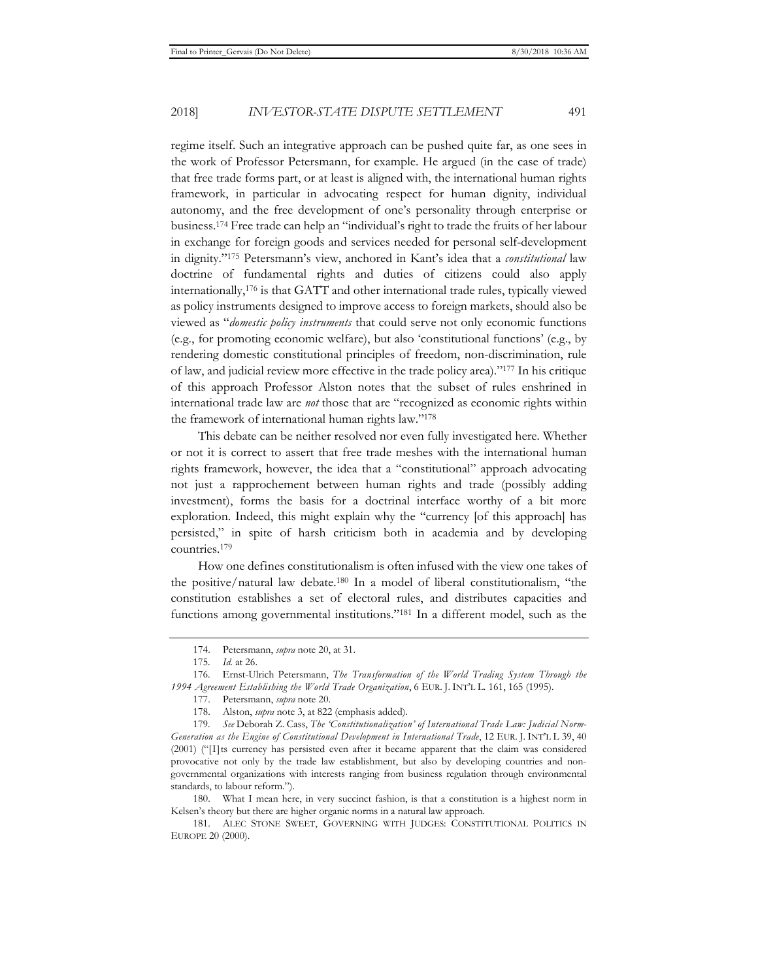regime itself. Such an integrative approach can be pushed quite far, as one sees in the work of Professor Petersmann, for example. He argued (in the case of trade) that free trade forms part, or at least is aligned with, the international human rights framework, in particular in advocating respect for human dignity, individual autonomy, and the free development of one's personality through enterprise or business.174 Free trade can help an "individual's right to trade the fruits of her labour in exchange for foreign goods and services needed for personal self-development in dignity."175 Petersmann's view, anchored in Kant's idea that a *constitutional* law doctrine of fundamental rights and duties of citizens could also apply internationally,176 is that GATT and other international trade rules, typically viewed as policy instruments designed to improve access to foreign markets, should also be viewed as "*domestic policy instruments* that could serve not only economic functions (e.g., for promoting economic welfare), but also 'constitutional functions' (e.g., by rendering domestic constitutional principles of freedom, non-discrimination, rule of law, and judicial review more effective in the trade policy area)."177 In his critique of this approach Professor Alston notes that the subset of rules enshrined in international trade law are *not* those that are "recognized as economic rights within the framework of international human rights law."178

This debate can be neither resolved nor even fully investigated here. Whether or not it is correct to assert that free trade meshes with the international human rights framework, however, the idea that a "constitutional" approach advocating not just a rapprochement between human rights and trade (possibly adding investment), forms the basis for a doctrinal interface worthy of a bit more exploration. Indeed, this might explain why the "currency [of this approach] has persisted," in spite of harsh criticism both in academia and by developing countries.179

How one defines constitutionalism is often infused with the view one takes of the positive/natural law debate.180 In a model of liberal constitutionalism, "the constitution establishes a set of electoral rules, and distributes capacities and functions among governmental institutions."181 In a different model, such as the

<sup>174.</sup> Petersmann, *supra* note 20, at 31.

<sup>175</sup>*. Id.* at 26.

<sup>176.</sup> Ernst-Ulrich Petersmann, *The Transformation of the World Trading System Through the 1994 Agreement Establishing the World Trade Organization*, 6 EUR. J. INT'L L. 161, 165 (1995).

<sup>177.</sup> Petersmann, *supra* note 20.

<sup>178.</sup> Alston, *supra* note 3, at 822 (emphasis added).

<sup>179</sup>*. See* Deborah Z. Cass, *The 'Constitutionalization' of International Trade Law: Judicial Norm-Generation as the Engine of Constitutional Development in International Trade*, 12 EUR. J. INT'L L 39, 40 (2001) ("[I]ts currency has persisted even after it became apparent that the claim was considered provocative not only by the trade law establishment, but also by developing countries and nongovernmental organizations with interests ranging from business regulation through environmental standards, to labour reform.").

<sup>180.</sup> What I mean here, in very succinct fashion, is that a constitution is a highest norm in Kelsen's theory but there are higher organic norms in a natural law approach.

<sup>181.</sup> ALEC STONE SWEET, GOVERNING WITH JUDGES: CONSTITUTIONAL POLITICS IN EUROPE 20 (2000).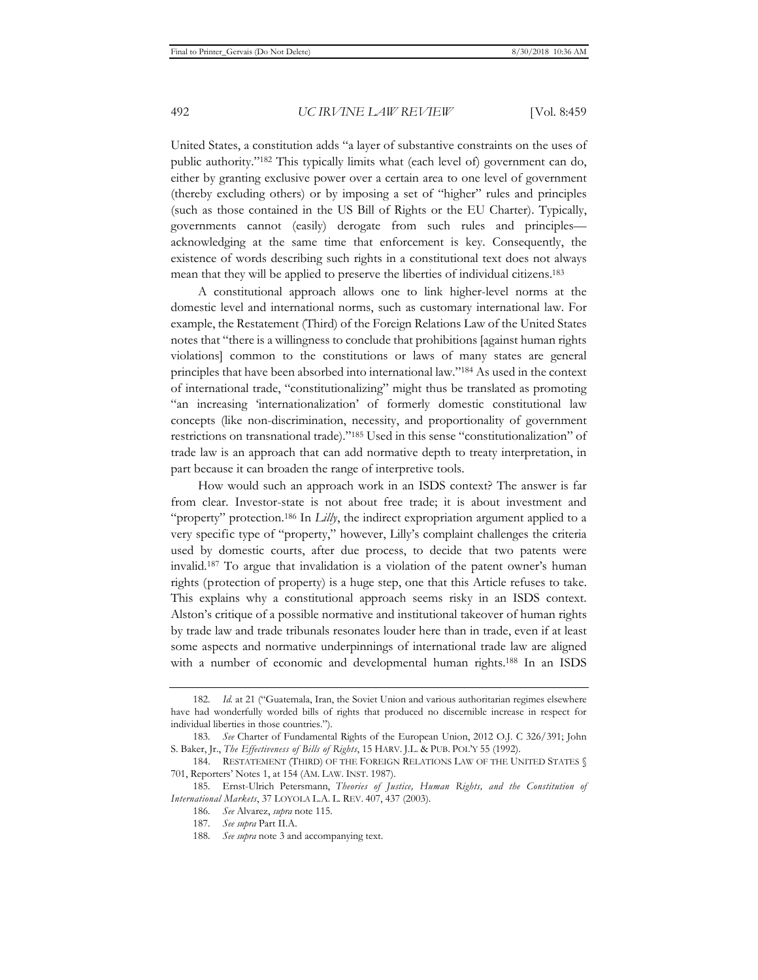United States, a constitution adds "a layer of substantive constraints on the uses of public authority."182 This typically limits what (each level of) government can do, either by granting exclusive power over a certain area to one level of government (thereby excluding others) or by imposing a set of "higher" rules and principles (such as those contained in the US Bill of Rights or the EU Charter). Typically, governments cannot (easily) derogate from such rules and principles acknowledging at the same time that enforcement is key. Consequently, the existence of words describing such rights in a constitutional text does not always mean that they will be applied to preserve the liberties of individual citizens.183

A constitutional approach allows one to link higher-level norms at the domestic level and international norms, such as customary international law. For example, the Restatement (Third) of the Foreign Relations Law of the United States notes that "there is a willingness to conclude that prohibitions [against human rights violations] common to the constitutions or laws of many states are general principles that have been absorbed into international law."184 As used in the context of international trade, "constitutionalizing" might thus be translated as promoting "an increasing 'internationalization' of formerly domestic constitutional law concepts (like non-discrimination, necessity, and proportionality of government restrictions on transnational trade)."185 Used in this sense "constitutionalization" of trade law is an approach that can add normative depth to treaty interpretation, in part because it can broaden the range of interpretive tools.

How would such an approach work in an ISDS context? The answer is far from clear. Investor-state is not about free trade; it is about investment and "property" protection.<sup>186</sup> In *Lilly*, the indirect expropriation argument applied to a very specific type of "property," however, Lilly's complaint challenges the criteria used by domestic courts, after due process, to decide that two patents were invalid.187 To argue that invalidation is a violation of the patent owner's human rights (protection of property) is a huge step, one that this Article refuses to take. This explains why a constitutional approach seems risky in an ISDS context. Alston's critique of a possible normative and institutional takeover of human rights by trade law and trade tribunals resonates louder here than in trade, even if at least some aspects and normative underpinnings of international trade law are aligned with a number of economic and developmental human rights.188 In an ISDS

<sup>182</sup>*. Id.* at 21 ("Guatemala, Iran, the Soviet Union and various authoritarian regimes elsewhere have had wonderfully worded bills of rights that produced no discernible increase in respect for individual liberties in those countries.").

<sup>183</sup>*. See* Charter of Fundamental Rights of the European Union, 2012 O.J. C 326/391; John S. Baker, Jr., *The Effectiveness of Bills of Rights*, 15 HARV. J.L. & PUB. POL'Y 55 (1992).

<sup>184.</sup> RESTATEMENT (THIRD) OF THE FOREIGN RELATIONS LAW OF THE UNITED STATES § 701, Reporters' Notes 1, at 154 (AM. LAW. INST. 1987).

<sup>185.</sup> Ernst-Ulrich Petersmann, *Theories of Justice, Human Rights, and the Constitution of International Markets*, 37 LOYOLA L.A. L. REV. 407, 437 (2003).

<sup>186</sup>*. See* Alvarez, *supra* note 115.

<sup>187</sup>*. See supra* Part II.A.

<sup>188</sup>*. See supra* note 3 and accompanying text.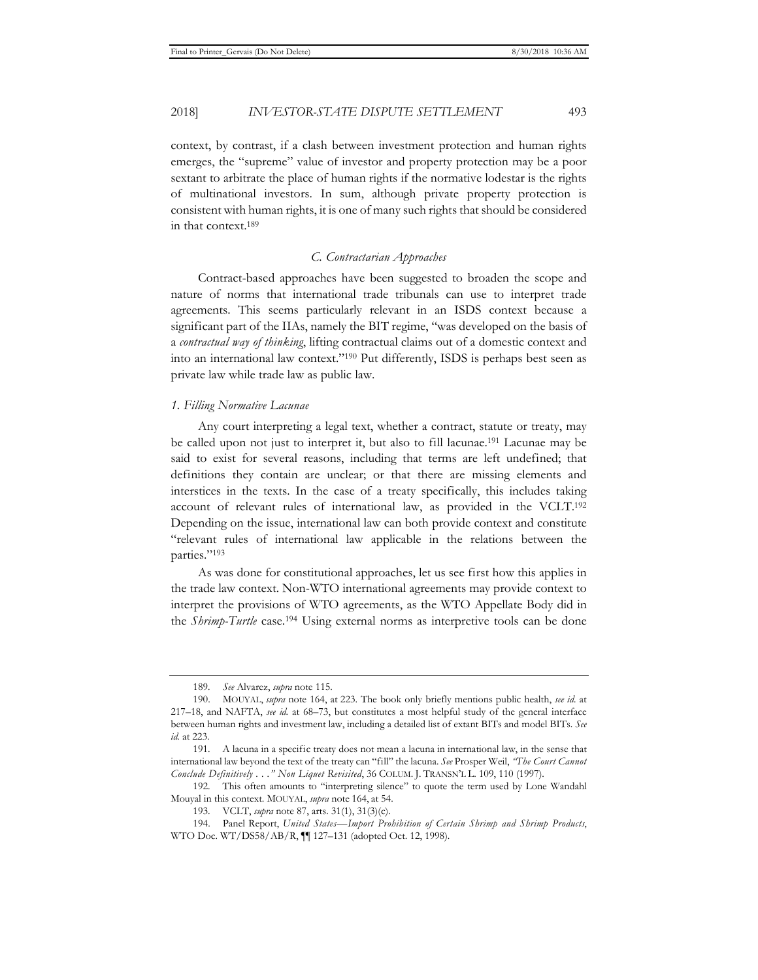2018] *INVESTOR-STATE DISPUTE SETTLEMENT* 493

context, by contrast, if a clash between investment protection and human rights emerges, the "supreme" value of investor and property protection may be a poor sextant to arbitrate the place of human rights if the normative lodestar is the rights of multinational investors. In sum, although private property protection is consistent with human rights, it is one of many such rights that should be considered in that context.189

#### *C. Contractarian Approaches*

Contract-based approaches have been suggested to broaden the scope and nature of norms that international trade tribunals can use to interpret trade agreements. This seems particularly relevant in an ISDS context because a significant part of the IIAs, namely the BIT regime, "was developed on the basis of a *contractual way of thinking*, lifting contractual claims out of a domestic context and into an international law context."190 Put differently, ISDS is perhaps best seen as private law while trade law as public law.

#### *1. Filling Normative Lacunae*

Any court interpreting a legal text, whether a contract, statute or treaty, may be called upon not just to interpret it, but also to fill lacunae.191 Lacunae may be said to exist for several reasons, including that terms are left undefined; that definitions they contain are unclear; or that there are missing elements and interstices in the texts. In the case of a treaty specifically, this includes taking account of relevant rules of international law, as provided in the VCLT.192 Depending on the issue, international law can both provide context and constitute "relevant rules of international law applicable in the relations between the parties."193

As was done for constitutional approaches, let us see first how this applies in the trade law context. Non-WTO international agreements may provide context to interpret the provisions of WTO agreements, as the WTO Appellate Body did in the *Shrimp-Turtle* case.194 Using external norms as interpretive tools can be done

<sup>189</sup>*. See* Alvarez, *supra* note 115.

<sup>190.</sup> MOUYAL, *supra* note 164, at 223. The book only briefly mentions public health, *see id.* at 217–18, and NAFTA, *see id.* at 68–73, but constitutes a most helpful study of the general interface between human rights and investment law, including a detailed list of extant BITs and model BITs. *See id.* at 223.

<sup>191.</sup> A lacuna in a specific treaty does not mean a lacuna in international law, in the sense that international law beyond the text of the treaty can "fill" the lacuna. *See* Prosper Weil, *"The Court Cannot Conclude Definitively . . ." Non Liquet Revisited*, 36 COLUM. J. TRANSN'L L. 109, 110 (1997).

<sup>192.</sup> This often amounts to "interpreting silence" to quote the term used by Lone Wandahl Mouyal in this context. MOUYAL, *supra* note 164, at 54.

<sup>193.</sup> VCLT, *supra* note 87, arts. 31(1), 31(3)(c).

<sup>194.</sup> Panel Report, *United States—Import Prohibition of Certain Shrimp and Shrimp Products*, WTO Doc. WT/DS58/AB/R, ¶¶ 127–131 (adopted Oct. 12, 1998).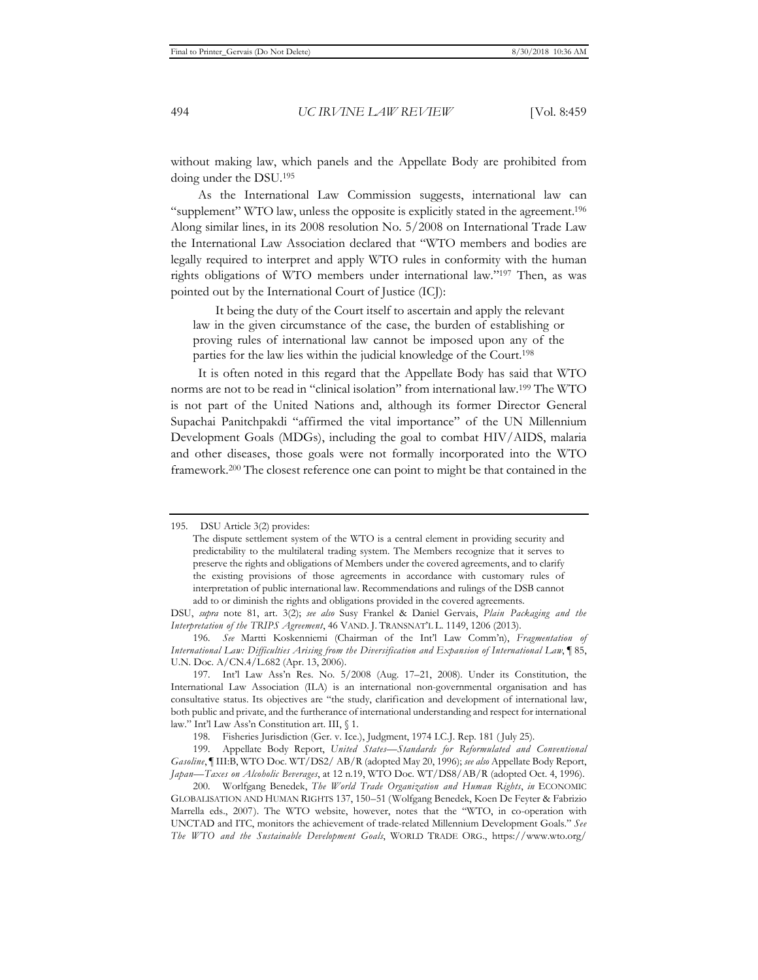without making law, which panels and the Appellate Body are prohibited from doing under the DSU.195

As the International Law Commission suggests, international law can "supplement" WTO law, unless the opposite is explicitly stated in the agreement.196 Along similar lines, in its 2008 resolution No. 5/2008 on International Trade Law the International Law Association declared that "WTO members and bodies are legally required to interpret and apply WTO rules in conformity with the human rights obligations of WTO members under international law."197 Then, as was pointed out by the International Court of Justice (ICJ):

It being the duty of the Court itself to ascertain and apply the relevant law in the given circumstance of the case, the burden of establishing or proving rules of international law cannot be imposed upon any of the parties for the law lies within the judicial knowledge of the Court.198

It is often noted in this regard that the Appellate Body has said that WTO norms are not to be read in "clinical isolation" from international law.199 The WTO is not part of the United Nations and, although its former Director General Supachai Panitchpakdi "affirmed the vital importance" of the UN Millennium Development Goals (MDGs), including the goal to combat HIV/AIDS, malaria and other diseases, those goals were not formally incorporated into the WTO framework.200 The closest reference one can point to might be that contained in the

198. Fisheries Jurisdiction (Ger. v. Ice.), Judgment, 1974 I.C.J. Rep. 181 ( July 25).

199. Appellate Body Report, *United States—Standards for Reformulated and Conventional Gasoline*, ¶ III:B, WTO Doc. WT/DS2/ AB/R (adopted May 20, 1996); *see also* Appellate Body Report, *Japan—Taxes on Alcoholic Beverages*, at 12 n.19, WTO Doc. WT/DS8/AB/R (adopted Oct. 4, 1996).

200. Worlfgang Benedek, *The World Trade Organization and Human Rights*, *in* ECONOMIC GLOBALISATION AND HUMAN RIGHTS 137, 150–51 (Wolfgang Benedek, Koen De Feyter & Fabrizio Marrella eds., 2007). The WTO website, however, notes that the "WTO, in co-operation with UNCTAD and ITC, monitors the achievement of trade-related Millennium Development Goals." *See The WTO and the Sustainable Development Goals*, WORLD TRADE ORG., https://www.wto.org/

<sup>195.</sup> DSU Article 3(2) provides:

The dispute settlement system of the WTO is a central element in providing security and predictability to the multilateral trading system. The Members recognize that it serves to preserve the rights and obligations of Members under the covered agreements, and to clarify the existing provisions of those agreements in accordance with customary rules of interpretation of public international law. Recommendations and rulings of the DSB cannot add to or diminish the rights and obligations provided in the covered agreements.

DSU, *supra* note 81, art. 3(2); *see also* Susy Frankel & Daniel Gervais, *Plain Packaging and the Interpretation of the TRIPS Agreement*, 46 VAND. J. TRANSNAT'L L. 1149, 1206 (2013).

<sup>196</sup>*. See* Martti Koskenniemi (Chairman of the Int'l Law Comm'n), *Fragmentation of International Law: Difficulties Arising from the Diversification and Expansion of International Law*, ¶ 85, U.N. Doc. A/CN.4/L.682 (Apr. 13, 2006).

<sup>197.</sup> Int'l Law Ass'n Res. No. 5/2008 (Aug. 17–21, 2008). Under its Constitution, the International Law Association (ILA) is an international non-governmental organisation and has consultative status. Its objectives are "the study, clarification and development of international law, both public and private, and the furtherance of international understanding and respect for international law." Int'l Law Ass'n Constitution art. III, § 1.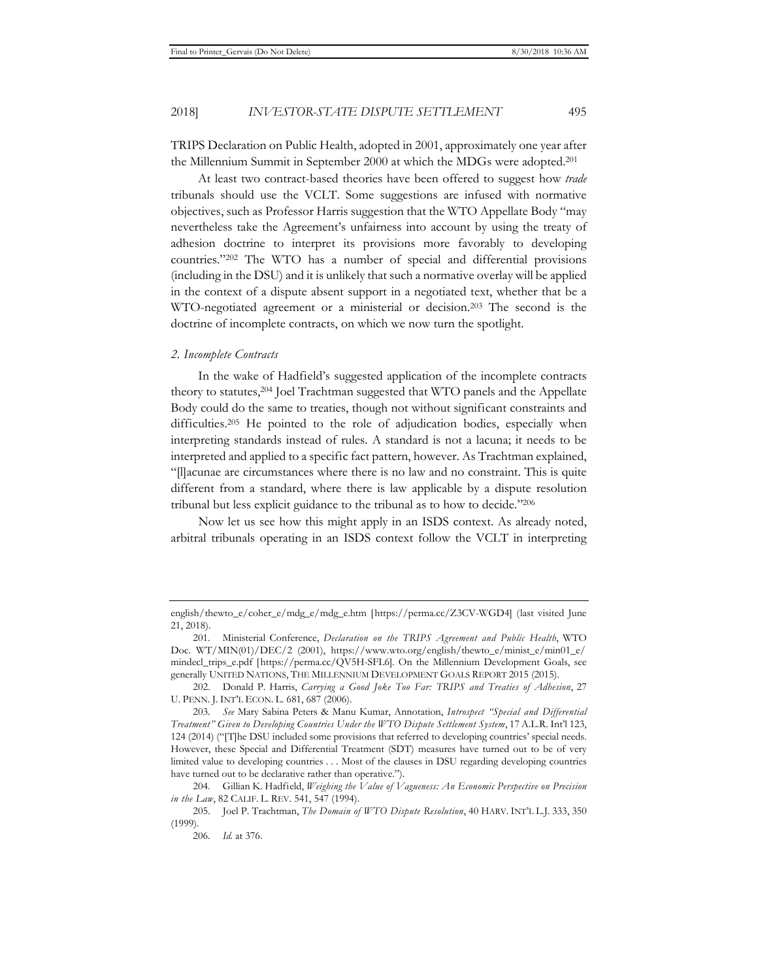TRIPS Declaration on Public Health, adopted in 2001, approximately one year after the Millennium Summit in September 2000 at which the MDGs were adopted.201

At least two contract-based theories have been offered to suggest how *trade* tribunals should use the VCLT. Some suggestions are infused with normative objectives, such as Professor Harris suggestion that the WTO Appellate Body "may nevertheless take the Agreement's unfairness into account by using the treaty of adhesion doctrine to interpret its provisions more favorably to developing countries."202 The WTO has a number of special and differential provisions (including in the DSU) and it is unlikely that such a normative overlay will be applied in the context of a dispute absent support in a negotiated text, whether that be a WTO-negotiated agreement or a ministerial or decision.203 The second is the doctrine of incomplete contracts, on which we now turn the spotlight.

#### *2. Incomplete Contracts*

In the wake of Hadfield's suggested application of the incomplete contracts theory to statutes,204 Joel Trachtman suggested that WTO panels and the Appellate Body could do the same to treaties, though not without significant constraints and difficulties.<sup>205</sup> He pointed to the role of adjudication bodies, especially when interpreting standards instead of rules. A standard is not a lacuna; it needs to be interpreted and applied to a specific fact pattern, however. As Trachtman explained, "[l]acunae are circumstances where there is no law and no constraint. This is quite different from a standard, where there is law applicable by a dispute resolution tribunal but less explicit guidance to the tribunal as to how to decide."206

Now let us see how this might apply in an ISDS context. As already noted, arbitral tribunals operating in an ISDS context follow the VCLT in interpreting

english/thewto\_e/coher\_e/mdg\_e/mdg\_e.htm [https://perma.cc/Z3CV-WGD4] (last visited June 21, 2018).

<sup>201.</sup> Ministerial Conference, *Declaration on the TRIPS Agreement and Public Health*, WTO Doc. WT/MIN(01)/DEC/2 (2001), https://www.wto.org/english/thewto\_e/minist\_e/min01\_e/ mindecl\_trips\_e.pdf [https://perma.cc/QV5H-SFL6]. On the Millennium Development Goals, see generally UNITED NATIONS, THE MILLENNIUM DEVELOPMENT GOALS REPORT 2015 (2015).

<sup>202.</sup> Donald P. Harris, *Carrying a Good Joke Too Far: TRIPS and Treaties of Adhesion*, 27 U. PENN. J. INT'L ECON. L. 681, 687 (2006).

<sup>203</sup>*. See* Mary Sabina Peters & Manu Kumar, Annotation, *Introspect "Special and Differential Treatment" Given to Developing Countries Under the WTO Dispute Settlement System*, 17 A.L.R. Int'l 123, 124 (2014) ("[T]he DSU included some provisions that referred to developing countries' special needs. However, these Special and Differential Treatment (SDT) measures have turned out to be of very limited value to developing countries . . . Most of the clauses in DSU regarding developing countries have turned out to be declarative rather than operative.").

<sup>204.</sup> Gillian K. Hadfield, *Weighing the Value of Vagueness: An Economic Perspective on Precision in the Law*, 82 CALIF. L. REV. 541, 547 (1994).

<sup>205.</sup> Joel P. Trachtman, *The Domain of WTO Dispute Resolution*, 40 HARV. INT'L L.J. 333, 350 (1999).

<sup>206</sup>*. Id.* at 376.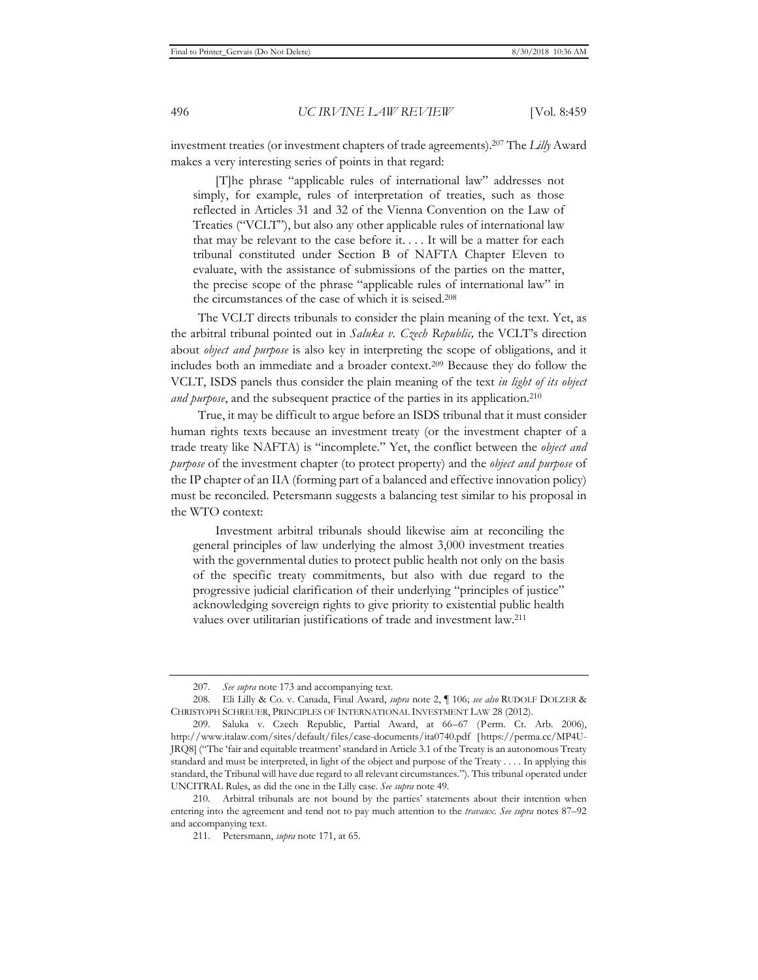investment treaties (or investment chapters of trade agreements).207 The *Lilly* Award makes a very interesting series of points in that regard:

[T]he phrase "applicable rules of international law" addresses not simply, for example, rules of interpretation of treaties, such as those reflected in Articles 31 and 32 of the Vienna Convention on the Law of Treaties ("VCLT"), but also any other applicable rules of international law that may be relevant to the case before it. . . . It will be a matter for each tribunal constituted under Section B of NAFTA Chapter Eleven to evaluate, with the assistance of submissions of the parties on the matter, the precise scope of the phrase "applicable rules of international law" in the circumstances of the case of which it is seised.208

The VCLT directs tribunals to consider the plain meaning of the text. Yet, as the arbitral tribunal pointed out in *Saluka v. Czech Republic,* the VCLT's direction about *object and purpose* is also key in interpreting the scope of obligations, and it includes both an immediate and a broader context.209 Because they do follow the VCLT, ISDS panels thus consider the plain meaning of the text *in light of its object and purpose*, and the subsequent practice of the parties in its application.<sup>210</sup>

True, it may be difficult to argue before an ISDS tribunal that it must consider human rights texts because an investment treaty (or the investment chapter of a trade treaty like NAFTA) is "incomplete." Yet, the conflict between the *object and purpose* of the investment chapter (to protect property) and the *object and purpose* of the IP chapter of an IIA (forming part of a balanced and effective innovation policy) must be reconciled. Petersmann suggests a balancing test similar to his proposal in the WTO context:

Investment arbitral tribunals should likewise aim at reconciling the general principles of law underlying the almost 3,000 investment treaties with the governmental duties to protect public health not only on the basis of the specific treaty commitments, but also with due regard to the progressive judicial clarification of their underlying "principles of justice" acknowledging sovereign rights to give priority to existential public health values over utilitarian justifications of trade and investment law.211

<sup>207</sup>*. See supra* note 173 and accompanying text.

<sup>208.</sup> Eli Lilly & Co. v. Canada, Final Award, *supra* note 2, ¶ 106; *see also* RUDOLF DOLZER & CHRISTOPH SCHREUER, PRINCIPLES OF INTERNATIONAL INVESTMENT LAW 28 (2012).

<sup>209.</sup> Saluka v. Czech Republic, Partial Award, at 66–67 (Perm. Ct. Arb. 2006), http://www.italaw.com/sites/default/files/case-documents/ita0740.pdf [https://perma.cc/MP4U-JRQ8] ("The 'fair and equitable treatment' standard in Article 3.1 of the Treaty is an autonomous Treaty standard and must be interpreted, in light of the object and purpose of the Treaty . . . . In applying this standard, the Tribunal will have due regard to all relevant circumstances."). This tribunal operated under UNCITRAL Rules, as did the one in the Lilly case. *See supra* note 49.

<sup>210.</sup> Arbitral tribunals are not bound by the parties' statements about their intention when entering into the agreement and tend not to pay much attention to the *travaux*. *See supra* notes 87–92 and accompanying text.

<sup>211.</sup> Petersmann, *supra* note 171, at 65.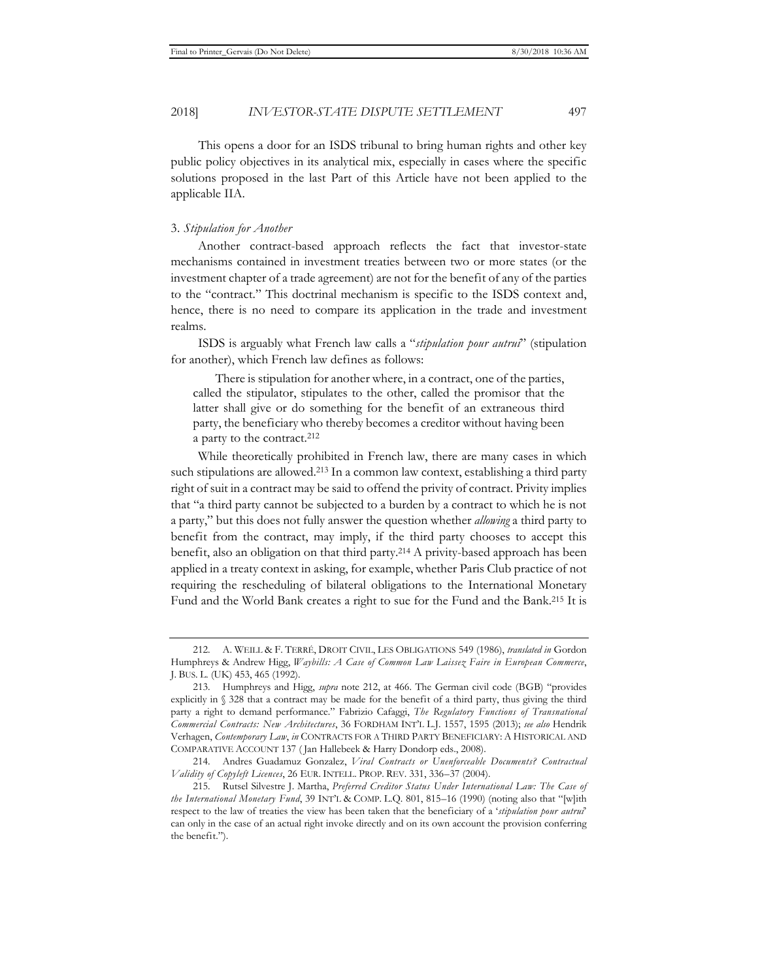2018] *INVESTOR-STATE DISPUTE SETTLEMENT* 497

This opens a door for an ISDS tribunal to bring human rights and other key public policy objectives in its analytical mix, especially in cases where the specific solutions proposed in the last Part of this Article have not been applied to the applicable IIA.

#### 3. *Stipulation for Another*

Another contract-based approach reflects the fact that investor-state mechanisms contained in investment treaties between two or more states (or the investment chapter of a trade agreement) are not for the benefit of any of the parties to the "contract." This doctrinal mechanism is specific to the ISDS context and, hence, there is no need to compare its application in the trade and investment realms.

ISDS is arguably what French law calls a "*stipulation pour autrui*" (stipulation for another), which French law defines as follows:

There is stipulation for another where, in a contract, one of the parties, called the stipulator, stipulates to the other, called the promisor that the latter shall give or do something for the benefit of an extraneous third party, the beneficiary who thereby becomes a creditor without having been a party to the contract.212

While theoretically prohibited in French law, there are many cases in which such stipulations are allowed.213 In a common law context, establishing a third party right of suit in a contract may be said to offend the privity of contract. Privity implies that "a third party cannot be subjected to a burden by a contract to which he is not a party," but this does not fully answer the question whether *allowing* a third party to benefit from the contract, may imply, if the third party chooses to accept this benefit, also an obligation on that third party.214 A privity-based approach has been applied in a treaty context in asking, for example, whether Paris Club practice of not requiring the rescheduling of bilateral obligations to the International Monetary Fund and the World Bank creates a right to sue for the Fund and the Bank.215 It is

<sup>212.</sup> A. WEILL & F. TERRÉ, DROIT CIVIL, LES OBLIGATIONS 549 (1986), *translated in* Gordon Humphreys & Andrew Higg, *Waybills: A Case of Common Law Laissez Faire in European Commerce*, J. BUS. L. (UK) 453, 465 (1992).

<sup>213.</sup> Humphreys and Higg, *supra* note 212, at 466. The German civil code (BGB) "provides explicitly in § 328 that a contract may be made for the benefit of a third party, thus giving the third party a right to demand performance." Fabrizio Cafaggi, *The Regulatory Functions of Transnational Commercial Contracts: New Architectures*, 36 FORDHAM INT'L L.J. 1557, 1595 (2013); *see also* Hendrik Verhagen, *Contemporary Law*, *in* CONTRACTS FOR A THIRD PARTY BENEFICIARY: A HISTORICAL AND COMPARATIVE ACCOUNT 137 ( Jan Hallebeek & Harry Dondorp eds., 2008).

<sup>214.</sup> Andres Guadamuz Gonzalez, *Viral Contracts or Unenforceable Documents? Contractual Validity of Copyleft Licences*, 26 EUR. INTELL. PROP. REV. 331, 336–37 (2004).

<sup>215.</sup> Rutsel Silvestre J. Martha, *Preferred Creditor Status Under International Law: The Case of the International Monetary Fund*, 39 INT'L & COMP. L.Q. 801, 815–16 (1990) (noting also that "[w]ith respect to the law of treaties the view has been taken that the beneficiary of a '*stipulation pour autrui*' can only in the case of an actual right invoke directly and on its own account the provision conferring the benefit.").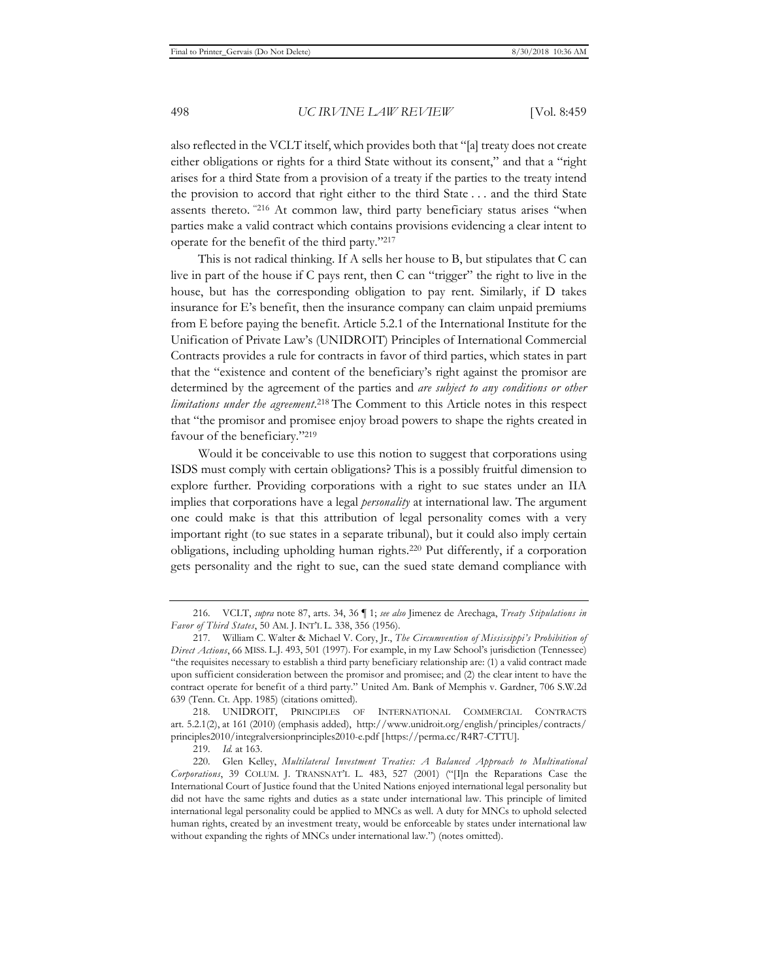also reflected in the VCLT itself, which provides both that "[a] treaty does not create either obligations or rights for a third State without its consent," and that a "right arises for a third State from a provision of a treaty if the parties to the treaty intend the provision to accord that right either to the third State . . . and the third State assents thereto. "216 At common law, third party beneficiary status arises "when parties make a valid contract which contains provisions evidencing a clear intent to operate for the benefit of the third party."217

This is not radical thinking. If A sells her house to B, but stipulates that C can live in part of the house if C pays rent, then C can "trigger" the right to live in the house, but has the corresponding obligation to pay rent. Similarly, if D takes insurance for E's benefit, then the insurance company can claim unpaid premiums from E before paying the benefit. Article 5.2.1 of the International Institute for the Unification of Private Law's (UNIDROIT) Principles of International Commercial Contracts provides a rule for contracts in favor of third parties, which states in part that the "existence and content of the beneficiary's right against the promisor are determined by the agreement of the parties and *are subject to any conditions or other*  limitations under the agreement.<sup>218</sup> The Comment to this Article notes in this respect that "the promisor and promisee enjoy broad powers to shape the rights created in favour of the beneficiary."219

Would it be conceivable to use this notion to suggest that corporations using ISDS must comply with certain obligations? This is a possibly fruitful dimension to explore further. Providing corporations with a right to sue states under an IIA implies that corporations have a legal *personality* at international law. The argument one could make is that this attribution of legal personality comes with a very important right (to sue states in a separate tribunal), but it could also imply certain obligations, including upholding human rights.220 Put differently, if a corporation gets personality and the right to sue, can the sued state demand compliance with

<sup>216.</sup> VCLT, *supra* note 87, arts. 34, 36 ¶ 1; *see also* Jimenez de Arechaga, *Treaty Stipulations in Favor of Third States*, 50 AM. J. INT'L L. 338, 356 (1956).

<sup>217.</sup> William C. Walter & Michael V. Cory, Jr., *The Circumvention of Mississippi's Prohibition of Direct Actions*, 66 MISS. L.J. 493, 501 (1997). For example, in my Law School's jurisdiction (Tennessee) "the requisites necessary to establish a third party beneficiary relationship are: (1) a valid contract made upon sufficient consideration between the promisor and promisee; and (2) the clear intent to have the contract operate for benefit of a third party." United Am. Bank of Memphis v. Gardner, 706 S.W.2d 639 (Tenn. Ct. App. 1985) (citations omitted).

<sup>218.</sup> UNIDROIT, PRINCIPLES OF INTERNATIONAL COMMERCIAL CONTRACTS art. 5.2.1(2), at 161 (2010) (emphasis added), http://www.unidroit.org/english/principles/contracts/ principles2010/integralversionprinciples2010-e.pdf [https://perma.cc/R4R7-CTTU].

<sup>219</sup>*. Id.* at 163.

<sup>220.</sup> Glen Kelley, *Multilateral Investment Treaties: A Balanced Approach to Multinational Corporations*, 39 COLUM. J. TRANSNAT'L L. 483, 527 (2001) ("[I]n the Reparations Case the International Court of Justice found that the United Nations enjoyed international legal personality but did not have the same rights and duties as a state under international law. This principle of limited international legal personality could be applied to MNCs as well. A duty for MNCs to uphold selected human rights, created by an investment treaty, would be enforceable by states under international law without expanding the rights of MNCs under international law.") (notes omitted).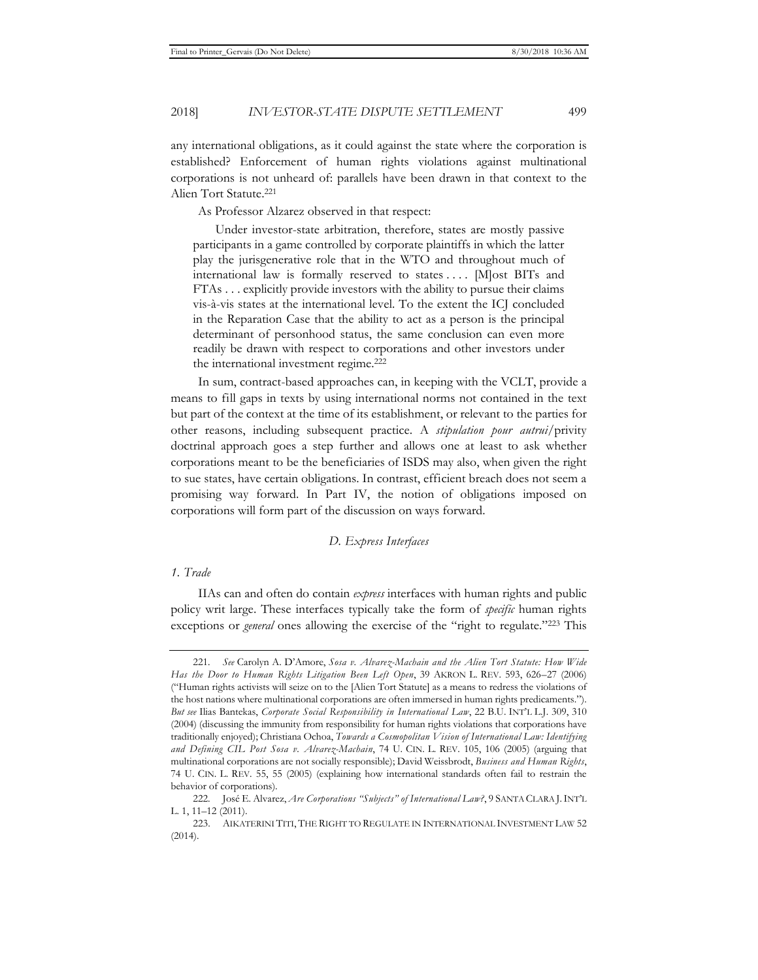2018] *INVESTOR-STATE DISPUTE SETTLEMENT* 499

any international obligations, as it could against the state where the corporation is established? Enforcement of human rights violations against multinational corporations is not unheard of: parallels have been drawn in that context to the Alien Tort Statute.221

As Professor Alzarez observed in that respect:

Under investor-state arbitration, therefore, states are mostly passive participants in a game controlled by corporate plaintiffs in which the latter play the jurisgenerative role that in the WTO and throughout much of international law is formally reserved to states . . . . [M]ost BITs and FTAs . . . explicitly provide investors with the ability to pursue their claims vis-à-vis states at the international level. To the extent the ICJ concluded in the Reparation Case that the ability to act as a person is the principal determinant of personhood status, the same conclusion can even more readily be drawn with respect to corporations and other investors under the international investment regime.222

In sum, contract-based approaches can, in keeping with the VCLT, provide a means to fill gaps in texts by using international norms not contained in the text but part of the context at the time of its establishment, or relevant to the parties for other reasons, including subsequent practice. A *stipulation pour autrui/*privity doctrinal approach goes a step further and allows one at least to ask whether corporations meant to be the beneficiaries of ISDS may also, when given the right to sue states, have certain obligations. In contrast, efficient breach does not seem a promising way forward. In Part IV, the notion of obligations imposed on corporations will form part of the discussion on ways forward.

#### *D. Express Interfaces*

# *1. Trade*

IIAs can and often do contain *express* interfaces with human rights and public policy writ large. These interfaces typically take the form of *specific* human rights exceptions or *general* ones allowing the exercise of the "right to regulate."223 This

<sup>221</sup>*. See* Carolyn A. D'Amore, *Sosa v. Alvarez-Machain and the Alien Tort Statute: How Wide Has the Door to Human Rights Litigation Been Left Open*, 39 AKRON L. REV. 593, 626–27 (2006) ("Human rights activists will seize on to the [Alien Tort Statute] as a means to redress the violations of the host nations where multinational corporations are often immersed in human rights predicaments."). *But see* Ilias Bantekas, *Corporate Social Responsibility in International Law*, 22 B.U. INT'L L.J. 309, 310 (2004) (discussing the immunity from responsibility for human rights violations that corporations have traditionally enjoyed); Christiana Ochoa, *Towards a Cosmopolitan Vision of International Law: Identifying and Defining CIL Post Sosa v. Alvarez-Machain*, 74 U. CIN. L. REV. 105, 106 (2005) (arguing that multinational corporations are not socially responsible); David Weissbrodt, *Business and Human Rights*, 74 U. CIN. L. REV. 55, 55 (2005) (explaining how international standards often fail to restrain the behavior of corporations).

<sup>222.</sup> José E. Alvarez, *Are Corporations "Subjects" of International Law?*, 9 SANTA CLARA J.INT'L L. 1, 11–12 (2011).

<sup>223.</sup> AIKATERINI TITI, THE RIGHT TO REGULATE IN INTERNATIONAL INVESTMENT LAW 52 (2014).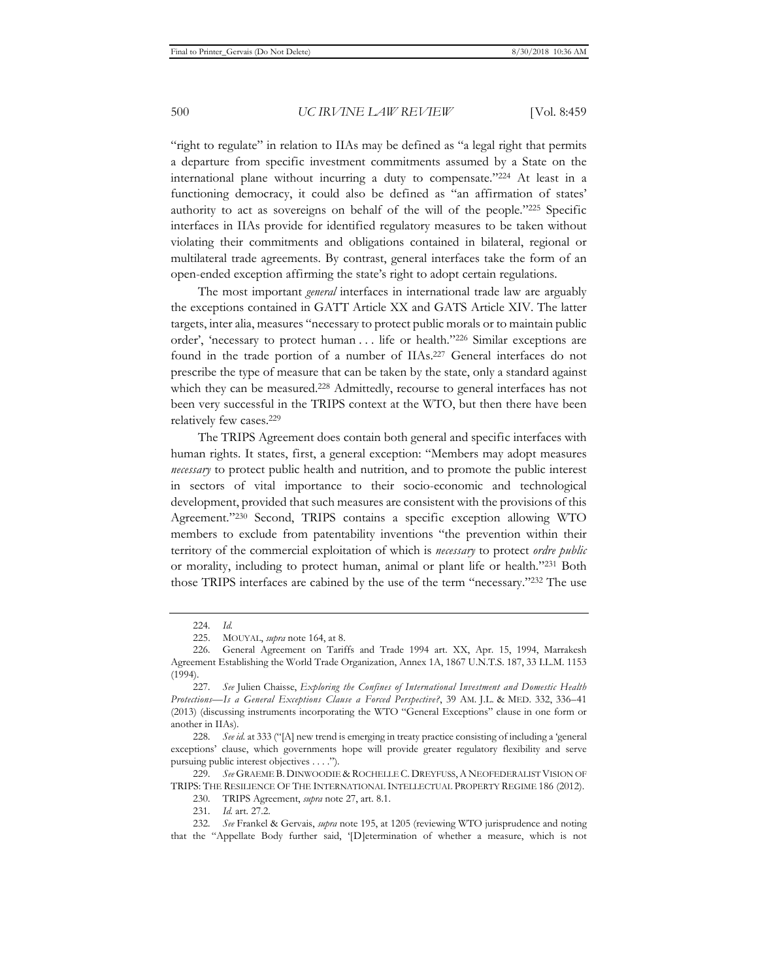"right to regulate" in relation to IIAs may be defined as "a legal right that permits a departure from specific investment commitments assumed by a State on the international plane without incurring a duty to compensate."224 At least in a functioning democracy, it could also be defined as "an affirmation of states' authority to act as sovereigns on behalf of the will of the people."225 Specific interfaces in IIAs provide for identified regulatory measures to be taken without violating their commitments and obligations contained in bilateral, regional or multilateral trade agreements. By contrast, general interfaces take the form of an open-ended exception affirming the state's right to adopt certain regulations.

The most important *general* interfaces in international trade law are arguably the exceptions contained in GATT Article XX and GATS Article XIV. The latter targets, inter alia, measures "necessary to protect public morals or to maintain public order', 'necessary to protect human . . . life or health."226 Similar exceptions are found in the trade portion of a number of IIAs.227 General interfaces do not prescribe the type of measure that can be taken by the state, only a standard against which they can be measured.<sup>228</sup> Admittedly, recourse to general interfaces has not been very successful in the TRIPS context at the WTO, but then there have been relatively few cases.229

The TRIPS Agreement does contain both general and specific interfaces with human rights. It states, first, a general exception: "Members may adopt measures *necessary* to protect public health and nutrition, and to promote the public interest in sectors of vital importance to their socio-economic and technological development, provided that such measures are consistent with the provisions of this Agreement."230 Second, TRIPS contains a specific exception allowing WTO members to exclude from patentability inventions "the prevention within their territory of the commercial exploitation of which is *necessary* to protect *ordre public* or morality, including to protect human, animal or plant life or health."231 Both those TRIPS interfaces are cabined by the use of the term "necessary."232 The use

230. TRIPS Agreement, *supra* note 27, art. 8.1.

<sup>224</sup>*. Id.*

<sup>225.</sup> MOUYAL, *supra* note 164, at 8.

<sup>226.</sup> General Agreement on Tariffs and Trade 1994 art. XX, Apr. 15, 1994, Marrakesh Agreement Establishing the World Trade Organization, Annex 1A, 1867 U.N.T.S. 187, 33 I.L.M. 1153 (1994).

<sup>227</sup>*. See* Julien Chaisse, *Exploring the Confines of International Investment and Domestic Health Protections—Is a General Exceptions Clause a Forced Perspective?*, 39 AM. J.L. & MED. 332, 336–41 (2013) (discussing instruments incorporating the WTO "General Exceptions" clause in one form or another in IIAs).

<sup>228</sup>*. See id.* at 333 ("[A] new trend is emerging in treaty practice consisting of including a 'general exceptions' clause, which governments hope will provide greater regulatory flexibility and serve pursuing public interest objectives . . . .").

<sup>229</sup>*. See* GRAEME B. DINWOODIE & ROCHELLE C. DREYFUSS,A NEOFEDERALIST VISION OF TRIPS: THE RESILIENCE OF THE INTERNATIONAL INTELLECTUAL PROPERTY REGIME 186 (2012).

<sup>231</sup>*. Id.* art. 27.2.

<sup>232</sup>*. See* Frankel & Gervais, *supra* note 195, at 1205 (reviewing WTO jurisprudence and noting that the "Appellate Body further said, '[D]etermination of whether a measure, which is not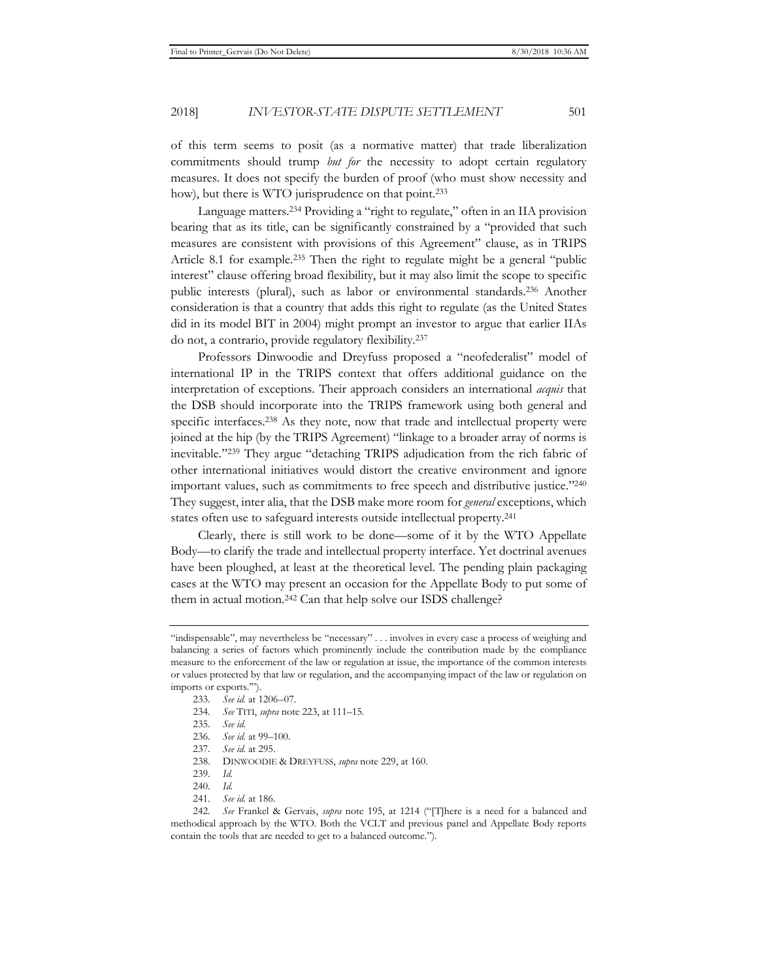of this term seems to posit (as a normative matter) that trade liberalization commitments should trump *but for* the necessity to adopt certain regulatory measures. It does not specify the burden of proof (who must show necessity and how), but there is WTO jurisprudence on that point.<sup>233</sup>

Language matters.234 Providing a "right to regulate," often in an IIA provision bearing that as its title, can be significantly constrained by a "provided that such measures are consistent with provisions of this Agreement" clause, as in TRIPS Article 8.1 for example.235 Then the right to regulate might be a general "public interest" clause offering broad flexibility, but it may also limit the scope to specific public interests (plural), such as labor or environmental standards.236 Another consideration is that a country that adds this right to regulate (as the United States did in its model BIT in 2004) might prompt an investor to argue that earlier IIAs do not, a contrario, provide regulatory flexibility.237

Professors Dinwoodie and Dreyfuss proposed a "neofederalist" model of international IP in the TRIPS context that offers additional guidance on the interpretation of exceptions. Their approach considers an international *acquis* that the DSB should incorporate into the TRIPS framework using both general and specific interfaces.238 As they note, now that trade and intellectual property were joined at the hip (by the TRIPS Agreement) "linkage to a broader array of norms is inevitable."239 They argue "detaching TRIPS adjudication from the rich fabric of other international initiatives would distort the creative environment and ignore important values, such as commitments to free speech and distributive justice."240 They suggest, inter alia, that the DSB make more room for *general* exceptions, which states often use to safeguard interests outside intellectual property.241

Clearly, there is still work to be done—some of it by the WTO Appellate Body—to clarify the trade and intellectual property interface. Yet doctrinal avenues have been ploughed, at least at the theoretical level. The pending plain packaging cases at the WTO may present an occasion for the Appellate Body to put some of them in actual motion.242 Can that help solve our ISDS challenge?

234*. See* TITI, *supra* note 223, at 111–15.

<sup>&</sup>quot;indispensable", may nevertheless be "necessary" . . . involves in every case a process of weighing and balancing a series of factors which prominently include the contribution made by the compliance measure to the enforcement of the law or regulation at issue, the importance of the common interests or values protected by that law or regulation, and the accompanying impact of the law or regulation on imports or exports.'").

<sup>233</sup>*. See id.* at 1206–07.

<sup>235</sup>*. See id.*

<sup>236</sup>*. See id.* at 99–100.

<sup>237</sup>*. See id.* at 295.

<sup>238.</sup> DINWOODIE & DREYFUSS, *supra* note 229, at 160.

<sup>239</sup>*. Id.*

<sup>240</sup>*. Id.*

<sup>241</sup>*. See id.* at 186.

<sup>242</sup>*. See* Frankel & Gervais, *supra* note 195, at 1214 ("[T]here is a need for a balanced and methodical approach by the WTO. Both the VCLT and previous panel and Appellate Body reports contain the tools that are needed to get to a balanced outcome.").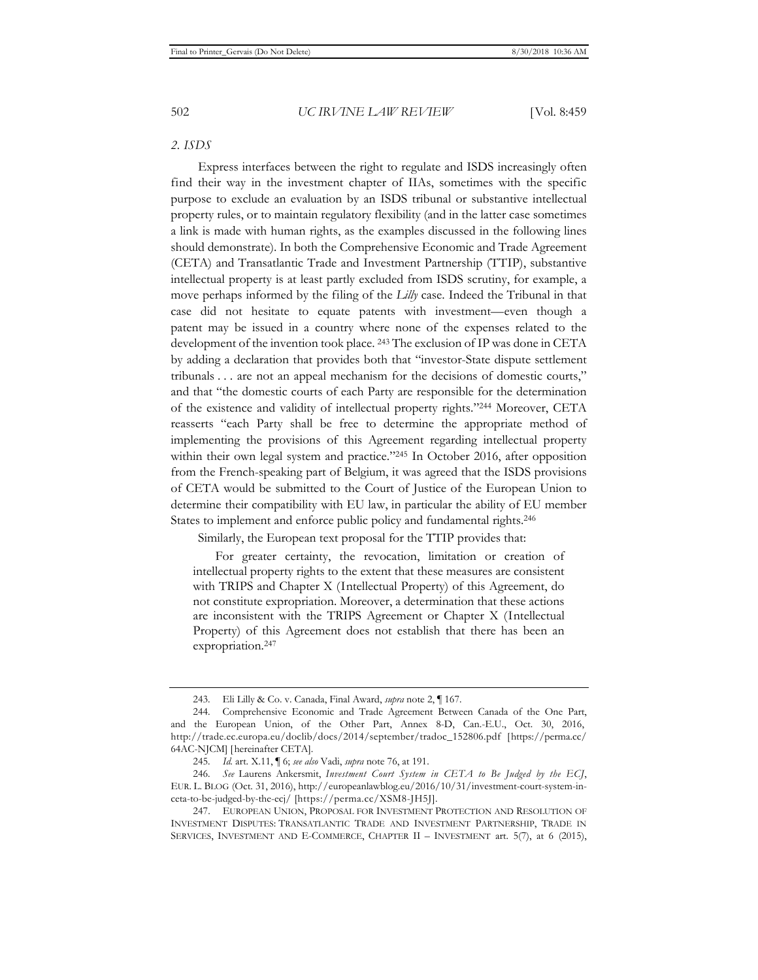# *2. ISDS*

Express interfaces between the right to regulate and ISDS increasingly often find their way in the investment chapter of IIAs, sometimes with the specific purpose to exclude an evaluation by an ISDS tribunal or substantive intellectual property rules, or to maintain regulatory flexibility (and in the latter case sometimes a link is made with human rights, as the examples discussed in the following lines should demonstrate). In both the Comprehensive Economic and Trade Agreement (CETA) and Transatlantic Trade and Investment Partnership (TTIP), substantive intellectual property is at least partly excluded from ISDS scrutiny, for example, a move perhaps informed by the filing of the *Lilly* case. Indeed the Tribunal in that case did not hesitate to equate patents with investment—even though a patent may be issued in a country where none of the expenses related to the development of the invention took place. 243 The exclusion of IP was done in CETA by adding a declaration that provides both that "investor-State dispute settlement tribunals . . . are not an appeal mechanism for the decisions of domestic courts," and that "the domestic courts of each Party are responsible for the determination of the existence and validity of intellectual property rights."244 Moreover, CETA reasserts "each Party shall be free to determine the appropriate method of implementing the provisions of this Agreement regarding intellectual property within their own legal system and practice."<sup>245</sup> In October 2016, after opposition from the French-speaking part of Belgium, it was agreed that the ISDS provisions of CETA would be submitted to the Court of Justice of the European Union to determine their compatibility with EU law, in particular the ability of EU member States to implement and enforce public policy and fundamental rights.<sup>246</sup>

Similarly, the European text proposal for the TTIP provides that:

For greater certainty, the revocation, limitation or creation of intellectual property rights to the extent that these measures are consistent with TRIPS and Chapter X (Intellectual Property) of this Agreement, do not constitute expropriation. Moreover, a determination that these actions are inconsistent with the TRIPS Agreement or Chapter X (Intellectual Property) of this Agreement does not establish that there has been an expropriation.<sup>247</sup>

247. EUROPEAN UNION, PROPOSAL FOR INVESTMENT PROTECTION AND RESOLUTION OF INVESTMENT DISPUTES: TRANSATLANTIC TRADE AND INVESTMENT PARTNERSHIP, TRADE IN SERVICES, INVESTMENT AND E-COMMERCE, CHAPTER II – INVESTMENT art. 5(7), at 6 (2015),

<sup>243.</sup> Eli Lilly & Co. v. Canada, Final Award, *supra* note 2, ¶ 167.

<sup>244.</sup> Comprehensive Economic and Trade Agreement Between Canada of the One Part, and the European Union, of the Other Part, Annex 8-D, Can.-E.U., Oct. 30, 2016, http://trade.ec.europa.eu/doclib/docs/2014/september/tradoc\_152806.pdf [https://perma.cc/ 64AC-NJCM] [hereinafter CETA].

<sup>245</sup>*. Id.* art. X.11, ¶ 6; *see also* Vadi, *supra* note 76, at 191.

<sup>246</sup>*. See* Laurens Ankersmit, *Investment Court System in CETA to Be Judged by the ECJ*, EUR. L. BLOG (Oct. 31, 2016), http://europeanlawblog.eu/2016/10/31/investment-court-system-inceta-to-be-judged-by-the-ecj/ [https://perma.cc/XSM8-JH5J].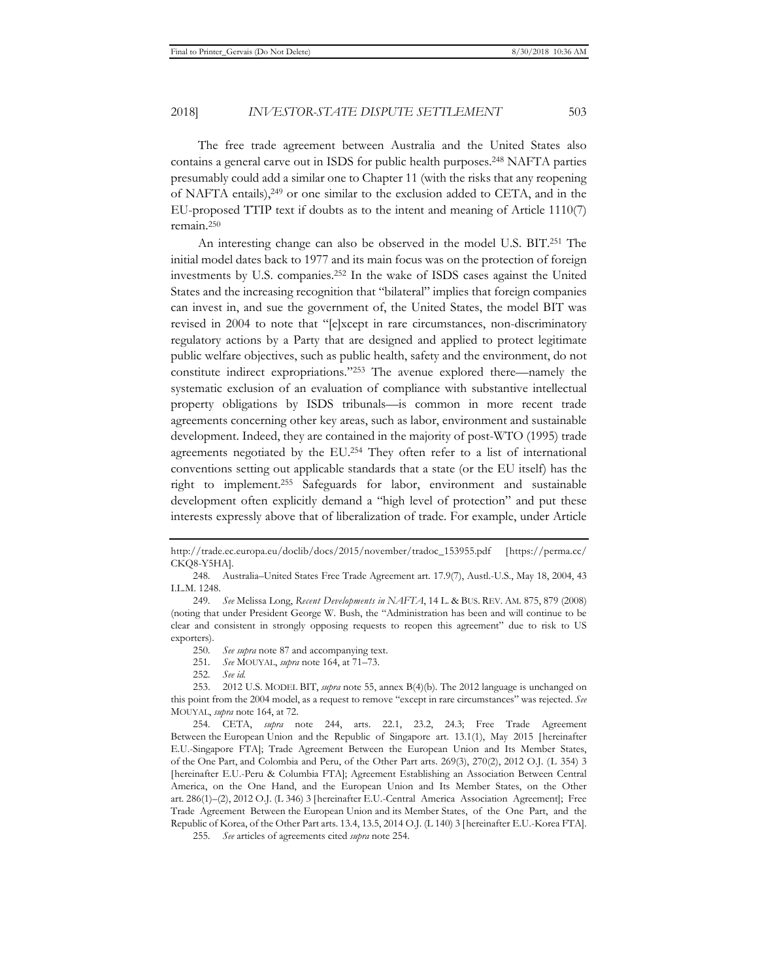The free trade agreement between Australia and the United States also contains a general carve out in ISDS for public health purposes.248 NAFTA parties presumably could add a similar one to Chapter 11 (with the risks that any reopening of NAFTA entails),249 or one similar to the exclusion added to CETA, and in the EU-proposed TTIP text if doubts as to the intent and meaning of Article 1110(7) remain.250

An interesting change can also be observed in the model U.S. BIT.251 The initial model dates back to 1977 and its main focus was on the protection of foreign investments by U.S. companies.252 In the wake of ISDS cases against the United States and the increasing recognition that "bilateral" implies that foreign companies can invest in, and sue the government of, the United States, the model BIT was revised in 2004 to note that "[e]xcept in rare circumstances, non-discriminatory regulatory actions by a Party that are designed and applied to protect legitimate public welfare objectives, such as public health, safety and the environment, do not constitute indirect expropriations."253 The avenue explored there—namely the systematic exclusion of an evaluation of compliance with substantive intellectual property obligations by ISDS tribunals—is common in more recent trade agreements concerning other key areas, such as labor, environment and sustainable development. Indeed, they are contained in the majority of post-WTO (1995) trade agreements negotiated by the EU.254 They often refer to a list of international conventions setting out applicable standards that a state (or the EU itself) has the right to implement.255 Safeguards for labor, environment and sustainable development often explicitly demand a "high level of protection" and put these interests expressly above that of liberalization of trade. For example, under Article

- 250*. See supra* note 87 and accompanying text.
- 251*. See* MOUYAL, *supra* note 164, at 71–73.
- 252*. See id.*

http://trade.ec.europa.eu/doclib/docs/2015/november/tradoc\_153955.pdf [https://perma.cc/ CKQ8-Y5HA].

<sup>248.</sup> Australia–United States Free Trade Agreement art. 17.9(7), Austl.-U.S., May 18, 2004, 43 I.L.M. 1248.

<sup>249</sup>*. See* Melissa Long, *Recent Developments in NAFTA*, 14 L. & BUS. REV. AM. 875, 879 (2008) (noting that under President George W. Bush, the "Administration has been and will continue to be clear and consistent in strongly opposing requests to reopen this agreement" due to risk to US exporters).

<sup>253. 2012</sup> U.S. MODEL BIT, *supra* note 55, annex B(4)(b). The 2012 language is unchanged on this point from the 2004 model, as a request to remove "except in rare circumstances" was rejected. *See* MOUYAL, *supra* note 164, at 72.

<sup>254.</sup> CETA, *supra* note 244, arts. 22.1, 23.2, 24.3; Free Trade Agreement Between the European Union and the Republic of Singapore art. 13.1(1), May 2015 [hereinafter E.U.-Singapore FTA]; Trade Agreement Between the European Union and Its Member States, of the One Part, and Colombia and Peru, of the Other Part arts. 269(3), 270(2), 2012 O.J. (L 354) 3 [hereinafter E.U.-Peru & Columbia FTA]; Agreement Establishing an Association Between Central America, on the One Hand, and the European Union and Its Member States, on the Other art. 286(1)–(2), 2012 O.J. (L 346) 3 [hereinafter E.U.-Central America Association Agreement]; Free Trade Agreement Between the European Union and its Member States, of the One Part, and the Republic of Korea, of the Other Part arts. 13.4, 13.5, 2014 O.J. (L 140) 3 [hereinafter E.U.-Korea FTA].

<sup>255</sup>*. See* articles of agreements cited *supra* note 254.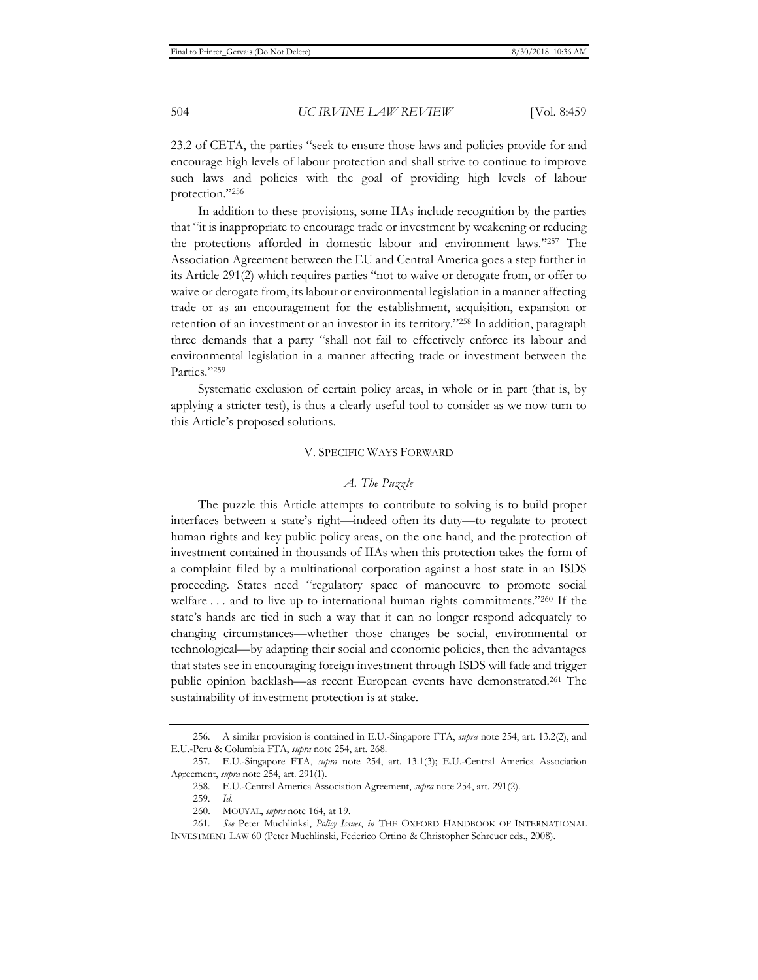23.2 of CETA, the parties "seek to ensure those laws and policies provide for and encourage high levels of labour protection and shall strive to continue to improve such laws and policies with the goal of providing high levels of labour protection."256

In addition to these provisions, some IIAs include recognition by the parties that "it is inappropriate to encourage trade or investment by weakening or reducing the protections afforded in domestic labour and environment laws."257 The Association Agreement between the EU and Central America goes a step further in its Article 291(2) which requires parties "not to waive or derogate from, or offer to waive or derogate from, its labour or environmental legislation in a manner affecting trade or as an encouragement for the establishment, acquisition, expansion or retention of an investment or an investor in its territory."258 In addition, paragraph three demands that a party "shall not fail to effectively enforce its labour and environmental legislation in a manner affecting trade or investment between the Parties."259

Systematic exclusion of certain policy areas, in whole or in part (that is, by applying a stricter test), is thus a clearly useful tool to consider as we now turn to this Article's proposed solutions.

# V. SPECIFIC WAYS FORWARD

# *A. The Puzzle*

The puzzle this Article attempts to contribute to solving is to build proper interfaces between a state's right—indeed often its duty—to regulate to protect human rights and key public policy areas, on the one hand, and the protection of investment contained in thousands of IIAs when this protection takes the form of a complaint filed by a multinational corporation against a host state in an ISDS proceeding. States need "regulatory space of manoeuvre to promote social welfare ... and to live up to international human rights commitments."260 If the state's hands are tied in such a way that it can no longer respond adequately to changing circumstances—whether those changes be social, environmental or technological—by adapting their social and economic policies, then the advantages that states see in encouraging foreign investment through ISDS will fade and trigger public opinion backlash—as recent European events have demonstrated.261 The sustainability of investment protection is at stake.

<sup>256.</sup> A similar provision is contained in E.U.-Singapore FTA, *supra* note 254, art. 13.2(2), and E.U.-Peru & Columbia FTA, *supra* note 254, art. 268.

<sup>257.</sup> E.U.-Singapore FTA, *supra* note 254, art. 13.1(3); E.U.-Central America Association Agreement, *supra* note 254, art. 291(1).

<sup>258.</sup> E.U.-Central America Association Agreement, *supra* note 254, art. 291(2).

<sup>259</sup>*. Id.*

<sup>260.</sup> MOUYAL, *supra* note 164, at 19.

<sup>261</sup>*. See* Peter Muchlinksi, *Policy Issues*, *in* THE OXFORD HANDBOOK OF INTERNATIONAL INVESTMENT LAW 60 (Peter Muchlinski, Federico Ortino & Christopher Schreuer eds., 2008).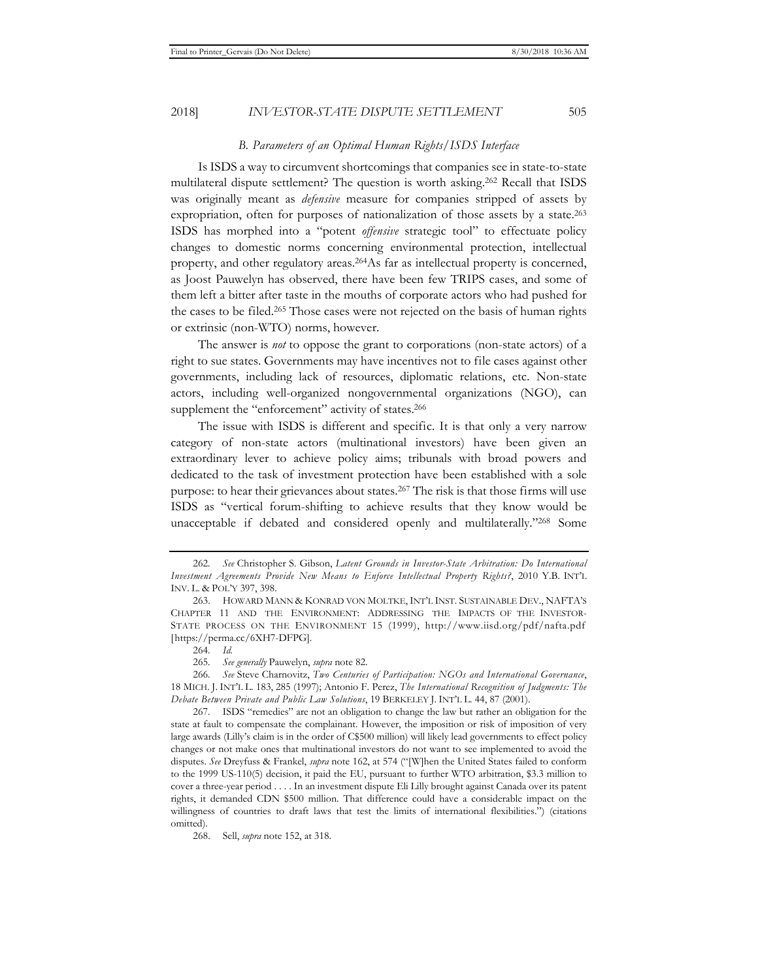#### *B. Parameters of an Optimal Human Rights/ISDS Interface*

Is ISDS a way to circumvent shortcomings that companies see in state-to-state multilateral dispute settlement? The question is worth asking.262 Recall that ISDS was originally meant as *defensive* measure for companies stripped of assets by expropriation, often for purposes of nationalization of those assets by a state.<sup>263</sup> ISDS has morphed into a "potent *offensive* strategic tool" to effectuate policy changes to domestic norms concerning environmental protection, intellectual property, and other regulatory areas.264As far as intellectual property is concerned, as Joost Pauwelyn has observed, there have been few TRIPS cases, and some of them left a bitter after taste in the mouths of corporate actors who had pushed for the cases to be filed.265 Those cases were not rejected on the basis of human rights or extrinsic (non-WTO) norms, however.

The answer is *not* to oppose the grant to corporations (non-state actors) of a right to sue states. Governments may have incentives not to file cases against other governments, including lack of resources, diplomatic relations, etc. Non-state actors, including well-organized nongovernmental organizations (NGO), can supplement the "enforcement" activity of states.<sup>266</sup>

The issue with ISDS is different and specific. It is that only a very narrow category of non-state actors (multinational investors) have been given an extraordinary lever to achieve policy aims; tribunals with broad powers and dedicated to the task of investment protection have been established with a sole purpose: to hear their grievances about states.<sup>267</sup> The risk is that those firms will use ISDS as "vertical forum-shifting to achieve results that they know would be unacceptable if debated and considered openly and multilaterally."268 Some

265*. See generally* Pauwelyn, *supra* note 82.

<sup>262</sup>*. See* Christopher S. Gibson, *Latent Grounds in Investor-State Arbitration: Do International Investment Agreements Provide New Means to Enforce Intellectual Property Rights?*, 2010 Y.B. INT'L INV. L. & POL'Y 397, 398.

<sup>263.</sup> HOWARD MANN & KONRAD VON MOLTKE, INT'L INST. SUSTAINABLE DEV., NAFTA'S CHAPTER 11 AND THE ENVIRONMENT: ADDRESSING THE IMPACTS OF THE INVESTOR-STATE PROCESS ON THE ENVIRONMENT 15 (1999), http://www.iisd.org/pdf/nafta.pdf [https://perma.cc/6XH7-DFPG].

<sup>264</sup>*. Id.*

<sup>266</sup>*. See* Steve Charnovitz, *Two Centuries of Participation: NGOs and International Governance*, 18 MICH. J. INT'L L. 183, 285 (1997); Antonio F. Perez, *The International Recognition of Judgments: The Debate Between Private and Public Law Solutions*, 19 BERKELEY J. INT'L L. 44, 87 (2001).

<sup>267.</sup> ISDS "remedies" are not an obligation to change the law but rather an obligation for the state at fault to compensate the complainant. However, the imposition or risk of imposition of very large awards (Lilly's claim is in the order of C\$500 million) will likely lead governments to effect policy changes or not make ones that multinational investors do not want to see implemented to avoid the disputes. *See* Dreyfuss & Frankel, *supra* note 162, at 574 ("[W]hen the United States failed to conform to the 1999 US-110(5) decision, it paid the EU, pursuant to further WTO arbitration, \$3.3 million to cover a three-year period . . . . In an investment dispute Eli Lilly brought against Canada over its patent rights, it demanded CDN \$500 million. That difference could have a considerable impact on the willingness of countries to draft laws that test the limits of international flexibilities.") (citations omitted).

<sup>268.</sup> Sell, *supra* note 152, at 318.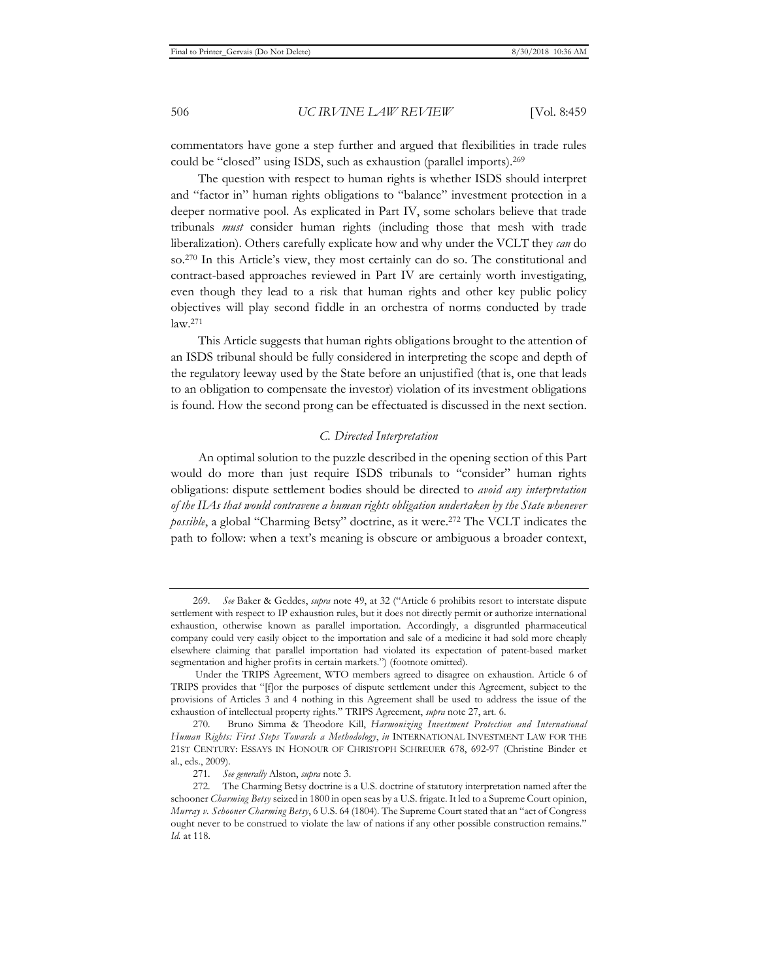commentators have gone a step further and argued that flexibilities in trade rules could be "closed" using ISDS, such as exhaustion (parallel imports).269

The question with respect to human rights is whether ISDS should interpret and "factor in" human rights obligations to "balance" investment protection in a deeper normative pool. As explicated in Part IV, some scholars believe that trade tribunals *must* consider human rights (including those that mesh with trade liberalization). Others carefully explicate how and why under the VCLT they *can* do so.270 In this Article's view, they most certainly can do so. The constitutional and contract-based approaches reviewed in Part IV are certainly worth investigating, even though they lead to a risk that human rights and other key public policy objectives will play second fiddle in an orchestra of norms conducted by trade law.271

This Article suggests that human rights obligations brought to the attention of an ISDS tribunal should be fully considered in interpreting the scope and depth of the regulatory leeway used by the State before an unjustified (that is, one that leads to an obligation to compensate the investor) violation of its investment obligations is found. How the second prong can be effectuated is discussed in the next section.

#### *C. Directed Interpretation*

An optimal solution to the puzzle described in the opening section of this Part would do more than just require ISDS tribunals to "consider" human rights obligations: dispute settlement bodies should be directed to *avoid any interpretation of the IIAs that would contravene a human rights obligation undertaken by the State whenever possible*, a global "Charming Betsy" doctrine, as it were.272 The VCLT indicates the path to follow: when a text's meaning is obscure or ambiguous a broader context,

<sup>269</sup>*. See* Baker & Geddes, *supra* note 49, at 32 ("Article 6 prohibits resort to interstate dispute settlement with respect to IP exhaustion rules, but it does not directly permit or authorize international exhaustion, otherwise known as parallel importation. Accordingly, a disgruntled pharmaceutical company could very easily object to the importation and sale of a medicine it had sold more cheaply elsewhere claiming that parallel importation had violated its expectation of patent-based market segmentation and higher profits in certain markets.") (footnote omitted).

Under the TRIPS Agreement, WTO members agreed to disagree on exhaustion. Article 6 of TRIPS provides that "[f]or the purposes of dispute settlement under this Agreement, subject to the provisions of Articles 3 and 4 nothing in this Agreement shall be used to address the issue of the exhaustion of intellectual property rights." TRIPS Agreement, *supra* note 27, art. 6.

<sup>270</sup>*.* Bruno Simma & Theodore Kill, *Harmonizing Investment Protection and International Human Rights: First Steps Towards a Methodology*, *in* INTERNATIONAL INVESTMENT LAW FOR THE 21ST CENTURY: ESSAYS IN HONOUR OF CHRISTOPH SCHREUER 678, 692-97 (Christine Binder et al., eds., 2009).

<sup>271</sup>*. See generally* Alston, *supra* note 3.

<sup>272.</sup> The Charming Betsy doctrine is a U.S. doctrine of statutory interpretation named after the schooner *Charming Betsy* seized in 1800 in open seas by a U.S. frigate. It led to a Supreme Court opinion, *Murray v. Schooner Charming Betsy*, 6 U.S. 64 (1804). The Supreme Court stated that an "act of Congress ought never to be construed to violate the law of nations if any other possible construction remains." *Id.* at 118.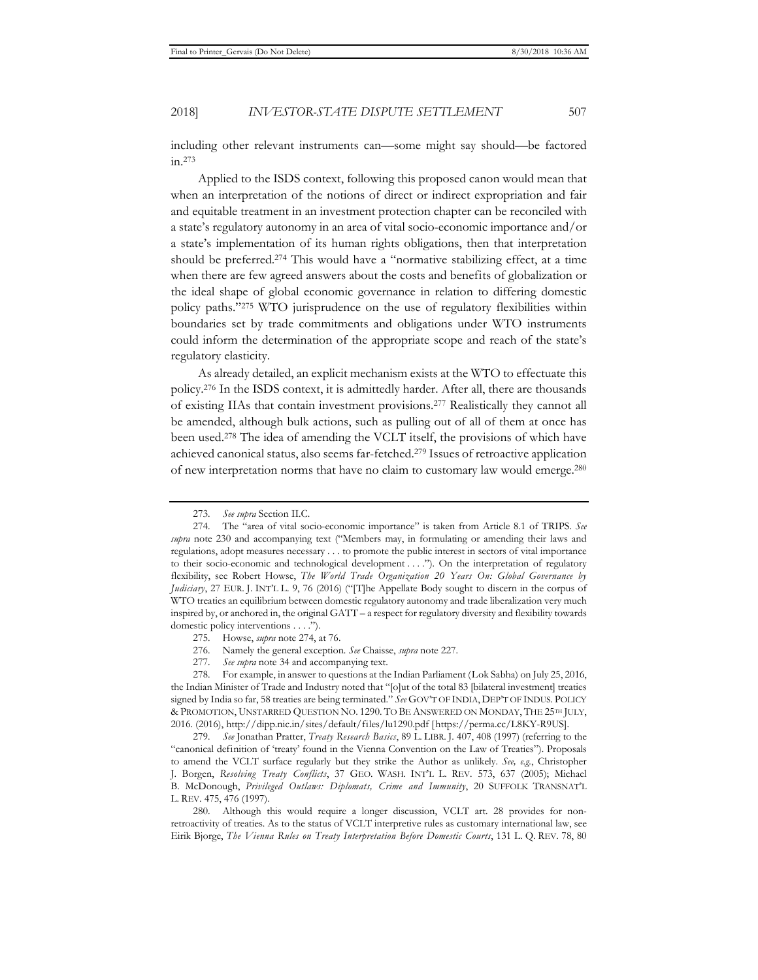including other relevant instruments can—some might say should—be factored in.273

Applied to the ISDS context, following this proposed canon would mean that when an interpretation of the notions of direct or indirect expropriation and fair and equitable treatment in an investment protection chapter can be reconciled with a state's regulatory autonomy in an area of vital socio-economic importance and/or a state's implementation of its human rights obligations, then that interpretation should be preferred.274 This would have a "normative stabilizing effect, at a time when there are few agreed answers about the costs and benefits of globalization or the ideal shape of global economic governance in relation to differing domestic policy paths."275 WTO jurisprudence on the use of regulatory flexibilities within boundaries set by trade commitments and obligations under WTO instruments could inform the determination of the appropriate scope and reach of the state's regulatory elasticity.

As already detailed, an explicit mechanism exists at the WTO to effectuate this policy.276 In the ISDS context, it is admittedly harder. After all, there are thousands of existing IIAs that contain investment provisions.277 Realistically they cannot all be amended, although bulk actions, such as pulling out of all of them at once has been used.278 The idea of amending the VCLT itself, the provisions of which have achieved canonical status, also seems far-fetched.279 Issues of retroactive application of new interpretation norms that have no claim to customary law would emerge.280

276. Namely the general exception. *See* Chaisse, *supra* note 227.

277*. See supra* note 34 and accompanying text.

<sup>273</sup>*. See supra* Section II.C.

<sup>274.</sup> The "area of vital socio-economic importance" is taken from Article 8.1 of TRIPS. *See supra* note 230 and accompanying text ("Members may, in formulating or amending their laws and regulations, adopt measures necessary . . . to promote the public interest in sectors of vital importance to their socio-economic and technological development . . . ."). On the interpretation of regulatory flexibility, see Robert Howse, *The World Trade Organization 20 Years On: Global Governance by Judiciary*, 27 EUR. J. INT'L L. 9, 76 (2016) ("[T]he Appellate Body sought to discern in the corpus of WTO treaties an equilibrium between domestic regulatory autonomy and trade liberalization very much inspired by, or anchored in, the original GATT – a respect for regulatory diversity and flexibility towards domestic policy interventions . . . .").

<sup>275.</sup> Howse, *supra* note 274, at 76.

<sup>278.</sup> For example, in answer to questions at the Indian Parliament (Lok Sabha) on July 25, 2016, the Indian Minister of Trade and Industry noted that "[o]ut of the total 83 [bilateral investment] treaties signed by India so far, 58 treaties are being terminated." *See* GOV'T OF INDIA, DEP'T OF INDUS. POLICY & PROMOTION, UNSTARRED QUESTION NO. 1290. TO BE ANSWERED ON MONDAY, THE 25TH JULY, 2016. (2016), http://dipp.nic.in/sites/default/files/lu1290.pdf [https://perma.cc/L8KY-R9US].

<sup>279</sup>*. See* Jonathan Pratter, *Treaty Research Basics*, 89 L. LIBR. J. 407, 408 (1997) (referring to the "canonical definition of 'treaty' found in the Vienna Convention on the Law of Treaties"). Proposals to amend the VCLT surface regularly but they strike the Author as unlikely. *See, e.g.*, Christopher J. Borgen, *Resolving Treaty Conflicts*, 37 GEO. WASH. INT'L L. REV. 573, 637 (2005); Michael B. McDonough, *Privileged Outlaws: Diplomats, Crime and Immunity*, 20 SUFFOLK TRANSNAT'L L. REV. 475, 476 (1997).

<sup>280.</sup> Although this would require a longer discussion, VCLT art. 28 provides for nonretroactivity of treaties. As to the status of VCLT interpretive rules as customary international law, see Eirik Bjorge, *The Vienna Rules on Treaty Interpretation Before Domestic Courts*, 131 L. Q. REV. 78, 80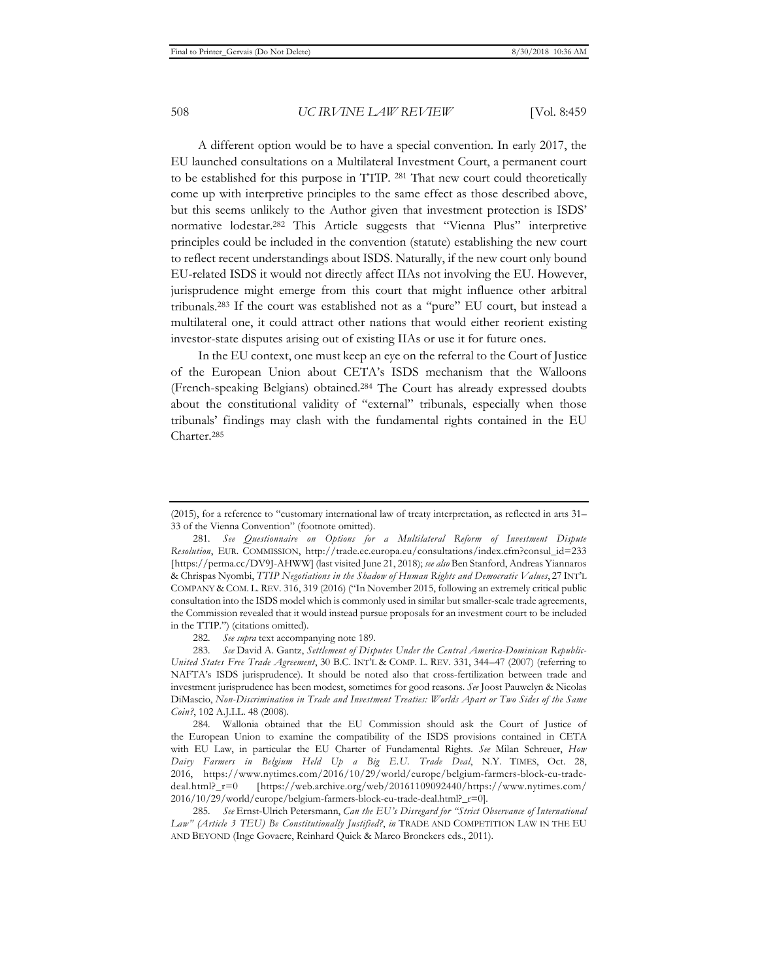A different option would be to have a special convention. In early 2017, the EU launched consultations on a Multilateral Investment Court, a permanent court to be established for this purpose in TTIP. 281 That new court could theoretically come up with interpretive principles to the same effect as those described above, but this seems unlikely to the Author given that investment protection is ISDS' normative lodestar.282 This Article suggests that "Vienna Plus" interpretive principles could be included in the convention (statute) establishing the new court to reflect recent understandings about ISDS. Naturally, if the new court only bound EU-related ISDS it would not directly affect IIAs not involving the EU. However, jurisprudence might emerge from this court that might influence other arbitral tribunals.283 If the court was established not as a "pure" EU court, but instead a multilateral one, it could attract other nations that would either reorient existing investor-state disputes arising out of existing IIAs or use it for future ones.

In the EU context, one must keep an eye on the referral to the Court of Justice of the European Union about CETA's ISDS mechanism that the Walloons (French-speaking Belgians) obtained.284 The Court has already expressed doubts about the constitutional validity of "external" tribunals, especially when those tribunals' findings may clash with the fundamental rights contained in the EU Charter.285

282*. See supra* text accompanying note 189.

283*. See* David A. Gantz, *Settlement of Disputes Under the Central America-Dominican Republic-United States Free Trade Agreement*, 30 B.C. INT'L & COMP. L. REV. 331, 344–47 (2007) (referring to NAFTA's ISDS jurisprudence). It should be noted also that cross-fertilization between trade and investment jurisprudence has been modest, sometimes for good reasons. *See* Joost Pauwelyn & Nicolas DiMascio, *Non-Discrimination in Trade and Investment Treaties: Worlds Apart or Two Sides of the Same Coin?*, 102 A.J.I.L. 48 (2008).

284. Wallonia obtained that the EU Commission should ask the Court of Justice of the European Union to examine the compatibility of the ISDS provisions contained in CETA with EU Law, in particular the EU Charter of Fundamental Rights. *See* Milan Schreuer, *How Dairy Farmers in Belgium Held Up a Big E.U. Trade Deal*, N.Y. TIMES, Oct. 28, 2016, https://www.nytimes.com/2016/10/29/world/europe/belgium-farmers-block-eu-tradedeal.html?\_r=0 [https://web.archive.org/web/20161109092440/https://www.nytimes.com/ 2016/10/29/world/europe/belgium-farmers-block-eu-trade-deal.html?\_r=0].

285*. See* Ernst-Ulrich Petersmann, *Can the EU's Disregard for "Strict Observance of International Law" (Article 3 TEU) Be Constitutionally Justified?*, *in* TRADE AND COMPETITION LAW IN THE EU AND BEYOND (Inge Govaere, Reinhard Quick & Marco Bronckers eds., 2011).

<sup>(2015),</sup> for a reference to "customary international law of treaty interpretation, as reflected in arts 31– 33 of the Vienna Convention" (footnote omitted).

<sup>281</sup>*. See Questionnaire on Options for a Multilateral Reform of Investment Dispute Resolution*, EUR. COMMISSION, http://trade.ec.europa.eu/consultations/index.cfm?consul\_id=233 [https://perma.cc/DV9J-AHWW] (last visited June 21, 2018); *see also* Ben Stanford, Andreas Yiannaros & Chrispas Nyombi, *TTIP Negotiations in the Shadow of Human Rights and Democratic Values*, 27 INT'L COMPANY & COM. L. REV. 316, 319 (2016) ("In November 2015, following an extremely critical public consultation into the ISDS model which is commonly used in similar but smaller-scale trade agreements, the Commission revealed that it would instead pursue proposals for an investment court to be included in the TTIP.") (citations omitted).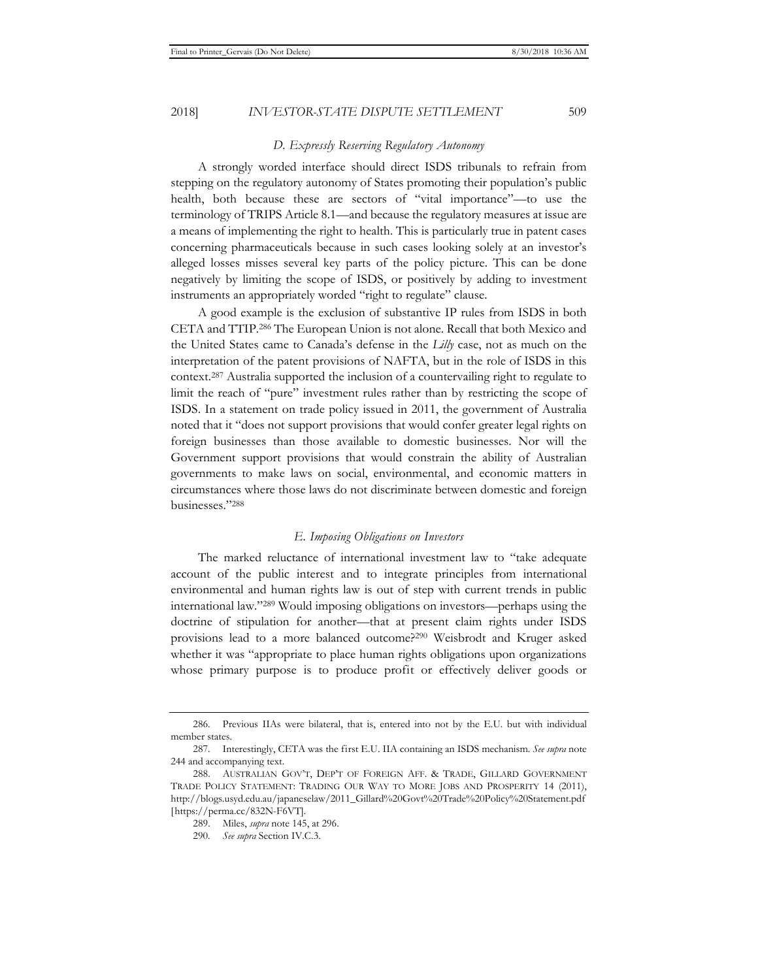# *D. Expressly Reserving Regulatory Autonomy*

A strongly worded interface should direct ISDS tribunals to refrain from stepping on the regulatory autonomy of States promoting their population's public health, both because these are sectors of "vital importance"—to use the terminology of TRIPS Article 8.1—and because the regulatory measures at issue are a means of implementing the right to health. This is particularly true in patent cases concerning pharmaceuticals because in such cases looking solely at an investor's alleged losses misses several key parts of the policy picture. This can be done negatively by limiting the scope of ISDS, or positively by adding to investment instruments an appropriately worded "right to regulate" clause.

A good example is the exclusion of substantive IP rules from ISDS in both CETA and TTIP.286 The European Union is not alone. Recall that both Mexico and the United States came to Canada's defense in the *Lilly* case, not as much on the interpretation of the patent provisions of NAFTA, but in the role of ISDS in this context.287 Australia supported the inclusion of a countervailing right to regulate to limit the reach of "pure" investment rules rather than by restricting the scope of ISDS. In a statement on trade policy issued in 2011, the government of Australia noted that it "does not support provisions that would confer greater legal rights on foreign businesses than those available to domestic businesses. Nor will the Government support provisions that would constrain the ability of Australian governments to make laws on social, environmental, and economic matters in circumstances where those laws do not discriminate between domestic and foreign businesses."288

# *E. Imposing Obligations on Investors*

The marked reluctance of international investment law to "take adequate account of the public interest and to integrate principles from international environmental and human rights law is out of step with current trends in public international law."289 Would imposing obligations on investors—perhaps using the doctrine of stipulation for another—that at present claim rights under ISDS provisions lead to a more balanced outcome?290 Weisbrodt and Kruger asked whether it was "appropriate to place human rights obligations upon organizations whose primary purpose is to produce profit or effectively deliver goods or

<sup>286.</sup> Previous IIAs were bilateral, that is, entered into not by the E.U. but with individual member states.

<sup>287.</sup> Interestingly, CETA was the first E.U. IIA containing an ISDS mechanism. *See supra* note 244 and accompanying text.

<sup>288.</sup> AUSTRALIAN GOV'T, DEP'T OF FOREIGN AFF. & TRADE, GILLARD GOVERNMENT TRADE POLICY STATEMENT: TRADING OUR WAY TO MORE JOBS AND PROSPERITY 14 (2011), http://blogs.usyd.edu.au/japaneselaw/2011\_Gillard%20Govt%20Trade%20Policy%20Statement.pdf [https://perma.cc/832N-F6VT].

<sup>289.</sup> Miles, *supra* note 145, at 296.

<sup>290</sup>*. See supra* Section IV.C.3.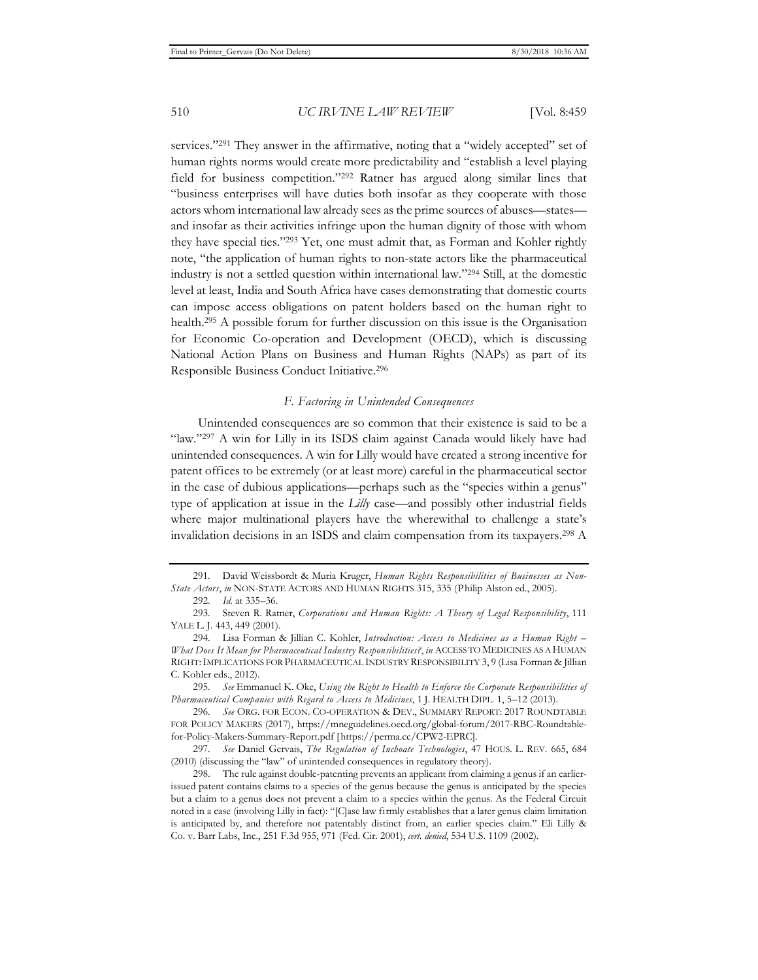services."291 They answer in the affirmative, noting that a "widely accepted" set of human rights norms would create more predictability and "establish a level playing field for business competition."292 Ratner has argued along similar lines that "business enterprises will have duties both insofar as they cooperate with those actors whom international law already sees as the prime sources of abuses—states and insofar as their activities infringe upon the human dignity of those with whom they have special ties."293 Yet, one must admit that, as Forman and Kohler rightly note, "the application of human rights to non-state actors like the pharmaceutical industry is not a settled question within international law."294 Still, at the domestic level at least, India and South Africa have cases demonstrating that domestic courts can impose access obligations on patent holders based on the human right to health.295 A possible forum for further discussion on this issue is the Organisation for Economic Co-operation and Development (OECD), which is discussing National Action Plans on Business and Human Rights (NAPs) as part of its Responsible Business Conduct Initiative.296

#### *F. Factoring in Unintended Consequences*

Unintended consequences are so common that their existence is said to be a "law."<sup>297</sup> A win for Lilly in its ISDS claim against Canada would likely have had unintended consequences. A win for Lilly would have created a strong incentive for patent offices to be extremely (or at least more) careful in the pharmaceutical sector in the case of dubious applications—perhaps such as the "species within a genus" type of application at issue in the *Lilly* case—and possibly other industrial fields where major multinational players have the wherewithal to challenge a state's invalidation decisions in an ISDS and claim compensation from its taxpayers.298 A

<sup>291.</sup> David Weissbordt & Muria Kruger, *Human Rights Responsibilities of Businesses as Non-State Actors*, *in* NON-STATE ACTORS AND HUMAN RIGHTS 315, 335 (Philip Alston ed., 2005).

<sup>292</sup>*. Id.* at 335–36.

<sup>293.</sup> Steven R. Ratner, *Corporations and Human Rights: A Theory of Legal Responsibility*, 111 YALE L. J. 443, 449 (2001).

<sup>294.</sup> Lisa Forman & Jillian C. Kohler, *Introduction: Access to Medicines as a Human Right – What Does It Mean for Pharmaceutical Industry Responsibilities?*, *in* ACCESS TO MEDICINES AS A HUMAN RIGHT:IMPLICATIONS FOR PHARMACEUTICAL INDUSTRY RESPONSIBILITY 3, 9 (Lisa Forman & Jillian C. Kohler eds., 2012).

<sup>295</sup>*. See* Emmanuel K. Oke, *Using the Right to Health to Enforce the Corporate Responsibilities of Pharmaceutical Companies with Regard to Access to Medicines*, 1 J. HEALTH DIPL. 1, 5–12 (2013).

<sup>296</sup>*. See* ORG. FOR ECON. CO-OPERATION & DEV., SUMMARY REPORT: 2017 ROUNDTABLE FOR POLICY MAKERS (2017), https://mneguidelines.oecd.org/global-forum/2017-RBC-Roundtablefor-Policy-Makers-Summary-Report.pdf [https://perma.cc/CPW2-EPRC].

<sup>297</sup>*. See* Daniel Gervais, *The Regulation of Inchoate Technologies*, 47 HOUS. L. REV. 665, 684 (2010) (discussing the "law" of unintended consequences in regulatory theory).

<sup>298.</sup> The rule against double-patenting prevents an applicant from claiming a genus if an earlierissued patent contains claims to a species of the genus because the genus is anticipated by the species but a claim to a genus does not prevent a claim to a species within the genus. As the Federal Circuit noted in a case (involving Lilly in fact): "[C]ase law firmly establishes that a later genus claim limitation is anticipated by, and therefore not patentably distinct from, an earlier species claim." Eli Lilly & Co. v. Barr Labs, Inc., 251 F.3d 955, 971 (Fed. Cir. 2001), *cert. denied*, 534 U.S. 1109 (2002).